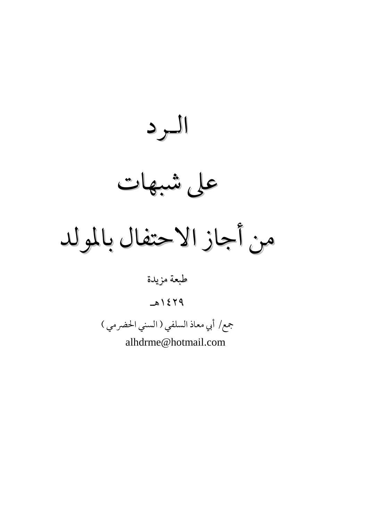الرد على شبهات من أجاز الاحتفال بالمولد طبعة مزيدة  $P Y 316$ 

جمع/ أبي معاذ السلفي ( السني الحضرمي )

alhdrme@hotmail.com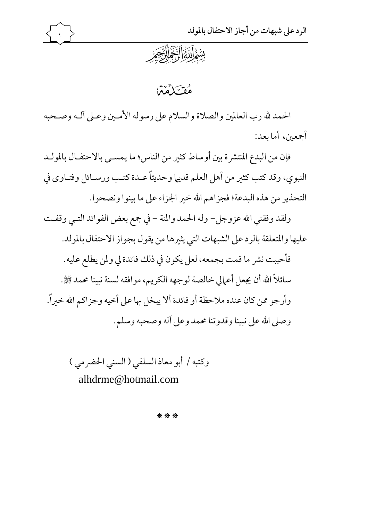



فقسكماته

الحمد لله رب العالمين والصلاة والسلام على رسوله الأمـين وعـلى آلـه وصـحبه أجمعين، أما ىعد:

فإن من البدع المنتشرة بين أوساط كثير من الناس؛ ما يمسـي بالاحتفـال بالمولـد النبوي، وقد كتب كثير من أهل العلم قديها وحديثاً عـدة كتـب ورسـائل وفتـاوي في التحذير من هذه البدعة؛ فجزاهم الله خير الجزاء على ما بينوا ونصحوا.

ولقد وفقني الله عزوجل- وله الحمد والمنة - في جمع بعض الفوائد التـي وقفـت عليها والمتعلقة بالرد على الشبهات التي يثيرها من يقول بجواز الاحتفال بالمولد. فأحببت نشر ما قمت بجمعه، لعل يكون في ذلك فائدة لي ولمن يطلع عليه. سائلاً الله أن يجعل أعمالي خالصة لوجهه الكريم، موافقه لسنة نبينا محمد ﷺ. وأرجو ممن كان عنده ملاحظة أو فائدة ألا يبخل بها على أخيه وجزاكم الله خبراً. وصلى الله على نبينا وقدوتنا محمد وعلى آله وصحبه وسلم.

وكتبه / أبو معاذ السلفى ( السنى الحضرمى ) alhdrme@hotmail.com

\*\*\*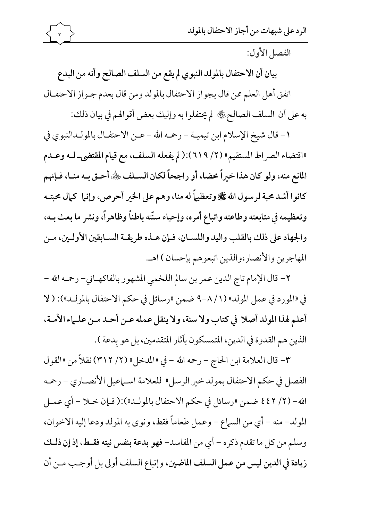الفصل الأول:

بيان أن الاحتفال بالمولد النبوي لم يقع من السلف الصالح وأنه من البدع اتفق أهل العلم ممن قال بجواز الاحتفال بالمولد ومن قال بعدم جـواز الاحتفـال به على أن السلف الصالحﷺ لم يحتفلوا به وإليك بعض أقوالهم في بيان ذلك:

١- قال شيخ الإسلام ابن تيميــة – رحمـه الله – عــن الاحتفــال بالمولــدالنبوي في «اقتضاء الصراط المستقيم» (٢/ ٦١٩):(لم يفعله السلف، مع قيام المقتضى\_ لـه وعـدم المانع منه، ولو كان هذا خيراً محضا، أو راجحاً لكان السـلف ﷺ أحـق بـه منـا، فـإنهم كانوا أشد محبة لرسول الله ﷺ وتعظيماً له منا، وهم على الخير أحرص، وإنها كمال محبتـه وتعظيمه في متابعته وطاعته واتباع أمره، وإحياء سنّته باطناً وظاهراً، ونشر ما بعث بـه، والجهاد على ذلك بالقلب واليد واللسـان، فـإن هـذه طريقـة السـابقين الأولـين، مـن المهاجرين والأنصار،والذين اتبعوهم بإحسان ) اهـ.

٢- قال الإمام تاج الدين عمر بن سالم اللخمي المشهور بالفاكهـاني- رحمـه الله -في «المورد في عمل المولد» (١/ ٨-٩ ضمن «رسائل في حكم الاحتفال بالمولد»): ( لا أعلم لهذا المولد أصلا في كتاب ولا سنة، ولا ينقل عمله عـن أحـد مـن علـماء الأمـة، الذين هم القدوة في الدين، المتمسكون بآثار المتقدمين، بل هو بدعة ).

٣- قال العلامة ابن الحاج – رحمه الله – في «المدخل» (٢/ ٣١٢) نقلاً من «القول الفصل في حكم الاحتفال بمولد خير الرسل» للعلامة اسـماعيل الأنصـاري - رحمه الله- (٢/ ٤٤٢ ضمن «رسائل في حكم الاحتفال بالمولـد»):( فـإن خـلا – أي عمـل المولد– منه – أي من السماع – وعمل طعاماً فقط، ونوى به المولد ودعا إليه الاخوان، وسلم من كل ما تقدم ذكره – أي من المفاسد- فهو بدعة بنفس نيته فقـط، إذ إن ذلـك زيادة في الدين ليس من عمل السلف الماضين، وإتباع السلف أولى بل أوجب مـن أن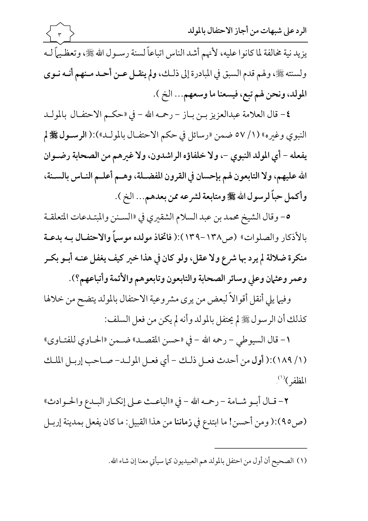

٤- قال العلامة عبدالعزيز بـن بـاز - رحمـه الله - في «حكـم الاحتفـال بالمولـد النبوي وغيره» (١/ ٥٧ ضمن «رسائل في حكم الاحتفـال بالمولـد»):( الرسـول ﷺ لم يفعله - أي المولد النبوي -، ولا خلفاؤه الراشدون، ولا غيرهم من الصحابة رضـوان الله عليهم، ولا التابعون لهم بإحسان في القرون المفضـلة، وهـم أعلـم النـاس بالسـنة، وأكمل حباً لرسول الله ﷺ ومتابعة لشرعه ممن بعدهم... الخ ).

0- وقال الشيخ محمد بن عبد السلام الشقيري في «السـنن والمبتـدعات المتعلقـة بالأذكار والصلوات» (ص١٣٨-١٣٩):( فاتخاذ مولده موسماً والاحتفـال بــه بدعــة منكرة ضلالة لم يرد بها شرع ولا عقل، ولو كان في هذا خير كيف يغفل عنـه أبـو بكـر وعمر وعثمان وعلى وسائر الصحابة والتابعون وتابعوهم والأئمة وأتباعهم؟).

وفيها يلي أنقل أقوالاً لبعض من يرى مشروعية الاحتفال بالمولد يتضح من خلالها كذلك أن الرسول ﷺ لم يحتفل بالمولد وأنه لم يكن من فعل السلف:

١ - قال السيوطي - رحمه الله - في «حسن المقصـد» ضـمن «الحـاوي للفتـاوي» (١/ ١٨٩):( أول من أحدث فعـل ذلك – أي فعـل المولـد- صـاحب إربـل الملـك المظفر)<sup>(١)</sup>.

٢- قـال أبـو شـامة - رحمه الله - في «الباعـث عـلى إنكـار البـدع والحـوادث» (ص٥):( ومن أحسن! ما ابتدع في زماننا من هذا القبيل: ما كان يفعل بمدينة إربـل

(١) الصحيح أن أول من احتفل بالمولد هم العبيديون كما سيأتي معنا إن شاء الله.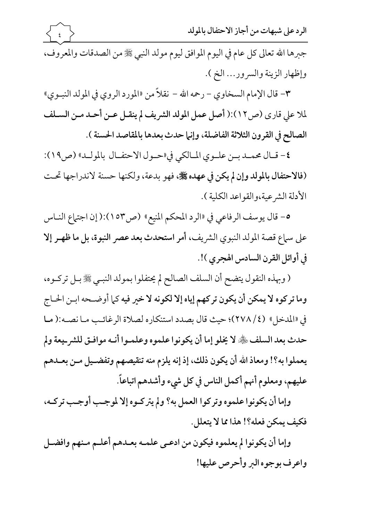الرد على شبهات من أجاز الاحتفال بالمولد

جبرها الله تعالى كل عام في اليوم الموافق ليوم مولد النبي ﷺ من الصدقات والمعروف، وإظهار الزينة والسرور... الخ ).

٣- قال الإمام السخاوي - رحمه الله - نقلاً من «المورد الروي في المولد النبـوي» لملا على قارى (ص١٢):( أصل عمل المولد الشريف لم ينقـل عـن أحـد مـن السـلف الصالح في القرون الثلاثة الفاضلة، وإنها حدث بعدها بالمقاصد الحسنة ).

٤- قـال محمـد بــن علــوى المـالكي في «حــول الاحتفــال بالمولــد» (ص١٩): (فالاحتفال بالمولد وإن لم يكن في عهده ﷺ، فهو بدعة، ولكنها حسنة لاندراجها تحت الأدلة الشرعية،والقواعد الكلية ).

0- قال يوسف الرفاعي في «الرد المحكم المنيع» (ص١٥٣):( إن اجتماع النـاس على سماع قصة المولد النبوي الشريف، أمر استحدث بعد عصر النبوة، بل ما ظهـر إلا في أوائل القرن السادس الهجري )!.

( وبهذه النقول يتضح أن السلف الصالح لم يحتفلوا بمولد النبـي ﷺ بـل تركـوه، وما تركوه لا يمكن أن يكون تركهم إياه إلا لكونه لا خير فيه كما أوضـحه ابـن الحـاج في «المدخل» (٢٧٨/٤)؛ حيث قال بصدد استنكاره لصلاة الرغائب مـا نصـه:(مـا حدث بعد السلف ﴿ لا يُخلِّقِ إما أن يكونوا علموه وعلمـوا أنـه موافـق للشر\_يعة ولم يعملوا به؟! ومعاذ الله أن يكون ذلك، إذ إنه يلزم منه تنقيصهم وتفضـيل مـن بعـدهم عليهم، ومعلوم أنهم أكمل الناس في كل شيء وأشدهم اتباعاً.

وإما أن يكونوا علموه وتركوا العمل به؟ ولم يتركـوه إلا لموجـب أوجـب تركـه، فكيف يمكن فعله؟! هذا مما لا يتعلل.

وإما أن يكونوا لم يعلموه فيكون من ادعىي علمـه بعـدهم أعلـم مـنهم وافضـل واعرف بوجوه البر وأحرص عليها!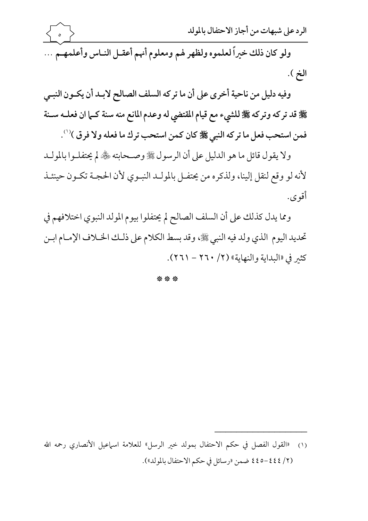

ولو كان ذلك خيراً لعلموه ولظهر لهم ومعلوم أنهم أعقـل النـاس وأعلمهـم ... الخ ).

وفيه دليل من ناحية أخرى على أن ما تركه السلف الصالح لابـد أن يكـون النبـي ﴾ قد تركه وتركه ﷺ للشيء مع قيام المقتضي له وعدم المانع منه سنة كـما ان فعلــه ســنة فمن استحب فعل ما تركه النبي ﷺ كان كمن استحب ترك ما فعله ولا فرق )''.

ولا يقول قائل ما هو الدليل على أن الرسول ﷺ وصـحابته ﴿ لَمَّ لِم يحتفلـوا بالمولـد لأنه لو وقع لنقل إلينا، ولذكره من يحتفـل بالمولـد النبـوي لأن الحجـة تكـون حينئـذ أقوى.

ومما يدل كذلك على أن السلف الصالح لم يحتفلوا بيوم المولد النبوي اختلافهم في تحديد اليوم الذي ولد فيه النبي ﷺ، وقد بسط الكلام على ذلك الخـلاف الإمـام ابـن كثير في «البداية والنهاية» (٢/ ٢٠٢٠ - ٢٦١).

\*\*\*

<sup>(</sup>٢/ ٤٤٤-٤٤٥ ضمن «رسائل في حكم الاحتفال بالمولد»).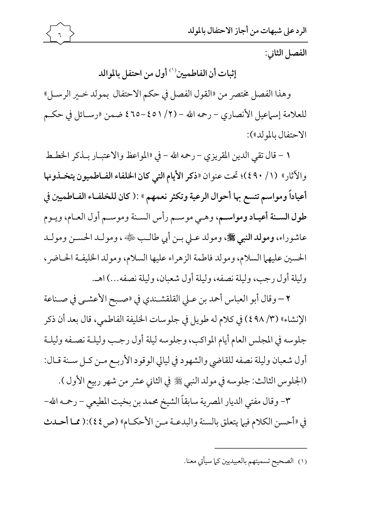الفصل الثاني:

إثبات أن الفاطميين<sup>(١)</sup> أول من احتفل بالموالد

وهذا الفصل مختصر من «القول الفصل في حكم الاحتفال بمولد خـير الرسـل» للعلامة إسماعيل الأنصاري – رحمه الله – (٢/ ٤٥١ه=٤٦٥ ضمن «رسـائل في حكـم الاحتفال بالمولد»):

١ - قال تقى الدين المقريزي - رحمه الله - في «المواعظ والاعتبـار بـذكر الخطـط والآثار» (١/ ٤٩٠)؛ تحت عنوان «ذكر الأيام التي كان الخلفاء الفـاطميون يتخـذونها أعياداً ومواسم تتسع بها أحوال الرعية وتكثر نعمهم » :( كان للخلفـاء الفـاطميين في طول السـنة أعيـاد ومواسـم، وهـي موسـم رأس السـنة وموسـم أول العـام، ويـوم عاشوراء، ومولد النبي ﷺ، ومولد عـلى بـن أبي طالـب ﷺ، ، ومولـد الحسـن ومولـد الحسين عليهما السلام، ومولد فاطمة الزهراء عليها السلام، ومولد الخليفة الحاضر، وليلة أول رجب، وليلة نصفه، وليلة أول شعبان، وليلة نصفه...) اهـ.

٢ –وقال أبو العباس أحمد بن عـلى القلقشـندي في «صـبح الأعشـي في صـناعة الإنشاء» (٣/ ٤٩٨) في كلام له طويل في جلوسات الخليفة الفاطمي، قال بعد أن ذكر جلوسه في المجلس العام أيام المواكب، وجلوسه ليلة أول رجب وليلـة نصـفه وليلـة أول شعبان وليلة نصفه للقاضي والشهود في ليالي الوقود الأربـع مـن كـل سـنة قـال: (الجلوس الثالث: جلوسه في مولد النبي ﷺ في الثاني عشر من شهر ربيع الأول ).

٣- وقال مفتى الديار المصرية سابقاً الشيخ محمد بن بخيت المطيعي – رحمه الله-في «أحسن الكلام فيها يتعلق بالسنة والبدعـة مـن الأحكـام» (ص٤٤):( ممـا أحـدث

(١) الصحيح تسميتهم بالعبيديين كما سيأتي معنا.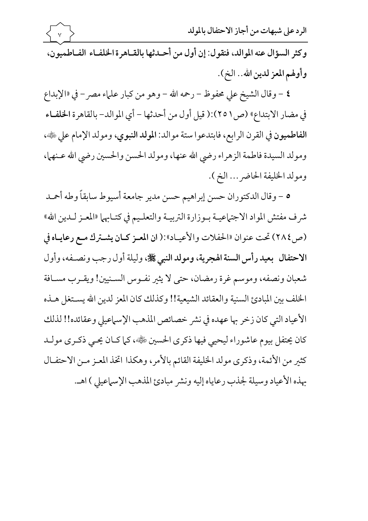

الرد على شبهات من أجاز الاحتفال بالمولد

وكثر السؤال عنه الموالد، فنقول: إن أول من أحـدثها بالقـاهر ة الخلفـاء الفـاطميون، وأولهم المعز لدين الله.. الخ).

٤ – وقال الشيخ على محفوظ – رحمه الله – وهو من كبار علماء مصر – في «الإبداع في مضار الابتداع» (ص ٢٥١):( قيل أول من أحدثها - أي الموالد- بالقاهرة الخلفـاء الفاطميون في القرن الرابع، فابتدعوا ستة موالد: المولد النبوي، ومولد الإمام على ﷺ، ومولد السيدة فاطمة الزهراء رضى الله عنها، ومولد الحسن والحسين رضى الله عـنهما، ومولد الخليفة الحاضر ... الخ ).

٥ – وقال الدكتوران حسن إبراهيم حسن مدير جامعة أسيوط سابقاً وطه أحمد شرف مفتش المواد الاجتهاعيــة بــوزارة التربيــة والتعلـيم في كتــابهها «المعـز لــدين الله» (ص ٢٨٤) تحت عنوان «الحفلات والأعيـاد»:( ان المعـز كـان يشـترك مـع رعايـاه في الاحتفال بعيد رأس السنة الهجرية، ومولد النبي ﷺ، وليلة أول رجب ونصفه، وأول شعبان ونصفه، وموسم غرة رمضان، حتى لا يثير نفـوس السـنيين! ويقـرب مسـافة الخلف بين المبادئ السنية والعقائد الشيعية!! وكذلك كان المعز لدين الله يستغل هـذه الأعياد التي كان زخر بها عهده في نشر خصائص المذهب الإسماعيلي وعقائده!! لذلك كان يحتفل بيوم عاشوراء ليحيى فيها ذكرى الحسين ﷺ، كما كـان يحـى ذكـرى مولـد كثير من الأئمة، وذكرى مولد الخليفة القائم بالأمر، وهكذا اتخذ المعـز مـن الاحتفـال بهذه الأعياد وسيلة لجذب رعاياه إليه ونشر مبادئ المذهب الإسماعيلي ) اهـ.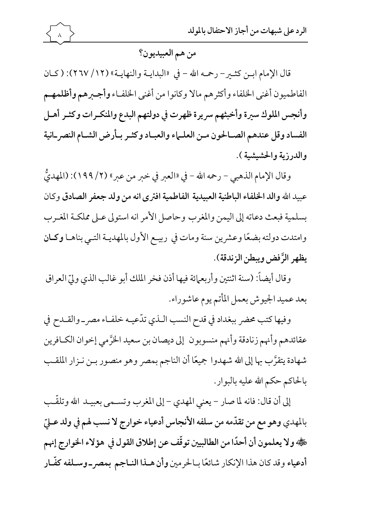من هم العبيديون؟

قال الإمام ابـن كثـير- رحمه الله - في «البدايـة والنهايـة» (١٢/ ٢٦٧): (كـان الفاطميون أغنى الخلفاء وأكثرهم مالا وكانوا من أغنى الخلفـاء وأجـبرهم وأظلمهـم وأنجس الملوك سيرة وأخبثهم سريرة ظهرت في دولتهم البدع والمنكـرات وكثـر أهـل الفساد وقل عندهم الصالحون مىن العلماء والعباد وكثر بأرض الشام النصر انية والدرزية والحشيشية).

وقال الإمام الذهبي - رحمه الله - في «العبر في خبر من عبر» (٢/ ١٩٩): (المهديٌّ عبيد الله والد الخلفاء الباطنية العبيدية الفاطمية افترى انه من ولد جعفر الصادق وكان بسلمية فبعث دعاته إلى اليمن والمغرب وحاصل الأمر انه استولى عـلى مملكـة المغـرب وامتدت دولته بضعًا وعشرين سنة ومات في ربيـع الأول بالمهديـة التـي بناهـا وكـان يظهر الرَّفض ويبطن الزندقة).

وقال أيضاً: (سنة اثنتين وأربعهائة فيها أذن فخر الملك أبو غالب الذي وليّ العراق بعد عميد الجيوش بعمل المأتم يوم عاشوراء.

وفيها كتب محضر ببغداد في قدح النسب الـذي تدّعيـه خلفـاء مصر\_والقـدح في عقائدهم وأنهم زنادقة وأنهم منسوبون إلى ديصان بن سعيد الخرَّمي إخوان الكـافرين شهادة يتقرَّب بها إلى الله شهدوا جميعًا أن الناجم بمصر وهو منصور بـن نـزار الملقـب بالحاكم حكم الله عليه بالبوار.

إلى أن قال: فانه لما صار – يعني المهدي – إلى المغرب وتســمي بعبيــد الله وتلقَّـب بالمهدي وهو مع من تقدَّمه من سلفه الأنجاس أدعياء خوارج لا نسب لهم في ولد عـليّ هْيُّهُ ولا يعلمون أن أحدًا من الطالبيين توقَّف عن إطلاق القول في هؤلاء الخوارج إنهم أدعياء وقد كان هذا الإنكار شائعًا بـالحرمين وأن هـذا النـاجم بمصر ـ وسـلفه كفَّـار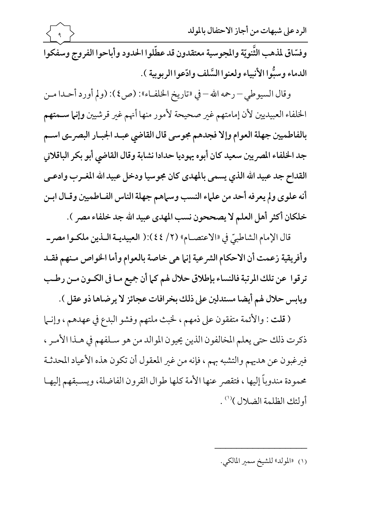الرد على شبهات من أجاز الاحتفال بالمولد

وفسّاق لمذهب الثَّنويّة والمجوسية معتقدون قد عطّلوا الحدود وأباحوا الفروج وسفكوا الدماء وسبُّوا الأنبياء ولعنوا السَّلف وادَّعوا الربوبية ).

وقال السيوطي – رحمه الله – في «تاريخ الخلف!»: (ص ٤): (ولم أورد أحـدا مـن الخلفاء العبيديين لأن إمامتهم غير صحيحة لأمور منها أنهم غير قرشيين وإنما سـمتهم بالفاطميين جهلة العوام وإلا فجدهم مجوسى قال القاضي عبد الجبار البصر-ى اسم جد الخلفاء المصريين سعيد كان أبوه يهوديا حدادا نشابة وقال القاضي أبو بكر الباقلاني القداح جد عبيد الله الذي يسمى بالمهدى كان مجوسيا ودخل عبيد الله المغـرب وادعـي أنه علوى ولم يعرفه أحد من علماء النسب وسماهم جهلة الناس الفـاطميين وقـال ابـن خلكان أكثر أهل العلم لا يصححون نسب المهدى عبيد الله جد خلفاء مصر ).

قال الإمام الشاطبيّ في «الاعتصـام» (٢/ ٤٤):( العبيديـة الـذين ملكـوا مصر\_ وأفريقية زعمت أن الاحكام الشرعية إنها هي خاصة بالعوام وأما الخواص منهم فقلد ترقوا عن تلك المرتبة فالنساء بإطلاق حلال لهم كما أن جميع مـا في الكـون مـن رطـب ويابس حلال لهم أيضا مستدلين على ذلك بخرافات عجائز لا يرضاها ذو عقل ).

(قلت : والأئمة متفقون على ذمهم ، لخبث ملتهم وفشو البدع في عهدهم ، وإنـما ذكرت ذلك حتى يعلم المخالفون الذين يحيون الموالد من هو سـلفهم في هـذا الأمـر ، فيرغبون عن هديهم والتشبه بهم ، فإنه من غير المعقول أن تكون هذه الأعياد المحدثـة محمودة مندوباً إليها ، فتقصر عنها الأمة كلها طوال القرون الفاضلة، ويسبقهم إليهـا أولئك الظلمة الضلال )(١).

(١) «المولد» للشيخ سمير المالكي.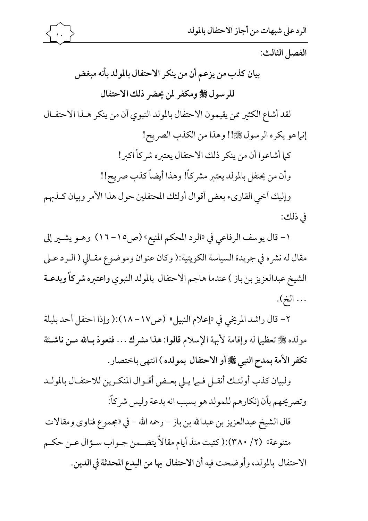

الفصل الثالث:

بيان كذب من يزعم أن من ينكر الاحتفال بالمولد بأنه مبغض للرسول ﷺ ومكفر لمن يحضر ذلك الاحتفال لقد أشاع الكثير ممن يقيمون الاحتفال بالمولد النبوي أن من ينكر هـذا الاحتفـال إنها هو يكره الرسول ﷺ!! وهذا من الكذب الصريح! كما أشاعوا أن من ينكر ذلك الاحتفال يعتبره شركاً اكبر! وأن من يحتفل بالمولد يعتبر مشركاً! وهذا أيضاً كذب صريح!! وإليك أخي القارىء بعض أقوال أولئك المحتفلين حول هذا الأمر وبيان كـذبهم

في ذلك:

١- قال يوسف الرفاعي في «الرد المحكم المنيع» (ص١٥- ١٦) وهـو يشـير إلى مقال له نشره في جريدة السياسة الكويتية:( وكان عنوان وموضوع مقـالي ( الـرد عـلي الشيخ عبدالعزيز بن باز ) عندما هاجم الاحتفال بالمولد النبوي واعتبره شركاً وبدعـة ... الخ).

٢- قال راشد المريخي في «إعلام النبيل» (ص١٧- ١٨):( وإذا احتفل أحد بليلة مولده ﷺ تعظيها له وإقامة لأبهة الإسلام قالوا: هذا مشرك . . . فنعوذ بـالله مـن ناشـئة تكفر الأمة بمدح النبي ﷺ أو الاحتفال بمولده ) انتهى باختصار .

ولبيان كذب أولئك أنقـل فـيها يـلى بعـض أقـوال المنكـرين للاحتفـال بالمولـد وتصريحهم بأن إنكارهم للمولد هو بسبب انه بدعة وليس شركاً:

قال الشيخ عبدالعزيز بن عبدالله بن باز – رحمه الله – في «مجموع فتاوى ومقالات متنوعة» (٢/ ٣٨٠):(كتبت منذ أيام مقالاً يتضـمن جـواب سـؤال عـن حكـم الاحتفال بالمولد، وأوضحت فيه أن الاحتفال بها من البدع المحدثة في الدين.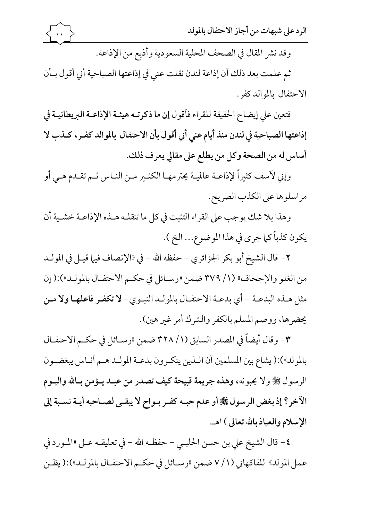وقد نشر المقال في الصحف المحلية السعودية وأذيع من الإذاعة.

ثم علمت بعد ذلك أن إذاعة لندن نقلت عنى في إذاعتها الصباحية أني أقول بـأن الاحتفال بالموالد كفر .

فتعين على إيضاح الحقيقة للقراء فأقول إن ما ذكرتـه هيئـة الإذاعـة البريطانيـة في إذاعتها الصباحية في لندن منذ أيام عني أني أقول بأن الاحتفال بالموالد كفـر، كـذب لا أساس له من الصحة وكل من يطلع على مقالي يعرف ذلك.

وإني لآسف كثيراً لإذاعـة عالميـة يحترمهـا الكثـير مـن النـاس ثـم تقـدم هـي أو مراسلوها على الكذب الصريح.

وهذا بلا شك يوجب على القراء التثبت في كل ما تنقلـه هــذه الإذاعــة خشــية أن يكون كذباً كما جرى في هذا الموضوع... الخ ).

٢ – قال الشيخ أبو بكر الجزائري – حفظه الله – في «الإنصاف فيها قيـل في المولـد من الغلو والإجحاف» (١/ ٣٧٩ ضمن «رسـائل في حكـم الاحتفـال بالمولـد»):( إن مثل هـذه البدعـة - أي بدعـة الاحتفـال بالمولـد النبـوي- لا تكفـر فاعلهـا ولا مـن يحضرها، ووصم المسلم بالكفر والشرك أمر غير هين).

٣- وقال أيضاً في المصدر السابق (١/ ٣٢٨ ضمن «رسـائل في حكـم الاحتفـال بالمولد»):( يشاع بين المسلمين أن الـذين ينكـرون بدعـة المولـد هـم أنـاس يبغضـون الرسول ﷺ ولا يحبونه، وهذه جريمة قبيحة كيف تصدر من عبـد يـؤمن بـالله واليـوم الآخر؟ إذ بغض الرسول ﷺ أو عدم حبه كفر بواح لا يبقى لصاحبه أيـة نسـبة إلى الإسلام والعياذ بالله تعالى ) اهـ.

٤- قال الشيخ على بن حسن الحلبـي - حفظـه الله - في تعليقـه عـلى «المـورد في عمل المولد» للفاكهاني (١/ ٧ ضمن «رسـائل في حكـم الاحتفــال بالمولــد»):( يظــن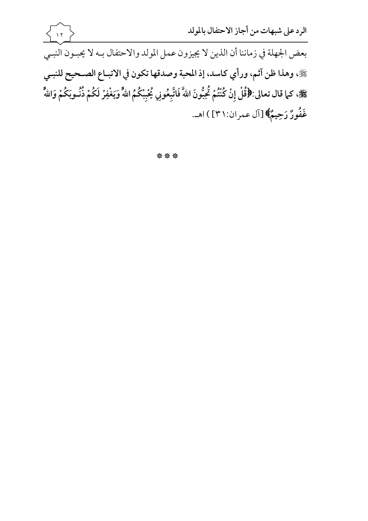

\*\*\*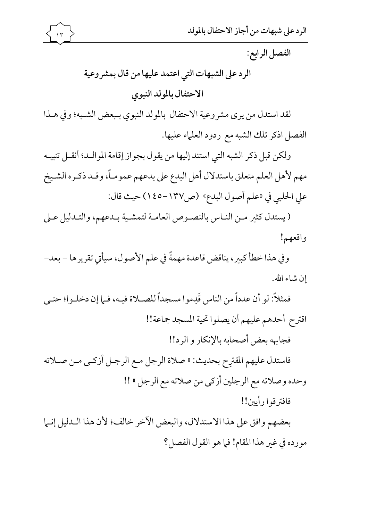

الفصل الرابع:

الرد على الشبهات التي اعتمد عليها من قال بمشر وعية الاحتفال بالمولد النبوى

لقد استدل من يرى مشروعية الاحتفال بالمولد النبوي بـبعض الشـبه؛ وفي هـذا الفصل اذكر تلك الشبه مع ردود العلماء عليها.

ولكن قبل ذكر الشبه التي استند إليها من يقول بجواز إقامة الموالله؛ أنقـل تنبيـه مهم لأهل العلم متعلق باستدلال أهل البدع على بدعهم عمومـاً، وقـد ذكـره الشـيخ على الحلبي في «علم أصول البدع» (ص١٣٧-١٤٥) حيث قال:

(يستدل كثير مـن النـاس بالنصـوص العامـة لتمشـية بـدعهم، والتـدليل عـلى واقعهم!

وفي هذا خطأ كبير، يناقض قاعدة مهمةً في علم الأصول، سيأتي تقريرها – بعد– إن شاء الله.

فمثلاً: لو أن عدداً من الناس قَدِموا مسجداً للصــلاة فيـه، فــلما إن دخلــوا؛ حتــي اقترح أحدهم عليهم أن يصلوا تحية المسجد جماعة!! فجابهه بعض أصحابه بالإنكار و الرد!! فاستدل عليهم المقترِح بحديث: « صلاة الرجل مـع الرجـل أزكـي مـن صـلاته وحده وصلاته مع الرجلين أزكي من صلاته مع الرجل » !! فافترقوا رأيين!!

بعضهم وافق على هذا الاستدلال، والبعض الآخر خالف؛ لأن هذا الـدليل إنـما مورده في غير هذا المقام! في هو القول الفصل؟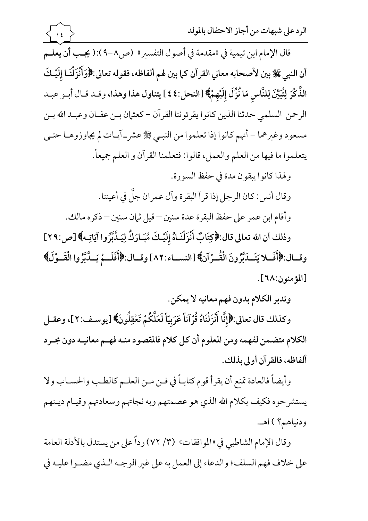قال الإمام ابن تيمية في «مقدمة في أصول التفسير» (ص٨-٩):( يجب أن يعلـم أن النبي ﷺ بين لأصحابه معاني القرآن كما بين لهم ألفاظه، فقوله تعالى:﴿وَأَنْزَلْنَا إِلَيْكَ الذِّكْرَ لِتُبَيِّنَ لِلنَّاسِ مَا نُزِّلَ إِلَيْهِمْ﴾ [النحل:٤٤ ] يتناول هذا وهذا، وقـد قـال أبـو عبـد الرحمن السلمي حدثنا الذين كانوا يقرئوننا القرآن – كعثمان بـن عفـان وعبـد الله بـن مسعود وغيرهما – أنهم كانوا إذا تعلموا من النبـي ﷺ عشر\_ آيـات لم يجاوزوهـا حتـي يتعلموا ما فيها من العلم والعمل، قالوا: فتعلمنا القرآن و العلم جميعاً.

 $\rightarrow$ 

ولهذا كانوا يبقون مدة في حفظ السورة.

وقال أنس: كان الرجل إذا قرأ البقرة وآل عمران جلَّ في أعيننا.

وأقام ابن عمر على حفظ البقرة عدة سنين – قيل ثمان سنين – ذكره مالك.

وذلك أن الله تعالى قال:﴿كِتَابٌ أَنْزَلْنَـاهُ إِلَيْـكَ مُبَـارَكٌ لِيَـدَّبَّرُوا آيَاتِـه﴾ [ص:٢٩] وقبال:﴿أَفَسِلا يَتَسَدَبَّرُونَ الْقُــرْآنِ﴾ [النسباء:٨٢] وقبال:﴿أَفَلَــمْ يَسَدَّبَّرُوا الْقَــوْلَ﴾ [المؤمنون:٦٨].

وتدبر الكلام بدون فهم معانيه لا يمكن.

وكذلك قال تعالى:﴿إِنَّا أَنْزَلْنَاهُ قُرْآناً عَرَبِيّاً لَعَلَّكُمْ تَعْقِلُونَ﴾ [يوسـف:٢]، وعقـل الكلام متضمن لفهمه ومن المعلوم أن كل كلام فالمقصود منـه فهـم معانيـه دون مجـرد ألفاظه، فالقرآن أولى بذلك.

وأيضاً فالعادة تمنع أن يقرأ قوم كتابـاً في فــن مــن العلــم كالطـب والحســاب ولا يستشر حوه فكيف بكلام الله الذي هو عصمتهم وبه نجاتهم وسعادتهم وقيـام ديـنهم ودنياهيم؟ ) اهـ.

وقال الإمام الشاطبي في «الموافقات» (٣/ ٧٢) رداً على من يستدل بالأدلة العامة على خلاف فهم السلف؛ والدعاء إلى العمل به على غير الوجـه الـذي مضـوا عليـه في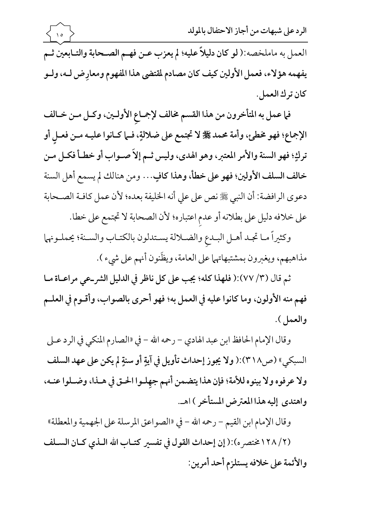

الرد على شبهات من أجاز الاحتفال بالمولد

العمل به ماملخصه:( لو كان دليلاً عليه؛ لم يعزب عـن فهـم الصـحابة والتـابعين ثـم يفهمه هؤلاء، فعمل الأولين كيف كان مصادم لمقتضى هذا المفهوم ومعارِض لـه، ولـو كان ترك العمل.

فما عمل به المتأخرون من هذا القسم مخالف لإجماعِ الأولـين، وكـل مـن خـالف الإجماع؛ فهو مخطئ، وأمة محمد ﷺ لا تجتمع على ضلالةٍ، فـما كـانوا عليـه مـن فعـل أو تركِ؛ فهو السنة والأمر المعتبر، وهو الهدي، وليس ثـم إلاَ صـواب أو خطـأ فكـل مـن خالف السلف الأولين؛ فهو على خطأ، وهذا كافٍ... ومن هنالك لم يسمع أهل السنة دعوى الرافضة: أن النبي ﷺ نص على على أنه الخليفة بعده؛ لأن عمل كافـة الصـحابة على خلافه دليل على بطلانه أو عدم اعتباره؛ لأن الصحابة لا تجتمع على خطا.

وكثيراً مـا تجـد أهـل البـدع والضـلالة يسـتدلون بالكتـاب والسـنة؛ يحملـونهما مذاهبهم، ويغبرون بمشتبهاتهما على العامة، ويظِّنون أنهم على شيء ).

ثم قال (٣/ ٧٧):( فلهذا كله؛ يجب على كل ناظر في الدليل الشر-عي مراعــاة مـا فهم منه الأولون، وما كانوا عليه في العمل به؛ فهو أحرى بالصواب، وأقـوم في العلـم والعمل).

وقال الإمام الحافظ ابن عبد الهادي – رحمه الله – في «الصارم المنكي في الرد عـلى السبكي» (ص٣١٨):( ولا يجوز إحداث تأويل في آيةٍ أو سنةٍ لم يكن على عهد السلف ولا عرفوه ولا بينوه للأمة؛ فإن هذا يتضمن أنهم جهلوا الحتى في هـذا، وضـلوا عنـه، واهتدى إليه هذا المعترض المستأخر ) اهـ.

وقال الإمام ابن القيم – رحمه الله – في «الصواعق المرسلة على الجهمية والمعطلة» (٢/ ١٢٨ختصر ه):( إن إحداث القول في تفسير كتـاب الله الـذي كـان السـلف والأئمة على خلافه يستلزم أحد أمرين: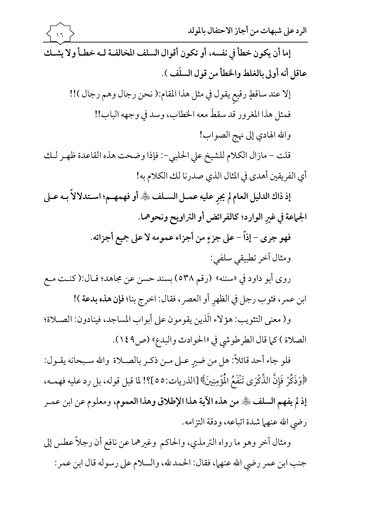الرد على شبهات من أجاز الاحتفال بالمولد إما أن يكون خطأ في نفسه، أو تكون أقوال السلف المخالفـة لـه خطـأ ولا يشـك عاقل أنه أولى بالغلط والخطأ من قول السلَف ). إلا عند ساقطٍ رقيع يقول في مثل هذا المقام:( نحن رجال وهم رجال )!! فمثل هذا المغرور قد سقطَ معه الخطاب، وسد في وجهه الباب!! والله الهادي إلى نهج الصواب! قلت - مازال الكلام للشيخ على الحلبي-: فإذا وضحت هذه القاعدة ظهـر لـك أي الفريقين أهدى في المثال الذي صدرنا لك الكلام به! إذ ذاك الدليل العام لم يجر عليه عمـل السـلف ﷺ أو فهمهـم؛ اسـتدلالاً بـه عـلى الجماعة في غير الوارد؛ كالفرائض أو التراويح ونحوهما. فهو جرى – إذاً – على جزءٍ من أجزاء عمومه لا على جميع أجزائه. ومثال آخر تطبيقي سلفي: روى أبو داود في «سننه» (رقم ٥٣٨) بسند حسن عن مجاهد؛ قـال:(كنـت مـع ابن عمر، فثوب رجل في الظهر أو العصر، فقال: اخرج بنا؛ فإن هذه بدعة )! و( معنى التثويب: هؤلاء الّذين يقومون على أبواب المساجد، فينادون: الصـلاة؛ الصلاة) كما قال الطرطوشي في «الحوادث والبدع» (ص٩١٤٩).

فلو جاء أحد قائلاً: هل من ضير عـلى مـن ذكـر بالصــلاة والله سـبحانه يقــول: ﴿وَذَكِّرْ فَإِنَّ الذِّكْرَى تَنْفَعُ الْمُؤْمِنِينَ﴾ [الذريات:٥٥]؟! لما قبل قوله، بل رد عليه فهمـه، إذ لم يفهم السلف ﴿ مِن هذه الآية هذا الإطلاق وهذا العموم، ومعلوم عن ابن عمـر رضي الله عنهما شدة اتباعه، ودقة التزامه.

ومثال آخر وهو ما رواه الترمذي، والحاكم وغيرهما عن نافع أن رجلاً عطس إلى جنب ابن عمر رضي الله عنهما، فقال: الحمد لله، والسلام على رسوله قال ابن عمر: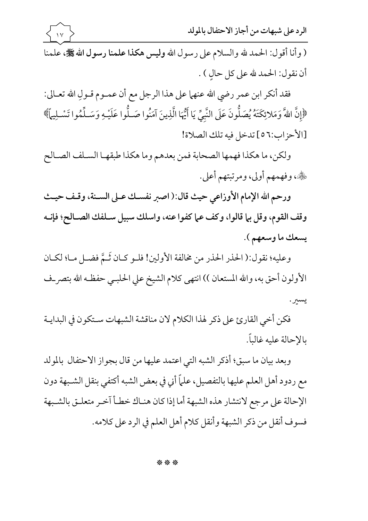الرد على شبهات من أجاز الاحتفال بالمولد

( وأنا أقول: الحمد لله والسلام على رسول الله وليس هكذا علمنا رسول الله على علمنا أن نقول: الحمد لله على كل حالٍ ) .

فقد أنكر ابن عمر رضي الله عنهما على هذا الرجل مع أن عمـوم قـولِ الله تعـالى: ﴿إِنَّ اللَّهَ وَمَلائِكَتَهُ يُصَلُّونَ عَلَى النَّبِيِّ يَا أَيُّهَا الَّذِينَ آمَنُوا صَـلُّوا عَلَيْـهِ وَسَـلِّمُوا تَسْـلِيهَم ﴾ [الأحزاب:٥٦] تدخل فيه تلك الصلاة!

ولكن، ما هكذا فهمها الصحابة فمن بعدهم وما هكذا طبقهـا السـلف الصـالح ﷺ، وفهمهم أولى، ومرتبتهم أعلى.

ورحم الله الإمام الأوزاعي حيث قال:( اصبر نفسك عـلى السـنة، وقـف حيـث وقف القوم، وقل بيا قالوا، وكف عيا كفوا عنه، واسلك سبيل سـلفك الصـالح؛ فإنـه يسعك ما وسعهم ).

وعليه؛ نقول:( الحذر الحذر من مخالفة الأولين! فلـو كـان ثَـمَّ فضـل مـا؛ لكـان الأولون أحق به، والله المستعان )) انتهى كلام الشيخ على الحلبـي حفظـه الله بتصر\_ف يسبر .

فكن أخي القارئ على ذكر لهذا الكلام لان مناقشة الشبهات سـتكون في البدايـة بالإحالة عليه غالباً.

وبعد بيان ما سبق؛ أذكر الشبه التي اعتمد عليها من قال بجواز الاحتفال بالمولد مع ردود أهل العلم عليها بالتفصيل، علماً أني في بعض الشبه أكتفي بنقل الشـبهة دون الإحالة على مرجع لانتشار هذه الشبهة أما إذا كان هنـاك خطـأ آخـر متعلـق بالشـبهة فسوف أنقل من ذكر الشبهة وأنقل كلام أهل العلم في الرد على كلامه.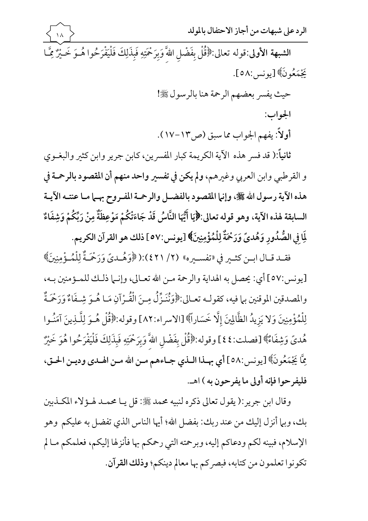الرد على شبهات من أجاز الاحتفال بالمولد الشبهة الأولى:قوله تعالى:﴿قُلْ بِفَضْلِ اللَّهَ وَبِرَحْمَتِهِ فَبِذَلِكَ فَلْيَفْرَحُوا هُــوَ خَـيْرٌ مِمَّـا يَجْمَعُو نَ﴾[يونس:٥٨].

حيث يفسر بعضهم الرحمة هنا بالرسول ﷺ!

الجواب:

أولاً: يفهم الجواب مما سبق (ص١٣-١٧).

ثانياً:( قد فسر هذه الآية الكريمة كبار المفسرين، كابن جرير وابن كثير والبغــوي و القرطبي وابن العربي وغيرهم، ولم يكن في تفسير واحد منهم أن المقصود بالرحمة في هذه الآية رسول الله ﷺ، وإنها المقصود بالفضـل والرحمـة المفـروح بهـما مـا عنتـه الآيـة السابقة لهذه الآية، وهو قوله تعالى:﴿إِيَا أَيُّهَا النَّاسُ قَدْ جَاءَتْكُمْ مَوْعِظَةٌ مِنْ رَبِّكُمْ وَشِفَاءٌ لِمَا فِي الصُّدُورِ وَهُدِيَّ وَرَحْمَةٌ لِلْمُؤْمِنِينَ﴾ [يونس:٥٧ ] ذلك هو القرآن الكريم.

فقـد قـال ابــن كثــير في «تفســيره» (٢/ ٤٢١):(﴿وَهُــديَّ وَرَحْمَـةٌ لِلْمُــؤْمِنِينَ﴾ [يونس:٥٧] أي: يحصل به الهداية والرحمة مـن الله تعـالي، وإنـما ذلـك للمـؤمنين بـه، والمصدقين الموقنين بيا فيه، كقولـه تعـالى:﴿وَنَنَزَّلُ مِـنَ الْقُـرْآنِ مَـا هُـوَ شِـفَاءٌ وَرَحْمَةٌ لِلْمُؤْمِنِينَ وَلا يَزِيدُ الظَّالِينَ إِلَّا خَسَاراً﴾ [الاسراء:٨٢] وقوله:﴿قُلْ هُـوَ لِلَّـٰذِينَ آمَنُـوا هُديَّ وَشِفَاءٌ﴾ [فصلت:٤٤] وقوله:﴿قُلْ بِفَضْلِ اللَّهَ وَبِرَحْمَتِهِ فَبِذَلِكَ فَلْيَفْرَحُوا هُوَ خَيْرٌ مِمَّا يَجْمَعُونَ﴾ [يونس:٥٨] أي بهـذا الـذي جـاءهم مـن الله مـن الهـدى وديـن الحـق، فليفر حوا فإنه أولى ما يفر حون به ) اهـ.

وقال ابن جرير :( يقول تعالى ذكره لنبيه محمد ﷺ: قل يـا محمـد لهـؤلاء المكـذبين بك، وبيا أنزل إليك من عند ربك: بفضل الله؛ أيها الناس الذي تفضل به عليكم وهو الإسلام، فبينه لكم ودعاكم إليه، وبرحمته التي رحمكم بها فأنزلها إليكم، فعلمكم مـالم تكونوا تعلمون من كتابه، فبصر كم بها معالم دينكم؛ وذلك القرآن.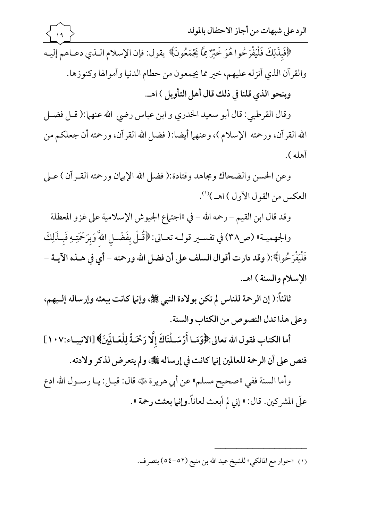وقال القرطبي: قال أبو سعيد الخدري و ابن عباس رضي الله عنهما:( قـل فضـل الله القرآن، ورحمته الإسلام )، وعنهما أيضا:( فضل الله القرآن، ورحمته أن جعلكم من أهله ).

وعن الحسن والضحاك ومجاهد وقتادة:( فضل الله الإيهان ورحمته القـرآن ) عـلى العكس من القول الأول ) اهـ )''.

وقد قال ابن القيم – رحمه الله – في «اجتماع الجيوش الإسلامية على غزو المعطلة

والجهميـة» (ص٣٨) في تفسـير قولـه تعـالى: ﴿قُلْ بِفَضْـلِ اللَّهَ وَبِرَحْمَتِهِ فَبِـذَلِكَ فَلْيَفْرَحُوا﴾:( وقد دارت أقوال السلف على أن فضل الله ورحمته – أي في هــذه الآيــة – الإسلام والسنة ) اهـ.

ثالثاً:( إن الرحمة للناس لم تكن بولادة النبي ﷺ، وإنها كانت ببعثه وإرساله إلـيهم، وعلى هذا تدل النصوص من الكتاب والسنة.

أما الكتاب فقول الله تعالى: ﴿ وَمَا أَرْسَـلْنَاكَ إِلَّا رَحْمَـةً لِلْعَـالَمِينَ﴾ [الانبيـاء:١٠٧] فنص على أن الرحمة للعالمين إنها كانت في إرساله ﷺ، ولم يتعرض لذكر ولادته.

وأما السنة ففي «صحيح مسلم» عن أبي هريرة ﷺ قال: قيـل: يـا رسـول الله ادع علَى المشركين. قال: « إني لم أبعث لعاناً.وإنما بعثت رحمة ».

(١) «حوار مع المالكي» للشيخ عبد الله بن منيع (٥٢-٥٤) بتصرف.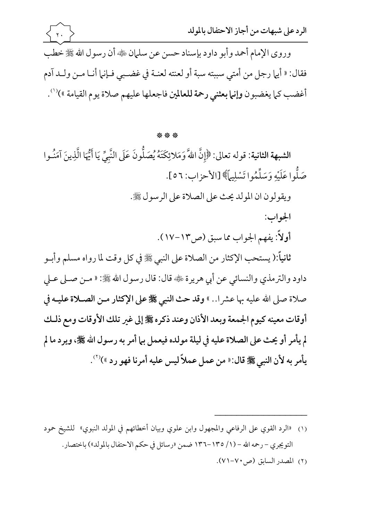أغضب كما يغضبون وإنما بعثني رحمة للعالمين فاجعلها عليهم صلاة يوم القيامة »)<sup>(١)</sup>.

## \*\*\*

الشبهة الثانية: قوله تعالى: ﴿إِنَّ اللَّهَ وَمَلائِكَتَهُ يُصَلُّونَ عَلَى النَّبِيِّ يَا أَيُّهَا الَّذِينَ آمَنُوا صَلُّوا عَلَيْهِ وَسَلِّمُوا تَسْلِيهاً﴾ [الأحزاب: ٥٦].

ويقولون ان المولد يحث على الصلاة على الرسول ﷺ.

الجواب: أولاً: يفهم الجواب مما سبق (ص١٣-١٧).

ثانياً:( يستحب الإكثار من الصلاة على النبي ﷺ في كل وقت لما رواه مسلم وأبـو داود والترمذي والنسائي عن أبي هريرة ﷺ: لا يسول الله ﷺ: « مـن صـلى عـلى صلاة صلى الله عليه بها عشرا.. » وقد حث النبي ﷺ على الإكثار مـن الصـلاة عليـه في أوقات معينه كيوم الجمعة وبعد الأذان وعند ذكره ﷺ إلى غير تلك الأوقات ومع ذلك لم يأمر أو يحث على الصلاة عليه في ليلة مولده فيعمل بيا أمر به رسول الله ﷺ، ويرد ما لم يأمر به لأن النبي ﷺ قال: « من عمل عملاً ليس عليه أمرنا فهو رد »)(``.

- التويجري – رحمه الله – (١/ ١٣٥–١٣٦ ضمن «رسائل في حكم الاحتفال بالمولد») باختصار .
	- (٢) المصدر السابق (ص٧٠-٧١).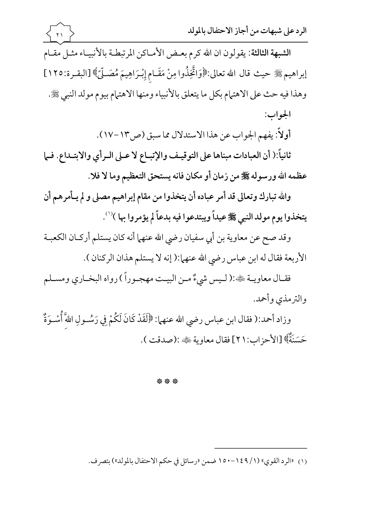الشبهة الثالثة: يقولون ان الله كرم بعض الأمـاكن المرتبطـة بالأنبيـاء مثـل مقـام إبراهيم ﷺ حيث قال الله تعالى:﴿وَاتَّخِذُوا مِنْ مَقَـام إِبْـرَاهِيمَ مُصَـلِّيً﴾ [البقـرة:١٢٥] وهذا فيه حث على الاهتمام بكل ما يتعلق بالأنبياء ومنها الاهتمام بيوم مولد النبي ﷺ. الجواب:

 $\overline{Y}$ 

أولاً: يفهم الجواب عن هذا الاستدلال مما سبق (ص١٣-١٧).

ثانياً:( أن العبادات مبناها على التوقيف والإتبـاع لا عـلى الـرأي والابتـداع. فـما عظمه الله ورسوله ﷺ من زمان أو مكان فانه يستحق التعظيم وما لا فلا.

والله تبارك وتعالى قد أمر عباده أن يتخذوا من مقام إبراهيم مصلى و لم يـأمرهم أن يتخذوا يوم مولد النبي ﷺ عيداً ويبتدعوا فيه بدعاً لم يؤمروا بها )'''.

وقد صح عن معاوية بن أبي سفيان رضي الله عنهما أنه كان يستلم أركـان الكعبــة الأربعة فقال له ابن عباس رضي الله عنهما:( إنه لا يستلم هذان الركنان ).

فقـال معاويـة ﷺ:( لـيس شيءٌ مـن البيـت مهجـوراً ) رواه البخـاري ومسـلم والترمذي وأحمد.

وزاد أحمد:( فقال ابن عباس رضي الله عنهما: ﴿لَقَدْ كَانَ لَكُمْ فِي رَسُـولِ اللَّهَ أُسْـوَةٌ حَسَنَةٌ﴾ [الأحز اب:٢١] فقال معاوية ﷺ: (صدقت ).

\*\*\*

(١) «الرد القوى» (١/ ١٤٩-١٥٠ ضمن «رسائل في حكم الاحتفال بالمولد») بتصرف.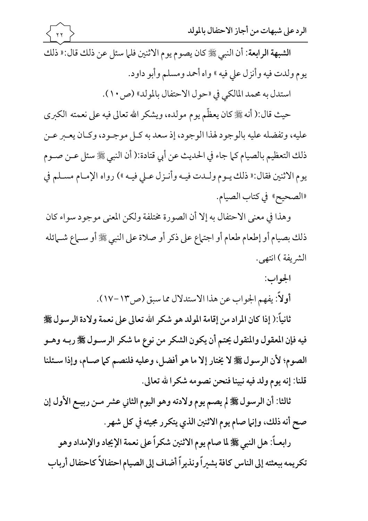الشبهة الرابعة: أن النبي ﷺ كان يصوم يوم الاثنين فلما سئل عن ذلك قال:« ذلك يوم ولدت فيه وأنزل على فيه » واه أحمد ومسلم وأبو داود.

استدل به محمد المالكي في «حول الاحتفال بالمولد» (ص١٠).

حيث قال:( أنه ﷺ كان يعظّم يوم مولده، ويشكر الله تعالى فيه على نعمته الكبرى عليه، وتفضله عليه بالوجود لهذا الوجود، إذ سعد به كـل موجـود، وكـان يعـبر عـن ذلك التعظيم بالصيام كما جاء في الحديث عن أبي قتادة:( أن النبي ﷺ سئل عـن صـوم يوم الاثنين فقال:« ذلك يـوم ولـدت فيـه وأنـزل عـلى فيـه ») رواه الإمـام مسـلم في «الصحيح» في كتاب الصيام.

وهذا في معنى الاحتفال به إلا أن الصورة مختلفة ولكن المعنى موجود سواء كان ذلك بصيام أو إطعام طعام أو اجتهاع على ذكر أو صلاة على النبي ﷺ أو سـماع شـمائله الشريفة ) انتهى.

> الجواب: أولاً: يفهم الجواب عن هذا الاستدلال مما سبق (ص١٣-١٧).

ثانياً:( إذا كان المراد من إقامة المولد هو شكر الله تعالى على نعمة ولادة الرسول ﷺ فيه فإن المعقول والمنقول يحتم أن يكون الشكر من نوع ما شكر الرسـول ﷺ ربـه وهـو الصوم؛ لأن الرسول ﷺ لا يختار إلا ما هو أفضل، وعليه فلنصم كما صـام، وإذا سـئلنا قلنا: إنه يوم ولد فيه نبينا فنحن نصومه شكرا لله تعالى.

ثالثا: أن الرسول ﷺ لم يصم يوم ولادته وهو اليوم الثاني عشر مـن ربيـع الأول إن صح أنه ذلك، وإنها صام يوم الاثنين الذي يتكرر مجيئه في كل شهر.

رابعـاً: هل النبي ﷺ لما صام يوم الاثنين شكراً على نعمة الإيجاد والإمداد وهو تكريمه ببعثته إلى الناس كافة بشيراً ونذيراً أضاف إلى الصيام احتفالاً كاحتفال أرباب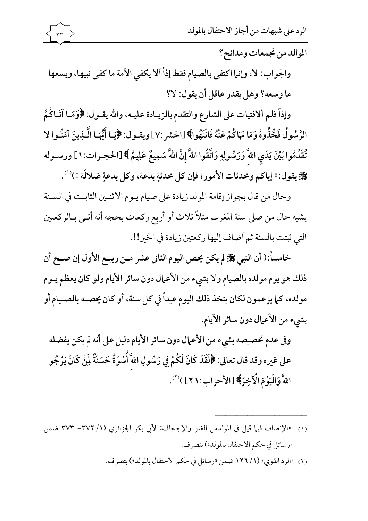الموالد من تجمعات ومدائح؟

والجواب: لا، وإنها اكتفى بالصيام فقط إذاً ألا يكفي الأمة ما كفي نبيها، ويسعها ما وسعه؟ وهل يقدر عاقل أن يقول: لا؟

وإذاً فلم ألافتيات على الشارع والتقدم بالزيـادة عليـه، والله يقـول: ﴿وَمَـا آتَـاكُمُ الرَّسُولُ فَخُذُوهُ وَمَا نَهَاكُمْ عَنْهُ فَانْتَهُوا﴾ [الحشر :٧] ويقـول: ﴿يَا أَيُّهَا الَّـذِينَ آمَنُـوا لا نَّقَدِّمُوا بَيْنَ يَدَي اللَّهَ وَرَسُولِهِ وَاتَّقُوا اللَّهَ إِنَّ اللَّهَ سَمِيعٌ عَلِيمٌ ﴾ [الحجـرات:١ ] ورسـوله 鬻يقول: « إياكم ومحدثات الأمور؛ فإن كل محدثةٍ بدعة، وكل بدعةٍ ضلالَة »)'''.

وحال من قال بجواز إقامة المولد زيادة على صيام يـوم الاثنـين الثابـت في السـنة يشبه حال من صلى سنة المغرب مثلاً ثلاث أو أربع ركعات بحجة أنه أتـي بـالركعتين التي ثبتت بالسنة ثم أضاف إليها ركعتين زيادة في الخير!!.

خامساً:( أن النبي ﷺ لم يكن يخص اليوم الثاني عشر مـن ربيـع الأول إن صـح أن ذلك هو يوم مولده بالصيام ولا بشيء من الأعمال دون سائر الأيام ولو كان يعظم يـوم مولده، كما يزعمون لكان يتخذ ذلك اليوم عيداً في كل سنة، أو كان يخصـه بالصـيام أو بشيء من الأعمال دون سائر الأيام.

وفي عدم تخصيصه بشيء من الأعمال دون سائر الأيام دليل على أنه لم يكن يفضله على غيره وقد قال تعالى: ﴿لَقَدْ كَانَ لَكُمْ فِي رَسُولِ اللَّهَ أُسْوَةٌ حَسَنَةٌ لِّنْ كَانَ يَرْجُو اللَّهَ وَالْيَوْمَ الْآخِرَ﴾ [الأحزاب: ٢١] )(").

(١) «الإنصاف فيها قيل في المولدمن الغلو والإجحاف» لأبي بكر الجزائري (١/ ٣٧٢– ٣٧٣ ضمن «رسائل في حكم الاحتفال بالمولد») بتصر ف.

(٢) «الرد القوي» (١/ ١٢٦ ضمن «رسائل في حكم الاحتفال بالمولد») بتصرف.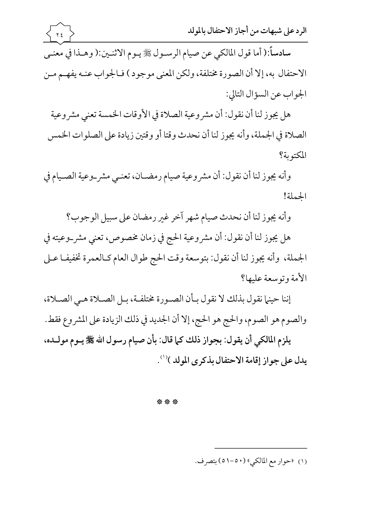سادساً:( أما قول المالكي عن صيام الرسـول ﷺ يـوم الاثنـين:( وهـذا في معنـي الاحتفال به، إلا أن الصورة مختلفة، ولكن المعنى موجود ) فـالجواب عنـه يفهـم مـن الجواب عن السؤال التالي:

هل يجوز لنا ان نقول: ان مشروعية الصلاة في الاوقات الخمسة تعني مشروعية لصلاة في الجملة، وأنه يجوز لنا أن نحدث وقتا أو وقتين زيادة على الصلوات الخمس  $\vert$ المكتوبة؟

وانه يجوز لنا ان نقول: ان مشروعية صيام رمضــان، تعنــي مشر\_وعية الصــيام في الحملة!

وأنه يجوز لنا أن نحدث صيام شهر اخر غير رمضان على سبيل الوجوب؟

هل يجوز لنا أن نقول: أن مشروعية الحج في زمان مخصوص، تعني مشر\_وعيته في الجملة، وأنه يجوز لنا أن نقول: بتوسعة وقت الحج طوال العام كـالعمرة تخفيفـا عـلى الأمة و توسعة عليها؟

إننا حينها نقول بذلك لا نقول بـأن الصـورة مختلفـة، بـل الصـلاة هـي الصـلاة، والصوم هو الصوم، والحج هو الحج، إلا أن الجديد في ذلك الزيادة على المشروع فقط. يلزم المالكي أن يقول: بجواز ذلك كما قال: بأن صيام رسول الله ﷺ يـوم مولـده، يدل على جواز إقامة الاحتفال بذكرى المولد )(').

\* \* \*

(١) «حوار مع المالكي» (٥٠-٥١) بتصرف.

ـــــــــــــــــ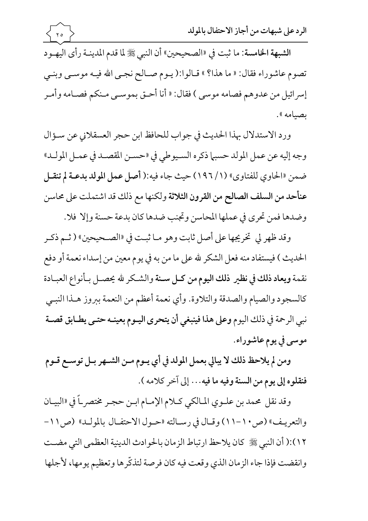الرد على شبهات من أجاز الاحتفال بالمولد  $\gamma$ الشبهة الخامسة: ما ثبت في «الصحيحين» أن النبي ﷺ لما قدم المدينـة رأى اليهـود تصوم عاشوراء فقال: « ما هذا؟ » قـالوا:( يـوم صـالح نجـي الله فيـه موسـي وبنـي إسرائيل من عدوهم فصامه موسى ) فقال: « أنا أحـق بموسـى مـنكم فصـامه وأمـر بصيامه ».

ورد الاستدلال بهذا الحديث في جواب للحافظ ابن حجر العسقلاني عن سؤال وجه إليه عن عمل المولد حسبها ذكره السـيوطي في «حسـن المقصـد في عمـل المولـد» ضمن «الحاوي للفتاوي» (١/ ١٩٦) حيث جاء فيه:( أصل عمل المولد بدعـة لم تنقـل عنأحد من السلف الصالح من القرون الثلاثة ولكنها مع ذلك قد اشتملت على محاسن وضدها فمن تحري في عملها المحاسن وتجنب ضدها كان بدعة حسنة وإلا فلا.

وقد ظهر لي تخريجها على أصل ثابت وهو مـا ثبـت في «الصـحيحين» ( ثـم ذكـر الحديث ) فيستفاد منه فعل الشكر لله على ما من به في يوم معين من إسداء نعمة أو دفع نقمة ويعاد ذلك في نظير ذلك اليوم من كـل سـنة والشـكر لله يحصـل بـأنواع العبـادة كالسجود والصيام والصدقة والتلاوة. وأي نعمة أعظم من النعمة ببروز هـذا النبـي نبي الرحمة في ذلك اليوم وعلى هذا فينبغي أن يتحرى اليـوم بعينـه حتـى يطـابق قصـة موسى في يوم عاشوراء.

ومن لم يلاحظ ذلك لا يبالي بعمل المولد في أي يــوم مــن الشــهر بــل توســع قــوم فنقلوه إلى يوم من السنة وفيه ما فيه. . . إلى آخر كلامه ).

وقد نقل محمد بن علـوى المـالكي كـلام الإمـام ابـن حجـر مختصر\_اً في «البيـان والتعريف» (ص ١٠-١١) وقبال في رسيالته «حبول الاحتفيال بالموليد» (ص ١١-١٢):( أن النبي ﷺ كان يلاحظ ارتباط الز مان بالحو ادث الدينية العظمى التي مضـت وانقضت فإذا جاء الزمان الذي وقعت فيه كان فرصة لتذكَّرها وتعظيم يومها، لأجلها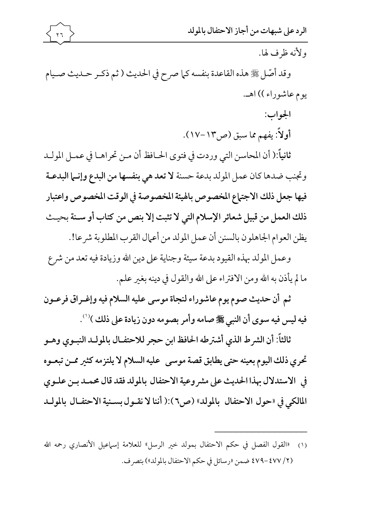

ولأنه ظرف لها.

وقد أصَّل ﷺ هذه القاعدة بنفسه كما صرح في الحديث ( ثم ذكـر حـديث صـيام يوم عاشوراء )) اهـ.

> الجواب: أولاً: يفهم مما سبق (ص١٣-١٧).

ثانياً:( أن المحاسن التي وردت في فتوى الحـافظ أن مـن تحراهـا في عمـل المولـد وتجنب ضدها كان عمل المولد بدعة حسنة لا تعد هي بنفسها من البدع وإنما البدعـة فيها جعل ذلك الاجتماع المخصوص بالهيئة المخصوصة في الوقت المخصوص واعتبار ذلك العمل من قبيل شعائر الإسلام التي لا تثبت إلا بنص من كتاب أو سـنة بحيـث يظن العوام الجاهلون بالسنن أن عمل المولد من أعمال القرب المطلوبة شرعا!.

وعمل المولد بهذه القيود بدعة سيئة وجناية على دين الله وزيادة فيه تعد من شرع ما لم يأذن به الله ومن الافتراء على الله والقول في دينه بغير علم.

ثم أن حديث صوم يوم عاشوراء لنجاة موسى عليه السلام فيه وإغـراق فرعـون فيه ليس فيه سوى أن النبي ﷺ صامه وأمر بصومه دون زيادة على ذلك )'''.

ثالثاً: أن الشرط الذي أشترطه الحافظ ابن حجر للاحتفـال بالمولـد النبـوي وهـو تحري ذلك اليوم بعينه حتى يطابق قصة موسى عليه السلام لا يلتزمه كثير ممن تبعـوه في الاستدلال بهذا الحديث على مشر وعية الاحتفال بالمولد فقد قال محمـد بـن علـوى المالكي في «حول الاحتفال بالمولد» (ص٢):( أننا لا نقـول بسـنية الاحتفـال بالمولـد

(٢/ ٤٧٧ -٤٧٩ ضمن «رسائل في حكم الاحتفال بالمولد») بتصرف.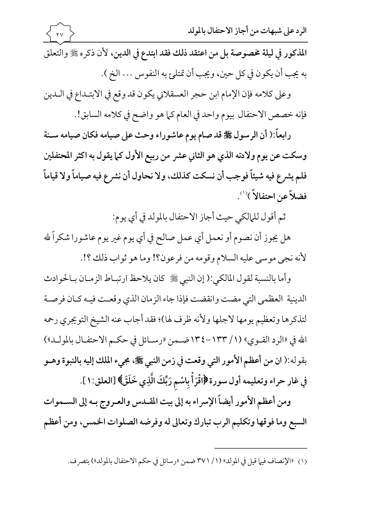المذكور في ليلة مخصوصة بل من اعتقد ذلك فقد ابتدع في الدين، لأن ذكره ﷺ والتعلق به يجب أن يكون في كل حين، ويجب أن تمتلئ به النفوس . . . الخ ).

وعلى كلامه فإن الإمام ابن حجر العسقلاني يكون قد وقع في الابتـداع في الـدين فإنه خصص الاحتفال بيوم واحد في العام كما هو واضح في كلامه السابق!.

رابعاً:( أن الرسول ﷺ قد صام يوم عاشوراء وحث على صيامه فكان صيامه سـنة وسكت عن يوم ولادته الذي هو الثاني عشر من ربيع الأول كما يقول به اكثر المحتفلين فلم يشرع فيه شيئاً فوجب أن نسكت كذلك، ولا نحاول أن نشرع فيه صياماً ولا قياماً فضلاً عن احتفالاً )'''.

ثم أقول للمالكي حيث أجاز الاحتفال بالمولد في أي يوم:

هل يجوز أن نصوم أو نعمل أي عمل صالح في أي يوم غير يوم عاشورا شكراً لله لأنه نجي موسى عليه السلام وقومه من فرعون؟! وما هو ثواب ذلك ؟!.

وأما بالنسبة لقول المالكي:( إن النبي ﷺ كان يلاحظ ارتبـاط الزمـان بـالحوادث الدينية العظمى التي مضت وانقضت فإذا جاء الزمان الذي وقعت فيـه كـان فرصـة لتذكرها وتعظيم يومها لاجلها ولأنه ظرف لها)؛ فقد أجاب عنه الشيخ التويجري رحمه الله في «الرد القـوى» (١/ ١٣٣-١٣٤ضـمن «رسـائل في حكـم الاحتفـال بالمولـد») بقوله:( ان من أعظم الأمور التي وقعت في زمن النبي ﷺ، مجيء الملك إليه بالنبوة وهـو فِي غار حراء وتعليمه أول سورة ﴿اقْرَأْ بِاسْمِ رَبِّكَ الَّذِي خَلَقَ﴾ [العلق:١ ].

ومن أعظم الأمور أيضاً الإسراء به إلى بيت المقـدس والعـروج بـه إلى الســموات السبع وما فوقها وتكليم الرب تبارك وتعالى له وفرضه الصلوات الخمس، ومن أعظم

(١) «الإنصاف فيها قيل في المولد» (١/ ٣٧١ ضمن «رسائل في حكم الاحتفال بالمولد») بتصرف.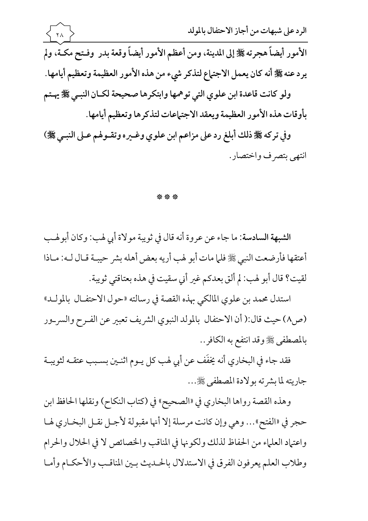وفي تر که ﷺ ذلك ابلغ رد على مزاعم ابن علوي وعـيره وتفـوهم عـلى النبـي ﷺ) انتهى بتصرف واختصار .

## \*\*\*

الشبهة السادسة: ما جاء عن عروة أنه قال في ثويبة مولاة أبي لهب: وكان أبولهب أعتقها فأرضعت النبي ﷺ فلما مات أبو لهب أريه بعض أهله بشر حيبـة قـال لــه: مــاذا لقيت؟ قال أبو لهب: لم ألق بعدكم غير أني سقيت في هذه بعتاقتي ثويبة.

استدل محمد بن علوى المالكي بهذه القصة في رسالته «حول الاحتفــال بالمولــد» (ص٨) حيث قال:( أن الاحتفال بالمولد النبوي الشريف تعبير عن الفـرح والسر\_ور بالمصطفى ﷺ وقد انتفع به الكافر..

فقد جاء في البخاري أنه يخفَف عن أبي لهب كل يــوم اثنــين بســبب عتقــه لثويبــة جاريته لما بشرته بولادة المصطفى ﷺ...

وهذه القصة رواها البخاري في «الصحيح» في (كتاب النكاح) ونقلها الحافظ ابن حجر في «الفتح»… وهي وإن كانت مرسلة إلا أنها مقبولة لأجـل نقـل البخـاري لهـا واعتياد العلياء من الحفاظ لذلك ولكونها في المناقب والخصائص لا في الحلال والحرام وطلاب العلم يعرفون الفرق في الاستدلال بالحلديث بين المناقب والأحكـام وأمـا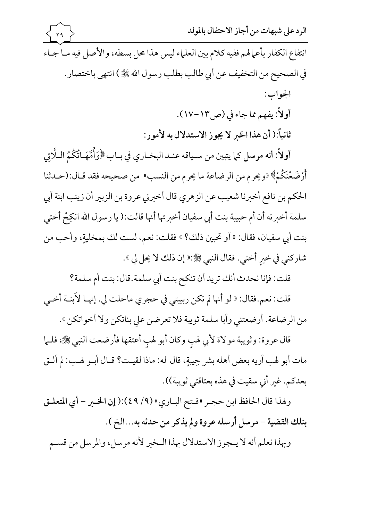الرد على شبهات من أجاز الاحتفال بالوللا
$$
\overbrace{\begin{array}{l} \gamma_1 \\ \vdots \\ \gamma_n \end{array}}
$$
 انتفاع الكفار بأعهاهم ففيه كلام بين العلها يس هذا على بسطه، والأصل فيه ما جه  
في العحيج من التخفيف عن أبي طالب بطلب رسول الش َيُيُّ) انتهي باختصار.  
الجواب:  
أولاً: يفهم ما جاء في (ص٣٠-١٧).

ثانياً:( أن هذا الخبر لا يجوز الاستدلال به لأمور:

أولاً: أنه مرسل كما يتبين من سـياقه عنـد البخـاري في بـاب ﴿وَأُمَّهَـاتُكُمُ الـلَّاتِي أَرْضَعْنَكُمْ» «ويحرم من الرضاعة ما يحرم من النسب» من صحيحه فقد قـال:(حـدثنا الحكم بن نافع أخبرنا شعيب عن الزهري قال أخبرني عروة بن الزبير أن زينب ابنة أبي سلمة أخبرته أن أم حبيبة بنت أبي سفيان أخبرتها أنها قالت:( يا رسول الله انكِحْ أختى بنت أبي سفيان، فقال: « أو تحبين ذلك؟ » فقلت: نعم، لست لك بمخليةٍ، وأحب من شاركني في خير أختى. فقال النبي ﷺ:« إن ذلك لا يحل لي ».

قلت: فإنا نحدث أنك تريد أن تنكح بنت أبي سلمة.قال: بنت أم سلمة؟

قلت: نعم.فقال: « لو أنها لم تكن ربيبتي في حجري ماحلت لي. إنهـا لأبنـة أخـي من الرضاعة. أرضعتني وأبا سلمة ثويبة فلا تعرضن على بناتكن ولا أخواتكن ».

قال عروة: وثويبة مولاة لأبي لهب وكان أبو لهب أعتقها فأرضعت النبي ﷺ، فلــل مات أبو لهب أريه بعض أهله بشر حِيبةٍ، قال له: ماذا لقيت؟ قـال أبـو لهـب: لم ألـق بعدكم. غبر أني سقيت في هذه بعتاقتي ثويبة)).

ولهذا قال الحافظ ابن حجر «فتح الباري» (٩/ ٤٩):( إن الخبر - أي المتعلـق بتلك القضية - مرسل أرسله عروة ولم يذكر من حدثه به...الخ ). وبهذا نعلم أنه لا يـجوز الاستدلال بهذا الـخبر لأنه مرسل، والمرسل من قسـم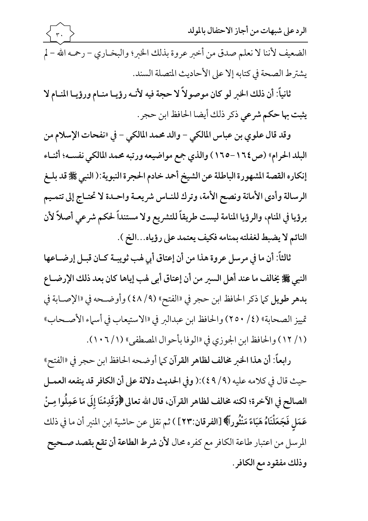الرد على شبهات من أجاز الاحتفال بالمولد الضعيف لأننا لا نعلم صدق من أخبر عروة بذلك الخبر؛ والبخـاري – رحمـه الله – لم يشترط الصحة في كتابه إلا على الأحاديث المصلة السند.

ثانياً: أن ذلك الخبر لو كان موصولاً لا حجة فيه لأنـه رؤيـا منـام ورؤيـا المنـام لا يثبت بها حكم شرعي ذكر ذلك أيضا الحافظ ابن حجر.

وقد قال علوى بن عباس المالكي – والد محمد المالكي – في «نفحات الإسلام من البلد الحرام» (ص١٦٤–١٦٥) والذي جمع مواضيعه ورتبه محمد المالكي نفسـه؛ أثنـاء إنكاره القصة المشهورة الباطلة عن الشيخ أحمد خادم الحجرة النبوية:( النبي ﷺ قد بلـغ الرسالة وأدى الأمانة ونصح الأمة، وترك للنـاس شريعـة واحـدة لا تحتـاج إلى تتمـيم برؤيا في المنام، والرؤيا المنامة ليست طريقاً للتشريع ولا مستنداً لحكم شرعي أصلاً لأن النائم لا يضبط لغفلته بمنامه فكيف يعتمد على رؤياه...الخ ).

ثالثاً: أن ما في مرسل عروة هذا من أن إعتاق أبي لهب ثويبـة كـان قبـل إرضـاعها النبي ﷺ يُخالف ما عند أهل السير من أن إعتاق أبي لهب إياها كان بعد ذلك الإرضــاع بدهر طويل كما ذكر الحافظ ابن حجر في «الفتح» (٤٨/٩) وأوضحه في «الإصـابة في تمييز الصحابة» (٢/ ٢٥٠) والحافظ ابن عبدالبر في «الاستيعاب في أسماء الأصحاب» (١/ ١٢) والحافظ ابن الجوزي في «الوفا بأحوال المصطفى» (١/ ١٠٦).

رابعاً: أن هذا الخبر مخالف لظاهر القرآن كما أوضحه الحافظ ابن حجر في «الفتح» حيث قال في كلامه عليه (٩/ ٤٩):( وفي الحديث دلالة على أن الكافر قد ينفعه العمـل الصالح في الآخرة؛ لكنه مخالف لظاهر القرآن، قال الله تعالى ﴿وَقَدِمْنَا إِلَى مَا عَمِلُوا مِـنْ عَمَلٍ فَجَعَلْنَاهُ هَبَاءً مَنْثُوراً﴾ [الفرقان:٢٣] ) ثم نقل عن حاشية ابن المنير أن ما في ذلك المرسل من اعتبار طاعة الكافر مع كفره محال لأن شرط الطاعة أن تقع بقصد صـحيح وذلك مفقود مع الكافر .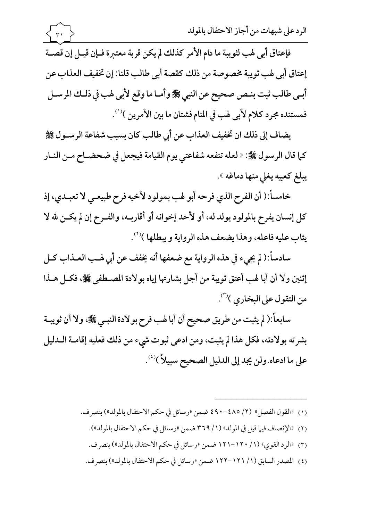فإعتاق أبي لهب لثويبة ما دام الأمر كذلك لم يكن قربة معتبرة فـإن قيـل إن قصـة إعتاق أبي لهب ثويبة مخصوصة من ذلك كقصة أبي طالب قلنا: إن تخفيف العذاب عن أبي طالب ثبت بنص صحيح عن النبي ﷺ وأما ما وقع لأبي لهب في ذلك المرسـل فمستنده مجرد كلام لأبي لهب في المنام فشتان ما بين الأمرين )''.

 $\uparrow$ 

يضاف إلى ذلك ان تخفيف العذاب عن أبي طالب كان بسبب شفاعة الرسـول ﷺ كما قال الرسول ﷺ: « لعله تنفعه شفاعتي يوم القيامة فيجعل في ضحضــاح مــن النــار يبلغ كعبيه يغلي منها دماغه ».

خامساً:( أن الفرح الذي فرحه أبو لهب بمولود لأخيه فرح طبيعـي لا تعبـدي، إذ كل إنسان يفرح بالمولود يولد له، أو لأحد إخوانه أو أقاربـه، والفـرح إن لم يكـن لله لا يثابِ عليه فاعله، وهذا يضعف هذه الرواية و يبطلها )(7).

سادساً:( لم يجيء في هذه الرواية مع ضعفها أنه يخفف عن أبي لهب العـذاب كـل إثنين ولا أن أبا لهب أعتق ثويبة من أجل بشارتها إياه بولادة المصطفى ﷺ، فكل هـذا من التقول على البخاري )'".

سابعاً:( لم يثبت من طريق صحيح أن أبا لهب فرح بولادة النبـي ﷺ، ولا أن ثويبـة بشرته بولادته، فكل هذا لم يثبت، ومن ادعى ثبوت شيء من ذلك فعليه إقامـة الـدليل على ما ادعاه.ولن يجد إلى الدليل الصحيح سبيلاً )('').

- (١) «القول الفصل» (٢/ ٤٨٥-٤٩٠ ضمن «رسائل في حكم الاحتفال بالمولد») بتصرف.
	- (٢) «الإنصاف فيها قيل في المولد» (١/ ٣٦٩ ضمن «رسائل في حكم الاحتفال بالمولد»).
	-
	- (٤) المصدر السابق (١/ ١٢١–١٢٢ ضمن «رسائل في حكم الاحتفال بالمولد») بتصرف.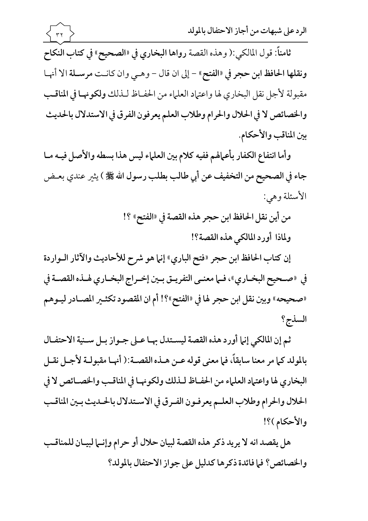

وأما انتفاع الكفار بأعمالهم ففيه كلام بين العلماء ليس هذا بسطه والأصل فيـه مـا جاء في الصحيح من التخفيف عن أبي طالب بطلب رسول الله ﷺ ) يثير عندي بعــض الأسئلة وهي:

> من أين نقل الحافظ ابن حجر هذه القصة في «الفتح» ؟! ولماذا أورد المالكي هذه القصة؟!

إن كتاب الحافظ ابن حجر «فتح الباري» إنها هو شرح للأحاديث والآثار الـواردة في «صحيح البخـاري»، فـما معنـى التفريـق بـين إخـراج البخـاري لهـذه القصـة في «صحيحه» وبين نقل ابن حجر لها في «الفتح»؟! أم ان المقصود تكثـير المصـادر ليـوهم السذج؟

ثم إن المالكي إنها أورد هذه القصة ليستدل بهـا عـلى جـواز بـل سـنية الاحتفـال بالمولد كما مر معنا سابقاً، فما معنى قوله عـن هـذه القصـة:( أنهـا مقبولـة لأجـل نقـل البخاري لها واعتهاد العلهاء من الحفاظ للذلك ولكونها في المناقب والخصائص لا في الحلال والحرام وطلاب العلم يعرفون الفرق في الاستدلال بالحلديث بين المناقب والأحكام )؟!

هل يقصد انه لا يريد ذكر هذه القصة لبيان حلال أو حرام وإنسا لبيـان للمناقـب والخصائص؟ فيا فائدة ذكر ها كدليل على جواز الاحتفال بالمولد؟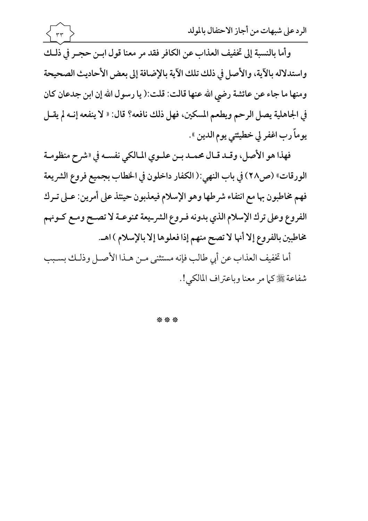وأما بالنسبة إلى تخفيف العذاب عن الكافر فقد مر معنا قول ابـن حجـر في ذلـك واستدلاله بالآية، والأصل في ذلك تلك الآية بالإضافة إلى بعض الأحاديث الصحيحة ومنها ما جاء عن عائشة رضي الله عنها قالت: قلت:( يا رسول الله إن ابن جدعان كان في الجاهلية يصل الرحم ويطعم المسكين، فهل ذلك نافعه؟ قال: « لا ينفعه إنــه لم يقــل يوماً رب اغفر لي خطيئتي يوم الدين ».

فهذا هو الأصل، وقـد قـال محمـد بـن علـوي المـالكي نفسـه في «شرح منظومـة الورقات» (ص٢٨) في باب النهي:( الكفار داخلون في الخطاب بجميع فروع الشريعة فهم مخاطبون بها مع انتفاء شرطها وهو الإسلام فيعذبون حينئذ على أمرين: عـلى تـرك الفروع وعلى ترك الإسلام الذي بدونه فـروع الشرـيعة ممنوعـة لا تصـح ومـع كـونهم مخاطبين بالفروع إلا أنها لا تصح منهم إذا فعلوها إلا بالإسلام ) اهـ.

أما تخفيف العذاب عن أبي طالب فإنه مستثنى مـن هـذا الأصـل وذلـك بسـبب شفاعة ﷺ كما مر معنا وباعتراف المالكي!.

\*\*\*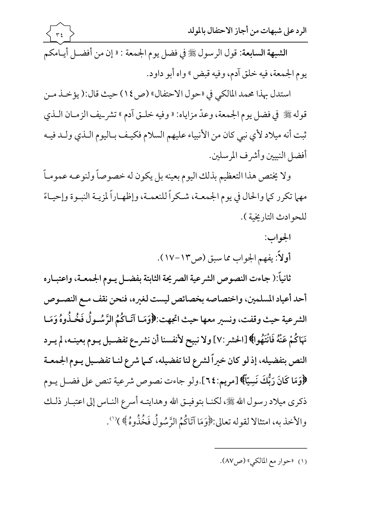استدل بهذا محمد المالكي في «حول الاحتفال» (ص1٤) حيث قال:( يؤخـذ مـن قوله ﷺ في فضل يوم الجمعة، وعدّ مزاياه: « وفيه خلـق آدم » تشر\_يف الزمـان الـذي ثبت أنه ميلاد لأي نبي كان من الأنبياء عليهم السلام فكيـف بـاليوم الـذي ولـد فيـه أفضل النبيين وأشرف المرسلين.

ولا يختص هذا التعظيم بذلك اليوم بعينه بل يكون له خصوصاً ولنوعـه عمومـاً مهما تكرر كما والحال في يوم الجمعـة، شـكراً للنعمـة، وإظهـاراً لمزيـة النبـوة وإحيـاءً للحوادث التاريخية ).

> الجواب: أولاً: يفهم الجواب مما سبق (ص١٣-١٧).

ثانياً:( جاءت النصوص الشرعية الصريحة الثابتة بفضـل يـوم الجمعـة، واعتبـاره أحد أعياد المسلمين، واختصاصه بخصائص ليست لغيره، فنحن نقف مـع النصـوص الشرعية حيث وقفت، ونسير معها حيث اتجهت:﴿وَمَـا آتَـاكُمُ الرَّسُـولُ فَخُـذُوهُ وَمَـا نَهَاكُمْ عَنْهُ فَانْتَهُوا﴾ [الحشر :٧] ولا نبيح لأنفسنا أن نشر\_ع تفضـيل يـوم بعينـه، لم يـرد النص بتفضيله، إذ لو كان خيراً لشرع لنا تفضيله، كـما شرع لنـا تفضـيل يـوم الجمعـة ﴿وَمَا كَانَ رَبُّكَ نَسِيّاً﴾ [مريم:٢٤].ولو جاءت نصوص شرعية تنص على فضـل يـوم ذكرى ميلاد رسول الله ﷺ، لكنــا بتوفيــق الله وهدايتــه أسرع النــاس إلى اعتبــار ذلــك والأخذ به، امتثالا لقوله تعالى:﴿وَمَا آتَاكُمُ الرَّسُولُ فَخُذُوهُ﴾)'''.

(١) "حوار مع المالكي" (ص٨٧).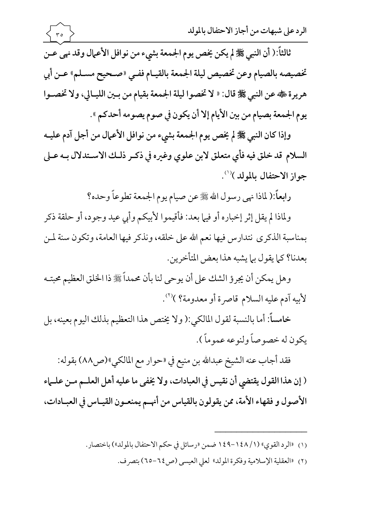

ثالثاً:( أن النبي ﷺ لم يكن يخص يوم الجمعة بشيء من نوافل الأعمال وقد نهي عـن تخصيصه بالصيام وعن تخصيص ليلة الجمعة بالقيـام ففـي «صـحيح مسـلم» عـن أبي هريرة ٢، عن النبي ﷺ قال: « لا تخصوا ليلة الجمعة بقيام من بين الليـالي، ولا تخصـوا يوم الجمعة بصيام من بين الأيام إلا أن يكون في صوم يصومه أحدكم ».

 $\langle$  ro  $\rangle$ 

وإذا كان النبي ﷺ لم يخص يوم الجمعة بشيء من نوافل الأعمال من أجل آدم عليـه السلام قد خلق فيه فأي متعلق لابن علوي وغيره في ذكـر ذلـك الاسـتدلال بـه عـلى جواز الاحتفال بالمولد)(').

رابعاً:( لماذا نهى رسول الله ﷺ عن صيام يوم الجمعة تطوعاً وحده؟

ولماذا لم يقل إثر إخباره أو فيها بعد: فأقيموا لأبيكم وأبي عيد وجود، أو حلقة ذكر بمناسبة الذكرى نتدارس فيها نعم الله على خلقه، ونذكر فيها العامة، وتكون سنة لمن بعدنا؟ كما يقول بما يشبه هذا بعض المتأخرين.

وهل يمكن أن يجرؤ الشك على أن يوحى لنا بأن محمداً ﷺ ذا الخلق العظيم محبتـه لأبيه آدم عليه السلام قاصرة أو معدومة؟ )'''.

خامساً: أما بالنسبة لقول المالكي:( ولا يختص هذا التعظيم بذلك اليوم بعينه، بل يكون له خصوصاً ولنوعه عموماً ).

فقد أجاب عنه الشيخ عبدالله بن منيع في «حوار مع المالكي»(ص٨٨) بقوله: ( إن هذا القول يقتضي أن نقيس في العبادات، ولا يخفي ما عليه أهل العلـم مـن علـماء الأصول و فقهاء الأمة، ممن يقولون بالقياس من أنهم يمنعـون القيـاس في العبـادات،

- (١) «الرد القوى» (١ / ١٤٨-١٤٩ ضمن «رسائل في حكم الاحتفال بالمولد») باختصار.
	- (٢) «العقلية الإسلامية وفكرة المولد» لعلى العيسى (ص1٤-٦٥) بتصرف.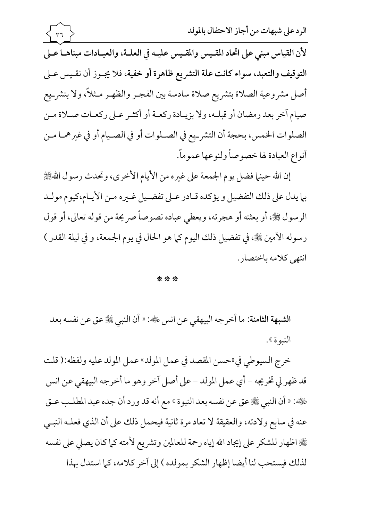الرد على شبهات من أجاز الاحتفال بالمولد  $r\tau$ لأن القياس مبنى على اتحاد المقيس والمقيس عليـه في العلـة، والعبـادات مبناهـا عـلى التوقيف والتعبد، سواء كانت علة التشريع ظاهرة أو خفية، فلا يجـوز أن نقـيس عـلى أصل مشروعية الصلاة بتشريع صلاة سادسة بين الفجـر والظهـر مـثلاً، ولا بتشرييع صيام آخر بعد رمضان أو قبلـه، ولا بزيـادة ركعـة أو أكثـر عـلى ركعـات صـلاة مـن الصلوات الخمس، بحجة أن التشرييع في الصـلوات أو في الصـيام أو في غيرهمـا مـن أنواع العبادة لها خصوصاً ولنوعها عموماً.

إن الله حينها فضل يوم الجمعة على غيره من الأيام الأخرى، وتحدث رسول الله، الله بما يدل على ذلك التفضيل و يؤكده قـادر عـلى تفضـيل غـيره مـن الأيـام،كيوم مولـد الرسول ﷺ، أو بعثته أو هجرته، ويعطي عباده نصوصاً صريحة من قوله تعالى، أو قول رسوله الأمين ﷺ، في تفضيل ذلك اليوم كما هو الحال في يوم الجمعة، و في ليلة القدر ) انتهى كلامه باختصار .

## \*\*\*

الشبهة الثامنة: ما أخرجه البيهقي عن انس ﷺ: « أن النبي ﷺ عق عن نفسه بعد النبوة ».

خرج السيوطي في «حسن المقصد في عمل المولد» عمل المولد عليه ولفظه:( قلت قد ظهر لي تخريجه – أي عمل المولد – على أصل آخر وهو ما أخر جه البيهقي عن انس هَ الله عليه الله عنه الله عنه عن نفسه بعد النبوة » مع أنه قد ورد أن جده عبد المطلب عـق عنه في سابع ولادته، والعقيقة لا تعاد مرة ثانية فيحمل ذلك على أن الذي فعلـه النبـي ﷺ اظهار للشكر على إيجاد الله إياه رحمة للعالمين وتشريع لأمته كما كان يصلى على نفسه لذلك فيستحب لنا أيضا إظهار الشكر بمولده ) إلى آخر كلامه، كما استدل بهذا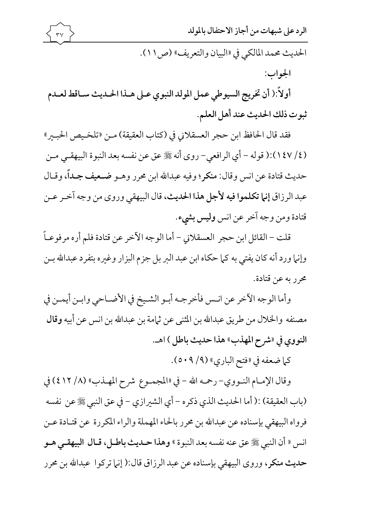الحديث محمد المالكي في «البيان والتعريف» (ص ١١). الجواب: أولاً:( أن تخريج السيوطي عمل المولد النبوي عـلى هـذا الحـديث سـاقط لعـدم ثبوت ذلك الحديث عند أهل العلم.

فقد قال الحافظ ابن حجر العسقلاني في (كتاب العقيقة) مـن «تلخـيص الحبـير» (٤/ ١٤٧):( قوله – أي الرافعي– روى أنه ﷺ عق عن نفسه بعد النبوة البيهقـي مـن حديث قتادة عن انس وقال: منكر؛ وفيه عبدالله ابن محرر وهــو ضـعيف جــداً، وقــال عبد الرزاق إنما تكلموا فيه لأجل هذا الحديث، قال البيهقي وروى من وجه آخر عـن قتادة ومن وجه آخر عن انس وليس بشيء.

قلت – القائل ابن حجر العسقلاني – أما الوجه الآخر عن قتادة فلم أره مرفوعـاً وإنها ورد أنه كان يفتي به كما حكاه ابن عبد البر بل جزم البزار وغيره بتفرد عبدالله بـن محرر به عن قتادة.

وأما الوجه الآخر عن انـس فأخرجـه أبـو الشـيخ في الأضـاحي وابـن أيمـن في مصنفه والخلال من طريق عبدالله بن المثنى عن ثيامة بن عبدالله بن انس عن أبيه وقال النووي في «شرح المهذب» هذا حديث باطل ) اهـ.

كما ضعفه في «فتح الباري» (٩/ ٥٠٩).

وقال الإمـام النـووي- رحمـه الله - في «المجمـوع شرح المهـذب» (٨/ ٤١٢) في (باب العقيقة) :( أما الحديث الذي ذكره – أي الشيرازي – في عق النبي ﷺ عن نفسه فرواه البيهقي بإسناده عن عبدالله بن محرر بالحاء المهملة والراء المكررة عن قتـادة عـن انس « أن النبي ﷺ عق عنه نفسه بعد النبوة » وهذا حـديث باطـل، قـال البيهقـي هـو حديث منكر، وروى البيهقي بإسناده عن عبد الرزاق قال:( إنها تركوا عبدالله بن محرر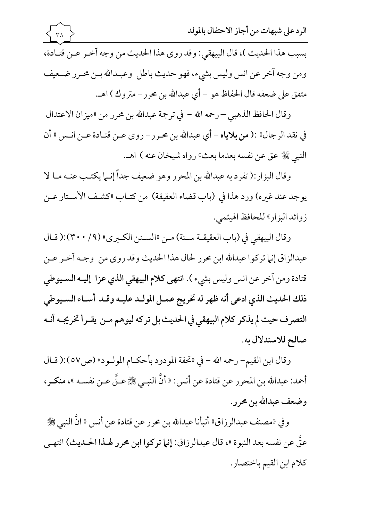بسبب هذا الحديث )، قال البيهقي: وقد روى هذا الحديث من وجه آخر عـن قتـادة، ومن وجه آخر عن انس وليس بشيء، فهو حديث باطل وعبـدالله بـن محـرر ضـعيف متفق على ضعفه قال الحفاظ هو – أي عبدالله بن محرر– متروك ) اهـ.

 $\mathsf{r}\wedge$ 

وقال الحافظ الذهبي – رحمه الله – في ترجمة عبدالله بن محرر من «ميزان الاعتدال في نقد الرجال» :( من بلاياه – أي عبدالله بن محرر – روى عـن قتـادة عـن انـس « أن النبي ﷺ عق عن نفسه بعدما بعث» رواه شيخان عنه ) اهـ.

وقال البزار:( تفرد به عبدالله بن المحرر وهو ضعيف جداً إنـما يكتـب عنـه مـا لا يوجد عند غيره) ورد هذا في (باب قضاء العقيقة) من كتـاب «كشـف الأسـتار عـن زوائد البزار» للحافظ الهيثمي.

وقال البيهقي في (باب العقيقــة ســنة) مـن «الســنن الكــبري» (٩/ ٣٠٠):( قــال عبدالزاق إنها تركوا عبدالله ابن محرر لحال هذا الحديث وقد روى من وجـه آخـر عـن قتادة ومن آخر عن انس وليس بشيء ). انتهى كلام البيهقي الذي عزا إليـه السـيوطي ذلك الحديث الذي ادعى أنه ظهر له تخريج عمـل المولـد عليـه وقـد أسـاء السـيوطي التصرف حيث لم يذكر كلام البيهقي في الحديث بل تركه ليوهم مـن يقـرأ تخريجـه أنـه صالح للاستدلال به.

وقال ابن القيم- رحمه الله - في «تحفة المودود بأحكـام المولـود» (ص٥٧):( قـال أحمد: عبدالله بن المحرر عن قتادة عن أنس: « أنَّ النبـي ﷺ عـقَّ عـن نفسـه »، منكـر، وضعف عبدالله بن محرر.

وفي «مصنف عبدالرزاق» أنبأنا عبدالله بن محرر عن قتادة عن أنس « انَّ النبي ﷺ عقَّ عن نفسه بعد النبوة »، قال عبدالرزاق: إنها تركوا ابن محرر لهـذا الحـديث) انتهـي كلام ابن القيم باختصار.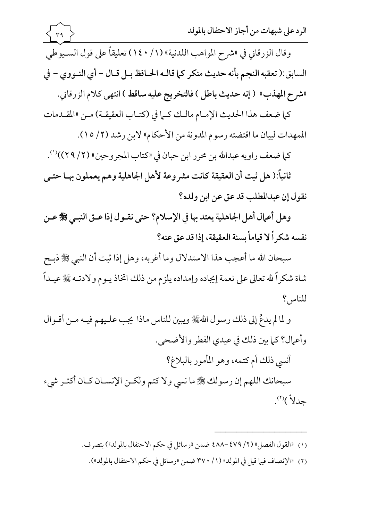

للناس؟

و لما لم يدعُ إلى ذلك رسول اللهُ على ويبين للناس ماذا يجب عليهم فيـه مـن أقـوال وأعمال؟ كما بين ذلك في عيدي الفطر والأضحى.

أنسى ذلك أم كتمه، وهو المأمور بالبلاغ؟

سبحانك اللهم إن رسولك ﷺ ما نسى ولا كتم ولكـن الإنسـان كـان أكثـر شيء حدلاً)'".

- - (٢) «الإنصاف فيها قيل في المولد» (١/ ٣٧٠ ضمن «رسائل في حكم الاحتفال بالمولد»).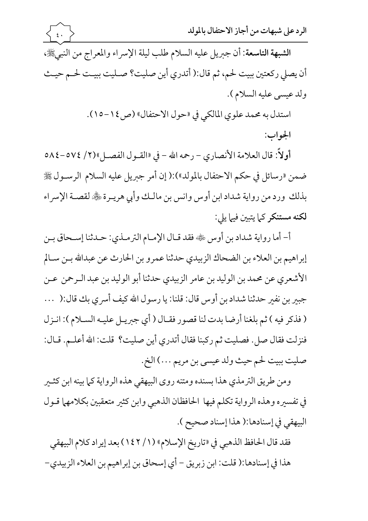الجواب:

أولاً: قال العلامة الأنصاري – رحمه الله – في «القــول الفصــل»(٢/ ٥٧٤–٥٨٤ ضمن «رسائل في حكم الاحتفال بالمولد»):( إن أمر جبريل عليه السلام الرسـول ﷺ بذلك ورد من رواية شداد ابن أوس وانس بن مالك وأبي هريـرة ﷺ لقصـة الإسراء لكنه مستنكر كما يتبين فيها يلي:

أ- أما رواية شداد بن أوس ﷺ فقد قـال الإمـام الترمـذي: حـدثنا إسـحاق بـن إبراهيم بن العلاء بن الضحاك الزبيدي حدثنا عمرو بن الحارث عن عبدالله بـن سـالم الأشعري عن محمد بن الوليد بن عامر الزبيدي حدثنا أبو الوليد بن عبد الـرحمن عـن جبِسِ بن نفسٍ حدثنا شداد بن أوس قال: قلنا: يا رسول الله كيف أسر ي بك قال:( ... ( فذكر فيه ) ثم بلغنا أرضا بدت لنا قصور فقـال ( أي جبريـل عليـه السـلام ): انـزل فنزلت فقال صل. فصليت ثم ركبنا فقال أتدرى أين صليت؟ قلت: الله أعلـم. قـال: صليت ببيت لحم حيث ولد عيسى بن مريم ...) الخ.

ومن طريق الترمذي هذا بسنده ومتنه روى البيهقي هذه الرواية كما بينه ابن كثـير في تفسيره وهذه الرواية تكلم فيها الحافظان الذهبي وابن كثير متعقبين بكلامهما قـول البيهقي في إسنادها:( هذا إسناد صحيح ).

فقد قال الحافظ الذهبي في «تاريخ الإسلام» (١/ ١٤٢) بعد إيراد كلام البيهقي هذا في إسنادها:( قلت: ابن زبريق – أي إسحاق بن إبراهيم بن العلاء الزبيدي–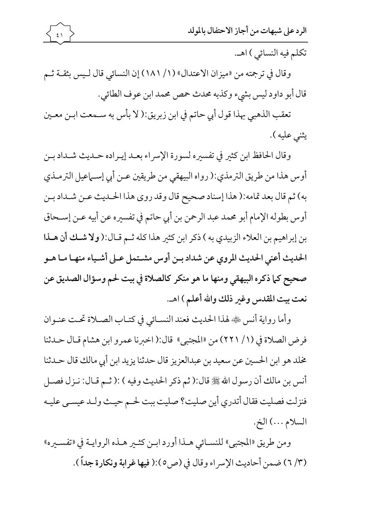

تكلم فيه النسائي ) اهـ.

وقال في ترجمته من «ميزان الاعتدال» (١/ ١٨١) إن النسائي قال لـيس بثقـة ثـم قال أبو داود ليس بشيء وكذبه محدث حمص محمد ابن عوف الطائي.

تعقب الذهبي بهذا قول أبي حاتم في ابن زبريق:( لا بأس به ســمعت ابـن معــين يثنى عليه ).

وقال الحافظ ابن كثير في تفسيره لسورة الإسراء بعـد إيـراده حـديث شـداد بـن أوس هذا من طريق الترمذي:( رواه البيهقي من طريقين عـن أبي إسـماعيل الترمـذي به) ثم قال بعد تمامه:( هذا إسناد صحيح قال وقد روى هذا الحـديث عـن شـداد بـن أوس بطوله الإمام أبو محمد عبد الرحمن بن أبي حاتم في تفسيره عن أبيه عـن إسـحاق بن إبراهيم بن العلاء الزبيدي به ) ذكر ابن كثير هذا كله ثم قـال:( ولا شـك أن هـذا الحديث أعني الحديث المروى عن شداد بـن أوس مشـتمل عـلى أشـياء منهـا مـا هـو صحيح كما ذكره البيهقي ومنها ما هو منكر كالصلاة في بيت لحم وسؤال الصديق عن نعت بيت المقدس وغير ذلك والله أعلم ) اهـ.

وأما رواية أنس ﷺ لهذا الحديث فعند النسـائي في كتـاب الصـلاة تحـت عنـوان فرض الصلاة في (١/ ٢٢١) من «المجتبي» قال:( اخبرنا عمرو ابن هشام قـال حـدثنا مخلد هو ابن الحسين عن سعيد بن عبدالعزيز قال حدثنا يزيد ابن أبي مالك قال حـدثنا أنس بن مالك أن رسول الله ﷺ قال:( ثم ذكر الحديث وفيه ) :( ثـم قـال: نـزل فصـل فنزلت فصليت فقال أتدرى أين صليت؟ صليت ببت لحم حيث ولـد عيسـى عليـه السلام ...) الخ.

ومن طريق «المجتبي» للنسـائي هـذا أورد ابـن كثـير هـذه الروايـة في «تفسـيره» (٣/ ٦) ضمن أحاديث الإسراء وقال في (ص٥):( فيها غرابة ونكارة جداً ).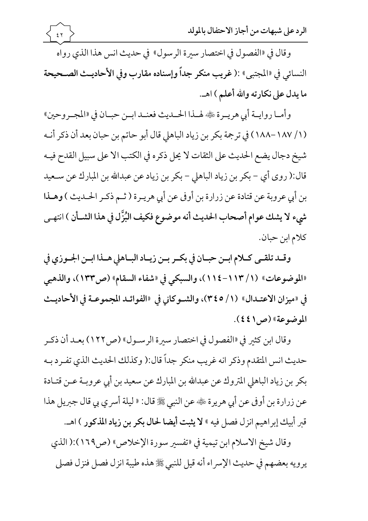وقال في «الفصول في اختصار سيرة الرسول» في حديث انس هذا الذي رواه النسائي في «المجتبي» :( غريب منكر جداً وإسناده مقارب وفي الأحاديث الصـحيحة ما يدل على نكارته والله أعلم ) اهـ.

 $\xi$   $\uparrow$ 

وأمـا روايــة أبي هريــرة ﷺ لهــذا الحــديث فعنــد ابــن حبــان في «المجــروحين» (١/ ١٨٧-١٨٨) في ترجمة بكر بن زياد الباهلي قال أبو حاتم بن حبان بعد أن ذكر أنـه شيخ دجال يضع الحديث على الثقات لا يحل ذكره في الكتب الا على سبيل القدح فيـه قال:( روى أي – بكر بن زياد الباهلي – بكر بن زياد عن عبدالله بن المبارك عن سـعيد بن أبي عروبة عن قتادة عن زرارة بن أوفي عن أبي هريـرة ( ثـم ذكـر الحـديث ) وهـذا شيء لا يشك عوام أصحاب الحديث أنه موضوع فكيف البُزَّل في هذا الشـأن ) انتهـي كلام ابن حبان.

وقلد تلقى كلام ابين حبيان في بكير بين زيباد البياهلي هيذا ابين الجيوزي في «الموضوعات» (١/ ١١٣-١١٤)، والسبكي في «شفاء السقام» (ص١٣٣)، والذهبي في «ميزان الاعتـدال» (١/ ٣٤٥)، والشـوكاني في «الفوائـد المجموعـة في الأحاديـث الموضوعة» (ص1٤٤).

وقال ابن كثير في «الفصول في اختصار سيرة الرسـول» (ص١٢٢) بعـد أن ذكـر حديث انس المتقدم وذكر انه غريب منكر جداً قال:( وكذلك الحديث الذي تفـرد بـه بكر بن زياد الباهلي المتروك عن عبدالله بن المبارك عن سعيد بن أبي عروبـة عــن قتـادة عن زرارة بن أوفي عن أبي هريرة ﷺ عن النبي ﷺ قال: « ليلة أسرى بي قال جبريل هذا قبر أبيك إبراهيم انزل فصل فيه » لا يثبت أيضا لحال بكر بن زياد المذكور ) اهـ.

وقال شيخ الاسلام ابن تيمية في «تفسير سورة الإخلاص» (ص١٦٩):( الذي يرويه بعضهم في حديث الإسراء أنه قيل للنبي ﷺ هذه طيبة انزل فصل فنزل فصلى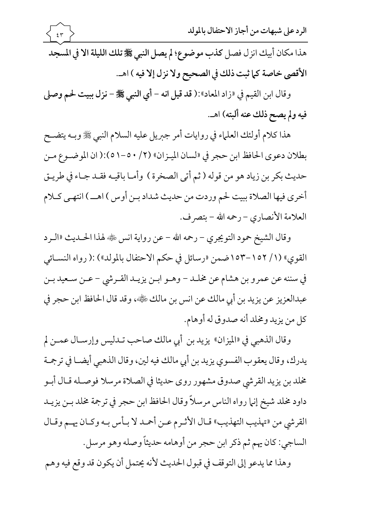وقال ابن القيم في «زاد المعاد»:( قد قيل انه - أي النبي ﷺ - نزل ببيت لحم وصلى فيه ولم يصح ذلك عنه ألبته) اهـ.

هذا كلام أولئك العلماء في روايات أمر جبريل عليه السلام النبي ﷺ وبـه يتضـح بطلان دعوى الحافظ ابن حجر في «لسان الميزان» (٢/ ٥٠-٥١):( ان الموضـوع مـن حديث بكر بن زياد هو من قوله ( ثم أتى الصخرة ) وأمـا باقيـه فقـد جـاء في طريـق أخرى فيها الصلاة ببيت لحم وردت من حديث شداد بـن أوس ) اهــ ) انتهـي كـلام العلامة الأنصاري – رحمه الله – بتصرف.

وقال الشيخ حمود التويجري – رحمه الله – عن رواية انس ﷺ لهذا الحــديث «الــرد القوي» (١/ ١٥٢-١٥٣ ضمن «رسائل في حكم الاحتفال بالمولد») :( رواه النسـائي في سننه عن عمرو بن هشام عن مخلـد – وهـو ابـن يزيـد القـرشي – عـن سـعيد بـن عبدالعزيز عن يزيد بن أبي مالك عن انس بن مالك ﷺ، وقد قال الحافظ ابن حجر في كل من يزيد ومخلد أنه صدوق له أوهام.

وقال الذهبي في «الميزان» يزيد بن أبي مالك صاحب تـدليس وإرسـال عمــن لم يدرك، وقال يعقوب الفسوي يزيد بن أبي مالك فيه لين، وقال الذهبي أيضــا في ترجمـة مخلد بن يزيد القرشي صدوق مشهور روى حديثا في الصلاة مرسلا فوصـله قـال أبـو داود مخلد شيخ إنها رواه الناس مرسلاً وقال الحافظ ابن حجر في ترجمة مخلد بـن يزيــد القرشي من «تهذيب التهذيب» قـال الأثـرم عـن أحمـد لا بـأس بـه وكـان يهـم وقـال الساجي: كان يهم ثم ذكر ابن حجر من أوهامه حديثاً وصله وهو مرسل .

وهذا مما يدعو إلى التوقف في قبول الحديث لأنه يحتمل أن يكون قد وقع فيه وهم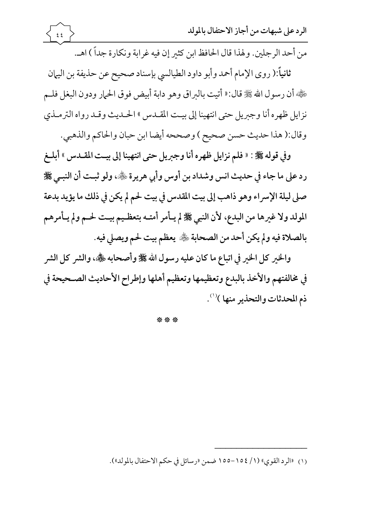$\xi$ 

من أحد الرجلين. ولهذا قال الحافظ ابن كثير إن فيه غرابة ونكارة جداً ) اهـ.

ثانياً:( روى الإمام أحمد وأبو داود الطيالسي بإسناد صحيح عن حذيفة بن اليهان هَ لِهِ أن رسول الله ﷺ قال: « أتيت بالبراق وهو دابة أبيض فوق الحمار ودون البغل فلـم نزايل ظهره أنا وجبريل حتى انتهينا إلى بيت المقـدس » الحـديث وقـد رواه الترمـذي وقال:( هذا حديث حسن صحيح ) وصححه أيضا ابن حبان والحاكم والذهبي.

وفي قوله ﷺ : « فلم نزايل ظهره أنا وجبريل حتى انتهينا إلى بيت المقـدس » أبلـغ رد على ما جاء في حديث انس وشداد بن أوس وأبي هريرة ﷺ، ولو ثبت أن النبـي ﷺ صلى ليلة الإسراء وهو ذاهب إلى بيت المقدس في بيت لحم لم يكن في ذلك ما يؤيد بدعة المولد ولا غيرها من البدع، لأن النبي ﷺ لم يـأمر أمتـه بتعظـيم بيـت لحـم ولم يـأمرهم بالصلاة فيه ولم يكن أحد من الصحابة ﷺ يعظم بيت لحم ويصلي فيه.

والخير كل الخير في اتباع ما كان عليه رسول الله صلى الله على الله عليه الله عنه الشر كل الشر في مخالفتهم والأخذ بالبدع وتعظيمها وتعظيم أهلها وإطراح الأحاديث الصـحيحة في ذم المحدثات والتحذير منها )(١).

\*\*\*

<sup>(</sup>١) «الرد القوى» (١/ ١٥٤–١٥٥ ضمن «رسائل في حكم الاحتفال بالمولد»).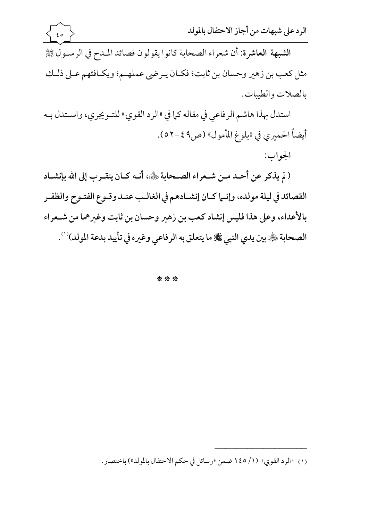استدل بهذا هاشم الرفاعي في مقاله كما في «الرد القوي» للتـويجري، واسـتدل بـه أيضاً الحميري في «بلوغ المأمول» (ص4 ٤-٥٢).

الجواب:

( لم يذكر عن أحـد مـن شـعراء الصـحابة ﷺ، أنـه كـان يتقـرب إلى الله بإنشـاد القصائد في ليلة مولده، وإنــما كـان إنشــادهـم في الغالــب عنــد وقــوع الفتــوح والظفــر بالأعداء، وعلى هذا فليس إنشاد كعب بن زهير وحسان بن ثابت وغيرهما من شـعراء الصحابة ڜ َّ بين يدي النبي ﷺ ما يتعلق به الرفاعي وغيره في تأييد بدعة المولد)''.

\*\*\*

(١) «الرد القوي» (١/ ١٤٥ ضمن «رسائل في حكم الاحتفال بالمولد») باختصار.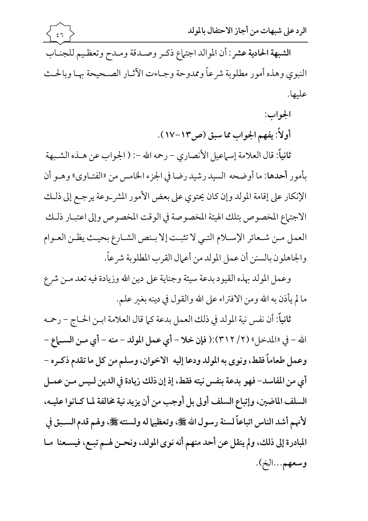الشبهة الحادية عشر : أن الموالد اجتهاع ذكـر وصـدقة ومـدح وتعظـيم للجنـاب النبوي وهذه أمور مطلوبة شرعاً وممدوحة وجباءت الآثيار الصبحيحة بهبا وبالحث عليها.

 $57$ 

الجواب:

أولاً: يفهم الجواب مما سبق (ص١٣-١٧).

ثانياً: قال العلامة إسماعيل الأنصاري - رحمه الله -: ( الجواب عن هـذه الشـبهة بأمور أحدها: ما أوضحه السيد رشيد رضا في الجزء الخامس من «الفتـاوي» وهـو أن الإنكار على إقامة المولد وإن كان يحتوي على بعض الأمور المشر\_وعة يرجـع إلى ذلـك الاجتهاع المخصوص بتلك الهيئة المخصوصة في الوقت المخصوص وإلى اعتبـار ذلـك العمل مـن شـعائر الإسـلام التـي لا تثبـت إلا بـنص الشـارع بحيـث يظـن العـوام والجاهلون بالسنن أن عمل المولد من أعمال القرب المطلوبة شرعاً.

وعمل المولد بهذه القيود بدعة سيئة وجناية على دين الله وزيادة فيه تعد مـن شرع ما لم يأذن به الله ومن الافتراء على الله والقول في دينه بغير علم.

ثانياً: أن نفس نية المولد في ذلك العمل بدعة كما قال العلامة ابـن الحـاج – رحمه الله – في «المدخل» (٢/ ٣١٢):( فإن خلا – أي عمل المولد – منه – أي مـن الســـاع – وعمل طعاماً فقط، ونوى به المولد ودعا إليه الاخوان، وسلم من كل ما تقدم ذكـره -أي من المفاسد– فهو بدعة بنفس نيته فقط، إذ إن ذلك زيادة في الدين لـيس مـن عمـل السلف الماضين، وإتباع السلف أولى بل أوجب من أن يزيد نية مخالفة لما كـانوا عليـه، لأنهم أشد الناس اتباعاً لسنة رسول الله صلى الله عليه اله ولسنته على ولهم قدم السـبق في المبادرة إلى ذلك، ولم ينقل عن أحد منهم أنه نوى المولد، ونحـن لهـم تبـع، فيسـعنا مـا وسعهم…الخ).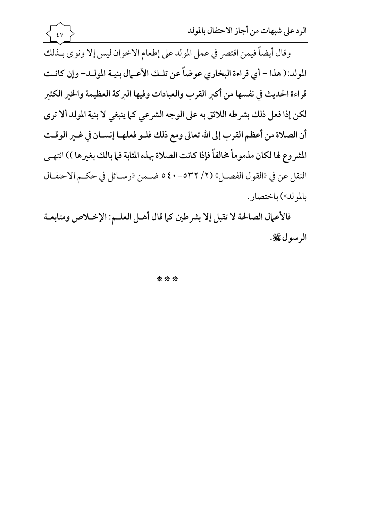وقال أيضاً فيمن اقتصر في عمل المولد على إطعام الاخوان ليس إلا ونوى بـذلك المولد:( هذا - أي قراءة البخاري عوضاً عن تلك الأعمال بنيـة المولـد- وإن كانـت قراءة الحديث في نفسها من أكبر القرب والعبادات وفيها البركة العظيمة والخير الكثير لكن إذا فعل ذلك بشرطه اللائق به على الوجه الشرعي كما ينبغي لا بنية المولد ألا ترى أن الصلاة من أعظم القرب إلى الله تعالى ومع ذلك فلـو فعلهـا إنسـان في غـير الوقـت المشر وع لها لكان مذموماً مخالفاً فإذا كانت الصلاة بهذه المثابة فما بالك بغيرها )) انتهـي النقل عن في «القول الفصـل» (٢/ ٥٣٢-٤٠ ه ضـمن «رسـائل في حكـم الاحتفـال بالمولد») باختصار.

 $\mathbf{\hat{z}}$   $\mathbf{\hat{v}}$ 

فالأعمال الصالحة لا تقبل إلا بشرطين كما قال أهـل العلـم: الإخـلاص ومتابعـة الرسول ﷺ.

\*\*\*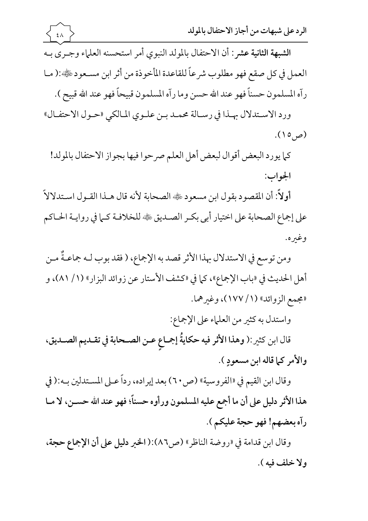

كما يورد البعض أقوال لبعض أهل العلم صرحوا فيها بجواز الاحتفال بالمولد! الجواب:

أولاً: أن المقصود بقول ابن مسعود ١١٠٠ الصحابة لأنه قال هـذا القـول اسـتدلالاً على إجماع الصحابة على اختيار أبي بكـر الصـديق ڜ للخلافـة كـما في روايـة الحـاكم وغىره.

ومن توسع في الاستدلال بهذا الأثر قصد به الإجماع، ( فقد بوب لـه جماعـةٌ مـن أهل الحديث في «باب الإجماع»، كما في «كشف الأستار عن زوائد البزار» (١/ ٨١)، و «مجمع الزوائد» (١/ ١٧٧)، وغيرهما.

واستدل به كثير من العلماء على الإجماع:

قال ابن كثير :( وهذا الأثر فيه حكايةُ إجماع عـن الصـحابة في تقـديم الصـديق، والأمر كما قاله ابن مسعودٍ ).

وقال ابن القيم في «الفروسية» (ص٢٠) بعد إيراده، رداً عـلى المسـتدلين بـه:( في هذا الأثر دليل على أن ما أجمع عليه المسلمون ورأوه حسناً؛ فهو عند الله حسـن، لا مـا رآه بعضهم! فهو حجة عليكم ).

وقال ابن قدامة في «روضة الناظر» (ص٨٦):( الخبر دليل على أن الإجماع حجة، ولا خلف فيه ).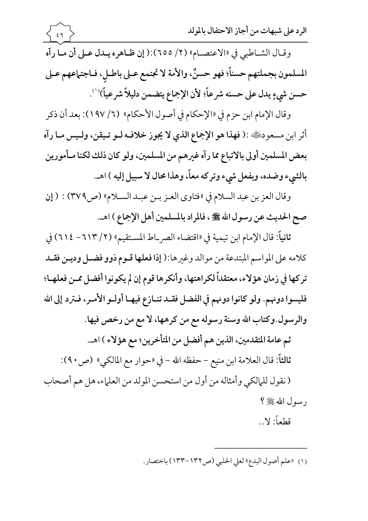المسلمون بجملتهم حسناً؛ فهو حسنٌ، والأمة لا تجتمع عـلى باطـل، فـاجتماعهم عـلى حسن شيءٍ يدل على حسنه شرعاً؛ لأن الإجماع يتضمن دليلاً شرعياً)'''.

وقال الإمام ابن حزم في «الإحكام في أصول الأحكام» (٦/ ١٩٧): بعد أن ذكر أثر ابن مسعودﷺ:( فهذا هو الإجماع الذي لا يجوز خلافـه لـو تـيقن، ولـيس مـا رآه بعض المسلمين أولى بالاتباع مما رآه غيرهم من المسلمين، ولو كان ذلك لكنا مـأمورين بالشيء وضده، وبفعل شيء وتركه معاً، وهذا محال لا سبيل إليه ) اهـ.

وقال العز بن عبد السلام في «فتاوى العـز بـن عبـد السـلام» (ص٣٧٩) : ( إن صح الحديث عن رسول الله ﷺ ، فالمراد بالمسلمين أهل الإجماع ) اهـ.

ثانياً: قال الإمام ابن تيمية في «اقتضاء الصر\_اط المستقيم» (٢/ ٦١٣ – ٢١٤) في كلامه على المواسم المبتدعة من موالد وغيرها:( إذا فعلها قـوم ذوو فضـل وديـن فقـد تركها في زمان هؤلاء، معتقداً لكراهتها، وأنكرها قوم إن لم يكونوا أفضل ممن فعلهـا؛ فليسوا دونهم. ولو كانوا دونهم في الفضل فقـد تنـازع فيهـا أولـو الأمـر، فـترد إلى الله والرسول.وكتاب الله وسنة رسوله مع من كرهها، لا مع من رخص فيها.

ثم عامة المتقدمين، الذين هم أفضل من المتأخرين؛ مع هؤلاء ) اهـ.

ثالثاً: قال العلامة ابن منيع – حفظه الله – في «حوار مع المالكي» (ص٢٠):

( نقول للمالكي وأمثاله من أول من استحسن المولد من العلماء، هل هم أصحاب رسول الله ﷺ ؟

قطعاً: لا ..

(١) «علم أصول البدع» لعلى الحلبي (ص١٣٢-١٣٣) باختصار.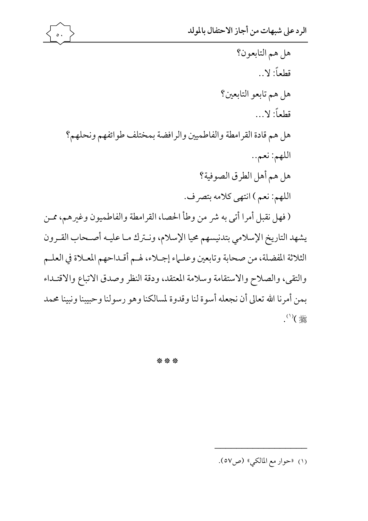رون يش الثلاثة المفضلة، من صحابة وتابعين وعلـماء إجـلاء، لهـم أقـداحهم المعـلاة في العلـم والتقي، والصلاح والاستقامة وسلامة المعتقد، ودقة النظر وصدق الاتباع والاقتـداء بمن أمرنا الله تعالى أن نجعله أسوة لنا وقدوة لمسالكنا وهو رسولنا وحبيبنا ونبينا محمد  $\begin{matrix} \mathbb{R} \\ \mathbb{R} \end{matrix}$ 

\*\*\*

(١) «حوار مع المالكي» (ص٥٧).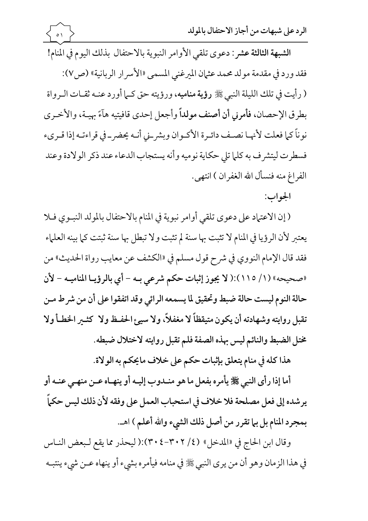فقد ورد في مقدمة مولد محمد عثمان الميرغني المسمى «الأسر ار الربانية» (ص٧): ( رأيت في تلك الليلة النبي ﷺ رؤية مناميه، ورؤيته حق كـما أورد عنـه ثقـات الـرواة بطرق الإحصان، فأمرني أن أصنف مولداً وأجعل إحدى قافيتيه هآءً بهيـة، والأخـري نوناً كما فعلت لأنهـا نصـف دائـرة الأكـوان وبشرـني أنـه يحضر\_في قراءتـه إذا قـريء فسطرت ليتشرف به كلما تلى حكاية نوميه وأنه يستجاب الدعاء عند ذكر الولادة وعند الفراغ منه فنسأل الله الغفران ) انتهى.

الجواب:

(إن الاعتماد على دعوى تلقى أوامر نبوية في المنام بالاحتفال بالمولد النبوي فلا يعتبر لأن الرؤيا في المنام لا تثبت بها سنة لم تثبت ولا تبطل بها سنة ثبتت كما بينه العلماء فقد قال الإمام النووي في شرح قول مسلم في «الكشف عن معايب رواة الحديث» من «صحيحه» (١/ ١١٥):( لا يجوز إثبات حكم شرعي به - أي بالرؤيـا المناميـه - لأن حالة النوم ليست حالة ضبط وتحقيق لما يسمعه الرائي وقد اتفقوا على أن من شرط مـن تقبل روايته وشهادته أن يكون متيقظاً لا مغفلاً، ولا سيئ الحفـظ ولا كثــير الخطـأ ولا مختل الضبط والنائم ليس بهذه الصفة فلم تقبل روايته لاختلال ضبطه.

هذا كله في منام يتعلق بإثبات حكم على خلاف مايحكم به الولاة.

أما إذا رأى النبي ﷺ يأمره بفعل ما هو منـدوب إليـه أو ينهـاه عـن منهـى عنـه أو يرشده إلى فعل مصلحة فلا خلاف في استحباب العمل على وفقه لأن ذلك ليس حكماً بمجرد المنام بل بيا تقرر من أصل ذلك الشيء والله أعلم ) اهـ.

وقال ابن الحاج في «المدخل» (٢٠٢/٤):( ليحذر مما يقع لـبعض النـاس في هذا الزمان وهو أن من يرى النبي ﷺ في منامه فيأمره بشيء أو ينهاه عــن شيء ينتبــه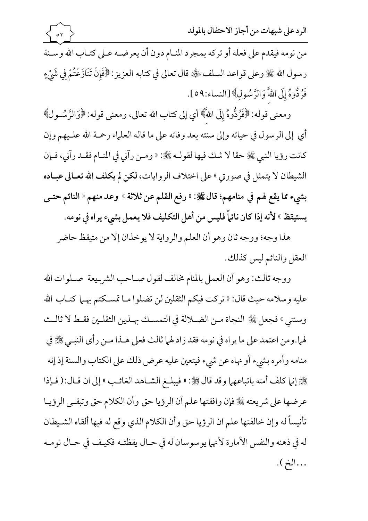الرد على شبهات من أجاز الاحتفال بالمولد

من نومه فيقدم على فعله أو تركه بمجرد المنام دون أن يعرضـه عـلى كتـاب الله وسـنة رسول الله ﷺ وعلى قواعد السلف ﴿ قَال تعالى في كتابه العزيز: ﴿فَإِنْ تَنَازَعْتُمْ فِي شَيْءٍ فَرُدُّوهُ إِلَى اللَّهَ وَالزَّسُولِ﴾ [النساء:٥٩].

 $\circ \gamma$ 

ومعنى قوله: ﴿فَرُدُّوهُ إِلَى اللَّهَ﴾ أي إلى كتاب الله تعالى، ومعنى قوله: ﴿وَالرَّسُـولُ﴾ أي إلى الرسول في حياته وإلى سنته بعد وفاته على ما قاله العلماء رحمة الله علـيهم وإن كانت رؤيا النبي ﷺ حقا لا شك فيها لقولـه ﷺ: « ومـن رآني في المنـام فقـد رآني، فـإن الشيطان لا يتمثل في صورتي » على اختلاف الروايات، لكن لم يكلف الله تعـالي عبـاده بشيء مما يقع لهم في منامهم؛ قال ﷺ: « رفع القلم عن ثلاثة » وعد منهم « النائم حتـي يستيقظ » لأنه إذا كان نائماً فليس من أهل التكليف فلا يعمل بشيء يراه في نومه.

هذا وجه؛ ووجه ثان وهو أن العلم والرواية لا يوخذان إلا من متيقظ حاضر العقل والنائم ليس كذلك.

ووجه ثالث: وهو أن العمل بالمنام مخالف لقول صـاحب الشر\_يعة صـلوات الله عليه وسلامه حيث قال: « تركت فيكم الثقلين لن تضلوا مـا تمسكتم بهـما كتـاب الله وسنتي " فجعل ﷺ النجاة مـن الضـلالة في التمسـك بهـذين الثقلـين فقـط لا ثالـث لهما.ومن اعتمد على ما يراه في نومه فقد زاد لهما ثالث فعلى هـذا مـن رأى النبـي ﷺ في منامه وأمره بشيء أو نهاه عن شيء فيتعين عليه عرض ذلك على الكتاب والسنة إذ إنه ﷺ إنها كلف أمته باتباعهها وقد قال ﷺ: « فيبلـغ الشـاهد الغائـب » إلى ان قـال:( فـإذا عرضها على شريعته ﷺ فإن وافقتها علم أن الرؤيا حق وأن الكلام حق وتبقىي الرؤيـا تأنيساً له وإن خالفتها علم ان الرؤيا حق وأن الكلام الذي وقع له فيها ألقاه الشـيطان له في ذهنه والنفس الأمارة لأنهما يوسوسان له في حـال يقظتـه فكيـف في حـال نومـه ...الخ ).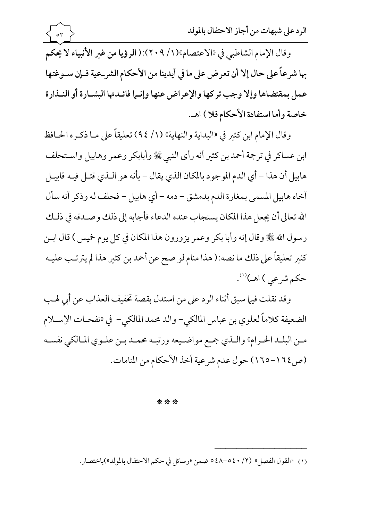وقال الإمام الشاطبي في «الاعتصام»(١/ ٢٠٩):( الرؤيا من غير الأنبياء لا يحكم بها شر عاً على حال إلا أن تعرض على ما في أيدينا من الأحكام الشر\_عية فـإن سـوغتها عمل بمقتضاها وإلا وجب تركها والإعراض عنها وإنما فائلدتها البشارة أو النـذارة خاصة وأما استفادة الأحكام فلا ) اهـ.

 $\circ \tau$ 

وقال الإمام ابن كثير في «البداية والنهاية» (١/ ٩٤) تعليقاً على مـا ذكـره الحـافظ ابن عساكر في ترجمة أحمد بن كثير أنه رأى النبي ﷺ وأبابكر وعمر وهابيل واسـتحلف هابيل أن هذا – أي الدم الموجود بالمكان الذي يقال – بأنه هو الـذي قتـل فيـه قابيـل أخاه هابيل المسمى بمغارة الدم بدمشق – دمه – أي هابيل – فحلف له وذكر أنه سأل الله تعالى أن يجعل هذا المكان يستجاب عنده الدعاء فأجابه إلى ذلك وصـدقه في ذلـك رسول الله ﷺ وقال إنه وأبا بكر وعمر يزورون هذا المكان في كل يوم خميس ) قال ابــن كثير تعليقاً على ذلك ما نصه:( هذا منام لو صح عن أحمد بن كثير هذا لم يترتـب عليـه حکم شرعی ) اهسا<sup>(۱)</sup>.

وقد نقلت فيها سبق أثناء الرد على من استدل بقصة تخفيف العذاب عن أبي لهب الضعيفة كلاماً لعلوي بن عباس المالكي- والد محمد المالكي- في «نفحــات الإســلام مـن البلـد الحـرام» والـذي جمع مواضـيعه ورتبـه محمـد بـن علـوى المـالكي نفسـه (ص ١٦٤–١٦٥) حول عدم شرعية أخذ الأحكام من المنامات.

\*\*\*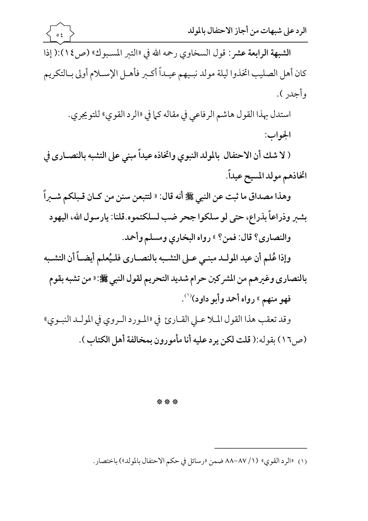## \*\*\*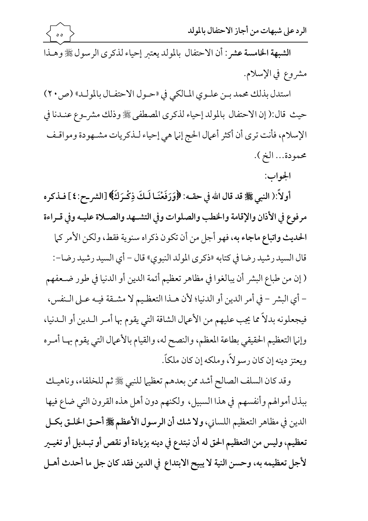الشبهة الخامسة عشر : أن الاحتفال بالمولد يعتبر إحياء لذكرى الرسول ﷺ وهـذا مشروع في الإسلام.

 $\circ$   $\circ$ 

استدل بذلك محمد بـن علـوي المـالكي في «حـول الاحتفـال بالمولـد» (ص٢٠) حيث قال:( إن الاحتفال بالمولد إحياء لذكرى المصطفى ﷺ وذلك مشر\_وع عنـدنا في الإسلام، فأنت ترى أن أكثر أعمال الحج إنها هي إحياء لـذكريات مشـهودة ومواقـف محمودة... الخ ).

الجواب:

أولاً:( النبي ﷺ قد قال الله في حقـه: ﴿وَرَفَعْنَـا لَـكَ ذِكْـرَكَ﴾ [الشر ـح:٤] فـذكر ه مرفوع في الأذان والإقامة والخطب والصلوات وفي التشـهد والصـلاة عليـه وفي قـراءة الحديث واتباع ماجاء به، فهو أجل من أن تكون ذكراه سنوية فقط، ولكن الأمر كما قال السيد رشيد رضا في كتابه «ذكرى المولد النبوي» قال – أي السيد رشيد رضا–: ( إن من طباع البشر أن يبالغوا في مظاهر تعظيم أئمة الدين أو الدنيا في طور ضـعفهم – أي البشر – في أمر الدين أو الدنيا؛ لأن هـذا التعظـيم لا مشـقة فيـه عـلى الـنفس، فيجعلونه بدلاً مما يجب عليهم من الأعمال الشاقة التي يقوم بها أمـر الـدين أو الـدنيا، وإنيا التعظيم الحقيقي بطاعة المعظم، والنصح له، والقيام بالأعمال التي يقوم بهـا أمـره ويعتز دينه إن كان رسولاً، وملكه إن كان ملكاً.

وقد كان السلف الصالح أشد ممن بعدهم تعظيها للنبي ﷺ ثم للخلفاء، وناهيك ببذل أموالهم وأنفسهم في هذا السبيل، ولكنهم دون أهل هذه القرون التي ضاع فيها الدين في مظاهر التعظيم اللساني، ولا شك أن الرسول الأعظم ﷺ أحـق الخلـق بكـل تعظيم، وليس من التعظيم الحق له أن نبتدع في دينه بزيادة أو نقص أو تبـديل أو تغيــير لأجل تعظيمه به، وحسن النية لا يبيح الابتداع في الدين فقد كان جل ما أحدث أهـل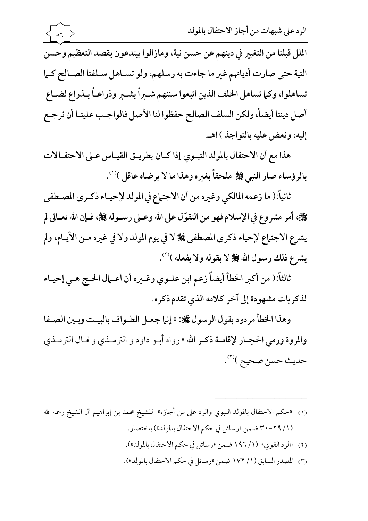الملل قبلنا من التغيير في دينهم عن حسن نية، ومازالوا يبتدعون بقصد التعظيم وحسن النية حتى صارت أديانهم غير ما جاءت به رسلهم، ولو تسـاهل سـلفنا الصـالح كـما تساهلوا، وكما تساهل الخلف الذين اتبعوا سننهم شىبراً بشىبر وذراعـاً بـذراع لضـاع أصل ديننا أيضاً، ولكن السلف الصالح حفظوا لنا الأصل فالواجب علينـا أن نرجـع إليه، ونعض عليه بالنواجذ ) اهـ.

 $\sim$   $\sim$ 

هذا مع أن الاحتفال بالمولد النبـوي إذا كـان بطريـق القيـاس عـلى الاحتفـالات بالرؤساء صار النبي ﷺ ملحقاً بغيره وهذا ما لا يرضاه عاقل )(').

ثانياً:( ما زعمه المالكي وغيره من أن الاجتماع في المولد لإحيـاء ذكـرى المصـطفى ﴾ أمر مشروع في الإسلام فهو من التقوّل على الله وعـلى رسـوله ﷺ، فـإن الله تعـالي لم يشرع الاجتماع لإحياء ذكرى المصطفى ﷺ لا في يوم المولد ولا في غيره مـن الأيـام، ولم يشرع ذلك رسول الله على لا بقوله ولا بفعله )'".

ثالثاً:( من أكبر الخطأ أيضاً زعم ابن علـوى وغـيره أن أعـمال الحـج هـي إحيـاء لذكريات مشهودة إلى آخر كلامه الذي تقدم ذكره.

وهذا الخطأ مردود بقول الرسول ﷺ: « إنها جعـل الطـواف بالبيـت وبـين الصـفا والمروة ورمى الحجار لإقامــة ذكـر الله » رواه أبـو داود و الترمــذي و قــال الترمــذي حديث حسن صحيح )<sup>(٣)</sup>.

- (١) «حكم الاحتفال بالمولد النبوي والرد على من أجازه» للشيخ محمد بن إبراهيم آل الشيخ رحمه الله (١/ ٢٩-٣٠ ضمن «رسائل في حكم الاحتفال بالمولد») باختصار.
	- (٢) «الرد القوى» (١/ ١٩٦ ضمن «رسائل في حكم الاحتفال بالمولد»).
	- (٣) المصدر السابق (١/ ١٧٢ ضمن «رسائل في حكم الاحتفال بالمولد»).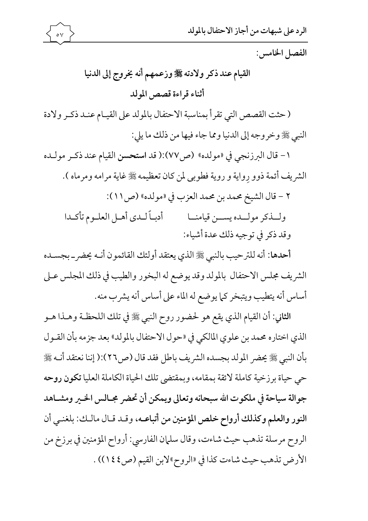

الفصل الخامس:

## القيام عند ذكر ولادته ﷺ وزعمهم أنه يخروج إلى الدنيا أثناء قراءة قصص المولد

(حثت القصص التي تقرأ بمناسبة الاحتفال بالمولد على القيـام عنـد ذكـر ولادة النبي ﷺ وخروجه إلى الدنيا ومما جاء فيها من ذلك ما يلي:

١- قال البرزنجي في «مولده» (ص٧٧):( قد استحسن القيام عند ذكر مولـده الشريف أئمة ذوو رِواية و روية فطوبي لمن كان تعظيمه ﷺ غاية مرامه ومرماه ).

٢ - قال الشيخ محمد بن محمد العزب في «مولده» (ص١١):

أدبـاً لـدي أهـل العلـوم تأكـدا ولسذكر مولسده يسسن قيامنسا وقد ذكر في توجيه ذلك عدة أشياء:

أحدها: أنه للترحيب بالنبي ﷺ الذي يعتقد أولئك القائمون أنـه يحضر\_ بجسـده الشريف مجلس الاحتفال بالمولد وقد يوضع له البخور والطيب في ذلك المجلس عـلى أساس أنه يتطيب ويتبخر كما يوضع له الماء على أساس أنه يشرب منه.

الثاني: أن القيام الذي يقع هو لحضور روح النبي ﷺ في تلك اللحظـة وهـذا هـو الذي اختاره محمد بن علوي المالكي في «حول الاحتفال بالمولد» بعد جزمه بأن القـول بأن النبي ﷺ يحضر المولد بجسده الشريف باطل فقد قال (ص٢٦):( إننا نعتقد أنـه ﷺ حي حياة برزخية كاملة لائقة بمقامه، وبمقتضى تلك الحياة الكاملة العليا تكون روحه جوالة سياحة في ملكوت الله سبحانه وتعالى ويمكن أن تحضر مجـالس الخـير ومشـاهد النور والعلم وكذلك أرواح خلص المؤمنين من أتباعـه، وقـد قـال مالـك: بلغنـى أن الروح مرسلة تذهب حيث شاءت، وقال سلمان الفارسي: أرواح المؤمنين في برزخ من الأرض تذهب حيث شاءت كذا في «الروح»لابن القيم (ص٤٤١)) .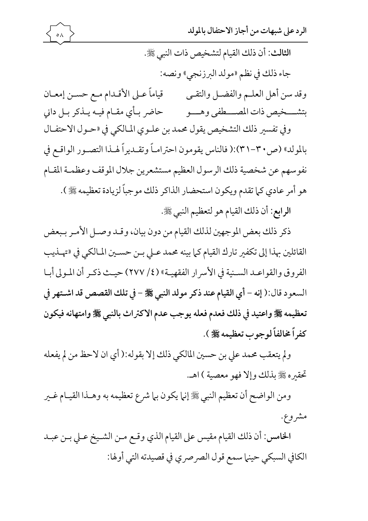

الرد على شبهات من أجاز الاحتفال بالمولد

الثالث: أن ذلك القيام لتشخيص ذات النبي ﷺ. جاء ذلك في نظم «مولد البرزنجي» ونصه:

وفي تفسير ذلك التشخيص يقول محمد بن علـوي المـالكي في «حـول الاحتفـال بالمولد» (ص٣٠-٣١):( فالناس يقومون احترامـاً وتقـديراً لهـذا التصـور الواقـع في نفوسهم عن شخصية ذلك الرسول العظيم مستشعرين جلال الموقف وعظمـة المقـام هو أمر عادي كما تقدم ويكون استحضار الذاكر ذلك موجباً لزيادة تعظيمه ﷺ ).

الرابع: أن ذلك القيام هو لتعظيم النبي ﷺ.

ذكر ذلك بعض الموجهين لذلك القيام من دون بيان، وقـد وصـل الأمـر بـبعض القائلين بهذا إلى تكفير تارك القيام كما بينه محمد عـلى بـن حسـين المـالكي في «تهـذيب الفروق والقواعـد السـنية في الأسرار الفقهيـة» (٢٧٧/٤) حيـث ذكـر أن المـولي أبـا السعود قال:( إنه - أي القيام عند ذكر مولد النبي ﷺ - في تلك القصص قد اشتهر في تعظيمه ﷺ واعتيد في ذلك فعدم فعله يوجب عدم الاكتراث بالنبي ﷺ وامتهانه فيكون كفراً مخالفاً لوجوب تعظيمه ﷺ ).

ولم يتعقب محمد على بن حسين المالكي ذلك إلا بقوله:( أي ان لاحظ من لم يفعله تحقيره ﷺ بذلك وإلا فهو معصية ) اهـ.

ومن الواضح أن تعظيم النبي ﷺ إنها يكون بها شرع تعظيمه به وهـذا القيـام غـير مشروع.

الخامس: أن ذلك القيام مقيس على القيام الذي وقـع مـن الشـيخ عـلى بـن عبـد الكافي السبكي حينها سمع قول الصرصري في قصيدته التي أولها: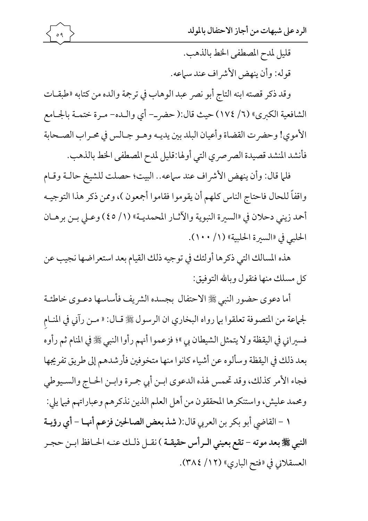قليل لمدح المصطفى الخط بالذهب. قوله: وأن ينهض الأشر اف عند سياعه.

وقد ذكر قصته ابنه التاج أبو نصر عبد الوهاب في ترجمة والده من كتابه «طبقـات الشافعية الكبرى» (٦/ ١٧٤) حيث قال:( حضر\_- أي والـده- مـرة ختمـة بالجـامع الأموى! وحضرت القضاة وأعيان البلد بين يديـه وهـو جـالس في محـراب الصـحابة فأنشد المنشد قصيدة الصرصري التي أولها:قليل لمدح المصطفى الخط بالذهب.

 $\circ$  9

فلما قال: وأن ينهض الأشراف عند سماعه.. البيت؛ حصلت للشيخ حالـة وقـام واقفاً للحال فاحتاج الناس كلهم أن يقوموا فقاموا أجمعون )، وممن ذكر هذا التوجيـه أحمد زيني دحلان في «السيرة النبوية والآثـار المحمديـة» (١/ ٤٥) وعـلى بـن برهـان الحلبي في «السيرة الحلبية» (١/ ١٠٠).

هذه المسالك التي ذكرها أولئك في توجيه ذلك القيام بعد استعراضها نجيب عن كل مسلك منها فنقول وبالله التوفيق:

أما دعوى حضور النبي ﷺ الاحتفال بجسده الشريف فأساسها دعـوى خاطئـة لجماعة من المتصوفة تعلقوا بيا رواه البخاري ان الرسول ﷺ قـال: « مـن رآني في المنـام فسيراني في اليقظة ولا يتمثل الشيطان بي "؛ فزعموا أنهم رأوا النبي ﷺ في المنام ثم رأوه بعد ذلك في اليقظة وسألوه عن أشياء كانوا منها متخوفين فأرشدهم إلى طريق تفريجها فجاء الأمر كذلك، وقد تحمس لهذه الدعوى ابـن أبي جمـرة وابـن الحـاج والسـيوطي ومحمد عليش، واستنكرها المحققون من أهل العلم الذين نذكرهم وعباراتهم فيها يلي:

١ – القاضي أبو بكر بن العربي قال:( شذ بعض الصالحين فزعم أنهـا – أي رؤيـة النبي ﷺ بعد موته – تقع بعيني الـرأس حقيقـة ) نقـل ذلـك عنـه الحـافظ ابـن حجـر العسقلاني في «فتح الباري» (١٢/ ٣٨٤).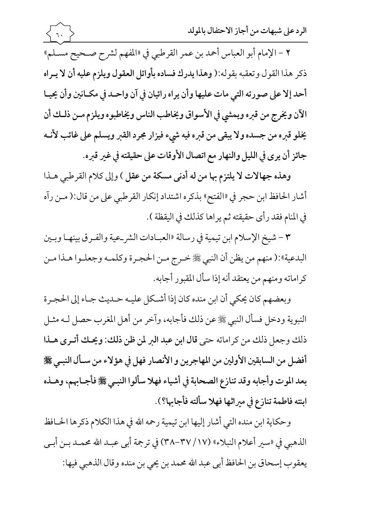٢ - الإمام أبو العباس أحمد بن عمر القرطبي في «المفهم لشرح صـحيح مسـلم» ذكر هذا القول وتعقبه بقوله:( وهذا يدرك فساده بأوائل العقول ويلزم عليه أن لا يـراه أحد إلا على صورته التي مات عليها وأن يراه رائيان في آن واحـد في مكـانين وأن يحيـا الآن ويخرج من قبره ويمشى في الأسواق ويخاطب الناس ويخاطبوه ويلزم مـن ذلـك أن يخلو قبره من جسده ولا يبقى من قبره فيه شيء فيزار مجرد القبر ويسلم على غائب لأنـه جائز أن يرى في الليل والنهار مع اتصال الأوقات على حقيقته في غير قبره.

وهذه جهالات لا يلتزم بها من له أدنى مسكة من عقل ) وإلى كلام القرطبي هـذا أشار الحافظ ابن حجر في «الفتح» بذكره اشتداد إنكار القرطبي على من قال:( مـن رآه في المنام فقد رأى حقيقته ثم يراها كذلك في اليقظة ).

٣ - شيخ الإسلام ابن تيمية في رسالة «العبـادات الشر\_عية والفـرق بينهـا وبـين البدعية»:( منهم من يظن أن النبي ﷺ خـرج مـن الحجـرة وكلمـه وجعلـوا هـذا مـن كراماته ومنهم من يعتقد أنه إذا سأل المقبور أجابه.

وبعضهم كان يحكي أن ابن منده كان إذا أشكل عليـه حـديث جـاء إلى الحجـرة النبوية ودخل فسأل النبي ﷺ عن ذلك فأجابه، وآخر من أهل المغرب حصل لـه مثـل ذلك وجعل ذلك من كراماته حتى قال ابن عبد البر لمن ظن ذلك: ويحـك أتـرى هـذا أفضل من السابقين الأولين من المهاجرين و الأنصار فهل في هؤلاء من سـأل النبـي ﷺ بعد الموت وأجابه وقد تنازع الصحابة في أشياء فهلا سألوا النبـي ﷺ فأجـابهم، وهـذه ابنته فاطمة تنازع في ميراثها فهلا سألته فأجابها؟).

وحكاية ابن منده التي أشار إليها ابن تيمية رحمه الله في هذا الكلام ذكرها الحـافظ الذهبي في «سير أعلام النبلاء» (١٧/ ٣٧-٣٨) في ترجمة أبي عبـد الله محمـد بـن أبـي يعقوب إسحاق بن الحافظ أبي عبد الله محمد بن يحي بن منده وقال الذهبي فيها: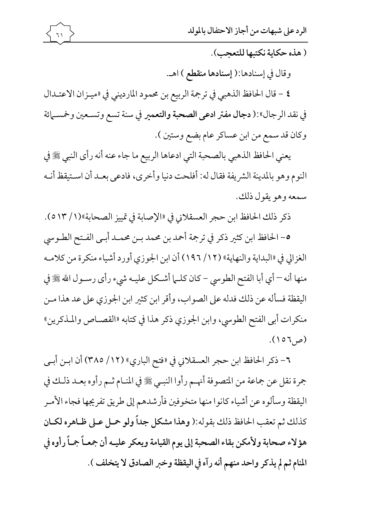(هذه حكاية نكتبها للتعجب).

وقال في إسنادها:( إسنادها منقطع ) اهـ.

٤ - قال الحافظ الذهبي في ترجمة الربيع بن محمود المارديني في «ميـزان الاعتـدال في نقد الرجال»:( دجال مفتر ادعى الصحبة والتعمير في سنة تسع وتسـعين وخمسـمائة وكان قد سمع من ابن عساكر عام بضع وستين ).

يعني الحافظ الذهبي بالصحبة التي ادعاها الربيع ما جاء عنه أنه رأى النبي ﷺ في النوم وهو بالمدينة الشريفة فقال له: أفلحت دنيا وأخرى، فادعى بعـد أن اسـتيقظ أنـه سمعه وهو يقول ذلك.

ذكر ذلك الحافظ ابن حجر العسقلاني في «الإصابة في تمييز الصحابة»(١/ ٥١٣).

٥- الحافظ ابن كثير ذكر في ترجمة أحمد بن محمد بـن محمـد أبـي الفـتح الطـوسي الغزالي في «البداية والنهاية» (١٢/ ١٩٦) أن ابن الجوزي أورد أشياء منكرة من كلامـه منها أنه – أي أبا الفتح الطوسي – كان كلـما أشـكل عليـه شيء رأى رسـول الله ﷺ في اليقظة فسأله عن ذلك فدله على الصواب، وأقر ابن كثير ابن الجوزي على عد هذا مـن منكرات أبي الفتح الطوسي، وابن الجوزي ذكر هذا في كتابه «القصـاص والمـذكرين»  $(0, 7)$ 

٦- ذكر الحافظ ابن حجر العسقلاني في «فتح الباري» (١٢/ ٣٨٥) أن ابـن أبـي جمرة نقل عن جماعة من المتصوفة أنهـم رأوا النبـي ﷺ في المنـام ثـم رأوه بعـد ذلـك في اليقظة وسألوه عن أشياء كانوا منها متخوفين فأرشدهم إلى طريق تفريجها فجاء الأمـر كذلك ثم تعقب الحافظ ذلك بقوله:( وهذا مشكل جداً ولو حمل عـلى ظـاهره لكـان هؤلاء صحابة ولأمكن بقاء الصحبة إلى يوم القيامة ويعكر عليـه أن جمعـاً جمـاً رأوه في المنام ثم لم يذكر واحد منهم أنه رآه في اليقظة وخبر الصادق لا يتخلف ).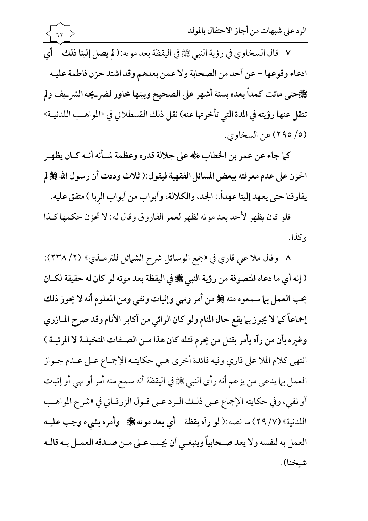الرد على شبهات من أجاز الاحتفال بالمولد  $77$ ٧- قال السخاوي في رؤية النبي ﷺ في اليقظة بعد موته:( لم يصل إلينا ذلك - أي ادعاء وقوعها – عن أحد من الصحابة ولا عمن بعدهم وقد اشتد حزن فاطمة عليـه ﴾ حتى ماتت كمداً بعده بستة أشهر على الصحيح وبيتها مجاور لضر\_يحه الشر\_يف ولم تنقل عنها رؤيته في المدة التي تأخرتها عنه) نقل ذلك القسطلاني في «المواهـب اللدنيــة» (٥/ ٢٩٥) عن السخاوي.

كما جاء عن عمر بن الخطاب ﷺ على جلالة قدره وعظمة شـأنه أنـه كـان يظهـر الحزن على عدم معرفته ببعض المسائل الفقهية فيقول:( ثلاث وددت أن رسول الله ﷺ لم يفارقنا حتى يعهد إلينا عهداً. : الجد، والكلالة، وأبواب من أبواب الربا ) متفق عليه.

فلو كان يظهر لأحد بعد موته لظهر لعمر الفاروق وقال له: لا تحزن حكمها كـذا وكذا.

٨- وقال ملا على قاري في «جمع الوسائل شرح الشمائل للترمـذي» (٢/ ٢٣٨): ( إنه أي ما دعاه المتصوفة من رؤية النبي ﷺ في اليقظة بعد موته لو كان له حقيقة لكـان يجب العمل بها سمعوه منه ﷺ من أمر ونهي وإثبات ونفي ومن المعلوم أنه لا يجوز ذلك إجماعاً كما لا يجوز بها يقع حال المنام ولو كان الرائي من أكابر الأنام وقد صرح المازري وغيره بأن من رآه يأمر بقتل من يحرم قتله كان هذا مـن الصـفات المتخيلـة لا المرئيـة ) انتهى كلام الملا على قاري وفيه فائدة أخرى هـي حكايتـه الإجمـاع عـلى عـدم جـواز العمل بيا يدعي من يزعم أنه رأى النبي ﷺ في اليقظة أنه سمع منه أمر أو نهي أو إثبات أو نفي، وفي حكايته الإجماع عـلى ذلـك الـرد عـلى قـول الزرقـاني في «شرح المواهـب اللدنية» (٧/ ٢٩) ما نصه:( لو رآه يقظة – أي بعد موته ﷺ– وأمره بشيء وجب عليـه العمل به لنفسه ولا يعد صـحابياً وينبغـي أن يجـب عـلى مـن صـدقه العمـل بـه قالـه شىخنا).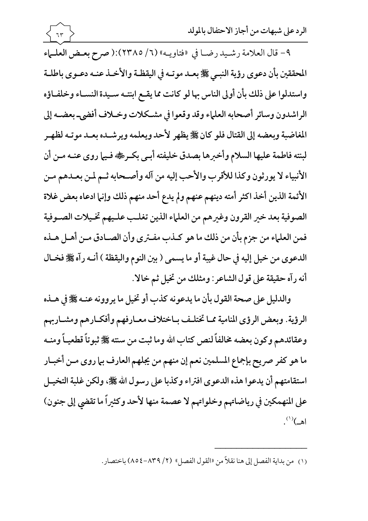٩- قال العلامة رشيد رضا في «فتاويـه» (٦/ ٢٣٨٥):( صرح بعـض العلـماء المحققين بأن دعوى رؤية النبيي ﷺ بعـد موتـه في اليقظـة والأخـذ عنـه دعـوى باطلـة واستدلوا على ذلك بأن أولى الناس بها لو كانت مما يقـع ابنتـه سـيدة النسـاء وخلفـاؤه الراشدون وسائر أصحابه العلماء وقد وقعوا في مشكلات وخلاف أفضى- بعضـه إلى المغاضبة وبعضه إلى القتال فلو كان ﷺ يظهر لأحد ويعلمه ويرشـده بعـد موتـه لظهـر لبنته فاطمة عليها السلام وأخبرها بصدق خليفته أبـي بكـرٍ ، فيها روى عنـه مـن أن الأنبياء لا يورثون وكذا للأقرب والأحب إليه من آله وأصحابه ثم لمن بعـدهم مـن الأئمة الذين أخذ اكثر أمته دينهم عنهم ولم يدع أحد منهم ذلك وإنما ادعاه بعض غلاة الصوفية بعد خير القرون وغيرهم من العلماء الذين تغلب عليهم تخيلات الصوفية فمن العلماء من جزم بأن من ذلك ما هو كـذب مفـترى وأن الصـادق مـن أهـل هـذه الدعوى من خيل إليه في حال غيبة أو ما يسمى ( بين النوم واليقظة ) أنـه رآه ﷺ فخـال أنه رآه حقيقة على قول الشاعر : ومثلك من تخيل ثم خالا.

 $77$ 

والدليل على صحة القول بأن ما يدعونه كذب أو تخيل ما يروونه عنـه ﷺ في هــذه الرؤية. وبعض الرؤى المنامية مما تختلف باختلاف معـارفهم وأفكـارهم ومشـاربهم وعقائدهم وكون بعضه مخالفاً لنص كتاب الله وما ثبت من سنته ﷺ ثبوتاً قطعيـاً ومنــه ما هو كفر صريح بإجماع المسلمين نعم إن منهم من يجلهم العارف بما روى مـن أخبـار استقامتهم أن يدعوا هذه الدعوى افتراء وكذبا على رسول الله ﷺ، ولكن غلبة التخيـل على المنهمكين في رياضاتهم وخلواتهم لا عصمة منها لأحد وكثيراً ما تقضى إلى جنون)  $\mathbf{A}^{(1)}$ اهه

(١) من بداية الفصل إلى هنا نقلاً من «القول الفصل» (٢/ ٨٣٩-٨٥٤) باختصار.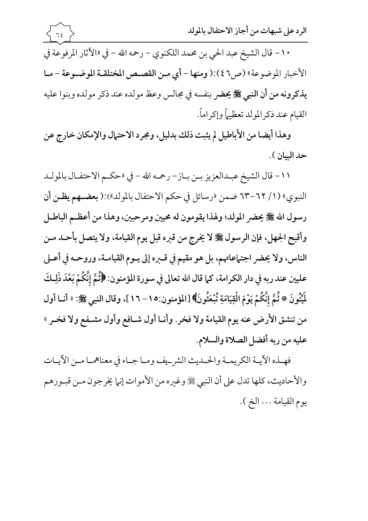١٠- قال الشيخ عبد الحي بن محمد اللكنوي – رحمه الله – في «الآثار المرفوعة في الأخبار الموضوعة» (ص٤٦):( ومنها - أي مـن القصـص المختلقـة الموضـوعة - مـا يذكرونه من أن النبي ﷺ يحضر بنفسه في مجالس وعظ مولده عند ذكر مولده وبنوا عليه القيام عند ذكرالمولد تعظيماً وإكراماً.

 $75$ 

وهذا أيضا من الأباطيل لم يثبت ذلك بدليل، ومجرد الاحتمال والإمكان خارج عن حد السان ).

١١- قال الشيخ عبدالعزيز بـن بـاز- رحمه الله - في «حكـم الاحتفـال بالمولـد النبوي» (١/ ٦٢-٦٣ ضمن «رسائل في حكم الاحتفال بالمولد»):( بعضـهم يظـن أن رسول الله ﷺ يحضر المولد؛ ولهذا يقومون له محيين ومرحبين، وهذا من أعظـم الباطـل وأقبح الجهل، فإن الرسول ﷺ لا يخرج من قبره قبل يوم القيامة، ولا يتصل بأحـد مـن الناس، ولا يحضر اجتهاعاتهم، بل هو مقيم في قـبره إلى يـوم القيامـة، وروحـه في أعـلى عليين عند ربه في دار الكرامة، كما قال الله تعالى في سورة المؤمنون: ﴿ثُمَّ إِنَّكُمْ بَعْدَ ذَلِكَ لَمِّيُّونَ \* ثُمَّ إِنَّكُمْ يَوْمَ الْقِيَامَةِ تُبْعَثُونَ﴾ [المؤمنون:١٥ – ١٦]، وقال النبي ﷺ: « أنـا أول من تنشق الأرض عنه يوم القيامة ولا فخر . وأنـا أول شـافع وأول مشـفع ولا فخـر » عليه من ربه أفضل الصلاة والسلام.

فهـذه الآيــة الكريمــة والحـديث الشرييف ومـا جـاء في معناهمـا مــن الآيــات والأحاديث، كلها تدل على أن النبي ﷺ وغيره من الأموات إنها يخرجون مـن قبـورهم يوم القيامة ... الخ ).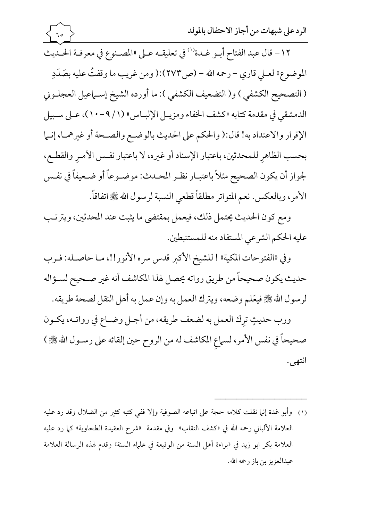$\mathcal{L}$ 

- ١٢- قال عبد الفتاح أبـو غـدة<sup>(١)</sup> في تعليقـه عـلى «المصـنوع في معرفـة الحـديث الموضوع» لعـلى قارى – رحمه الله – (ص١٢٧٣):( ومن غريب ما وقفتُ عليه بصَدَدِ ( التصحيح الكشفى ) و( التضعيف الكشفى ): ما أورده الشيخ إسـماعيل العجلـوني الدمشقى في مقدمة كتابه «كشف الخفاء ومزيـل الإلبـاس» (١/ ٩-١٠)، عـلى سـبيل الإقرار والاعتداد به! قال:( والحكم على الحديث بالوضع والصحة أو غيرهما، إنـما بحسب الظاهر للمحدثين، باعتبار الإسناد أو غيره، لا باعتبار نفس الأمـر والقطـع، لجواز أن يكون الصحيح مثلاً باعتبـار نظـر المحـدث: موضـوعاً أو ضـعيفاً في نفـس الأمر، وبالعكس. نعم المتواتر مطلقاً قطعي النسبة لرسول الله ﷺ اتفاقاً.
- ومع كون الحديث يحتمل ذلك، فيعمل بمقتضى ما يثبت عند المحدثين، ويترتب عليه الحكم الشرعي المستفاد منه للمستنبطين.

وفي «الفتوحات المكية» ! للشيخ الأكبر قدس سره الأنور!!، مـا حاصـله: فـرب حديث يكون صحيحاً من طريق رواته يحصل لهذا المكاشف أنه غير صـحيح لسـؤاله لرسول الله ﷺ فيعَلم وضعه، ويترك العمل به وإن عمل به أهل النقل لصحة طريقه. ورب حديثٍ ترك العمل به لضعف طريقه، من أجـل وضــاع في رواتــه، يكــون صحيحاً في نفس الأمر، لسماع المكاشف له من الروح حين إلقائه على رسـول الله ﷺ ) انتهى.

(١) وأبو غدة إنها نقلت كلامه حجة على اتباعه الصوفية وإلا ففي كتبه كثير من الضلال وقد رد عليه العلامة الألباني رحمه الله في «كشف النقاب» وفي مقدمة «شرح العقيدة الطحاوية» كما رد عليه العلامة بكر ابو زيد في «براءة أهل السنة من الوقيعة في علماء السنة» وقدم لهذه الرسالة العلامة عبدالعزيز بن باز رحمه الله.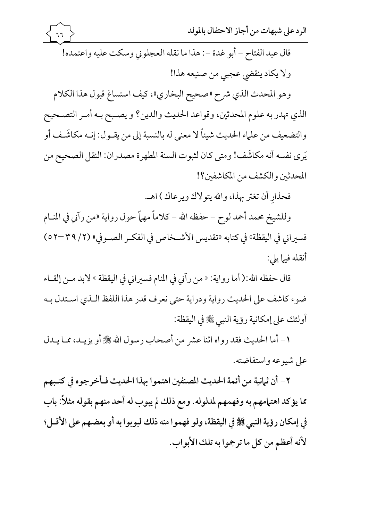قال عبد الفتاح – أبو غدة –: هذا ما نقله العجلوني وسكت عليه واعتمده! ولا يكاد ينقضي عجبي من صنيعه هذا! وهو المحدث الذي شرح «صحيح البخاري»، كيف استساغ قبول هذا الكلام

 $77$ 

الذي تهدر به علوم المحدثين، وقواعد الحديث والدين؟ و يصـبح بـه أمـر التصـحيح والتضعيف من علماء الحديث شيئاً لا معنى له بالنسبة إلى من يقـول: إنـه مكاشَـف أو يَرى نفسه أنه مكاشَف! ومتى كان لثبوت السنة المطهرة مصدران: النقل الصحيح من المحدثين والكشف من المكاشفين؟!

فحذار أن تغتر بهذا، والله يتولاك ويرعاك ) اهـ.

وللشيخ محمد أحمد لوح – حفظه الله – كلاماً مهماً حول رواية «من رآني في المنــام فسيراني في اليقظة» في كتابه «تقديس الأشـخاص في الفكـر الصـوفي» (٢/ ٣٩–٥٢) أنقله فيها يلي:

قال حفظه الله:( أما رواية: « من رآني في المنام فسيراني في اليقظة » لابد مـن إلقــاء ضوء كاشف على الحديث رواية ودراية حتى نعرف قدر هذا اللفظ اللذي استدل بـه أولئك على إمكانية رؤية النبي ﷺ في اليقظة:

١- أما الحديث فقد رواه اثنا عشر من أصحاب رسول الله ﷺ أو يزيـد، ممـا يـدل على شيوعه واستفاضته.

٢ – أن ثمانية من أئمة الحديث المصنفين اهتموا بهذا الحديث فـأخرجوه في كتـبهم مما يؤكد اهتهامهم به وفهمهم لمدلوله. ومع ذلك لم يبوب له أحد منهم بقوله مثلاً: باب في إمكان رؤية النبي ﷺ في اليقظة، ولو فهموا منه ذلك لبوبوا به أو بعضهم على الأقـل؛ لأنه أعظم من كل ما ترجموا به تلك الأبواب.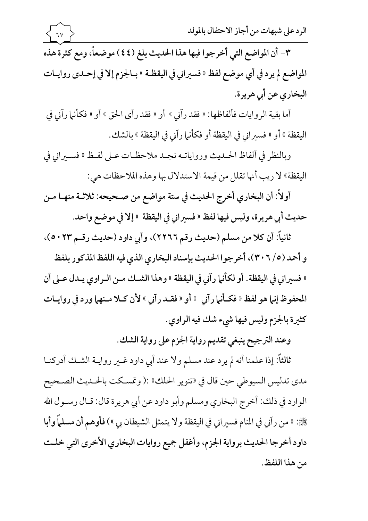٣- أن المواضع التي أخرجوا فيها هذا الحديث بلغ (٤٤) موضعاً، ومع كثرة هذه المواضع لم يرد في أي موضع لفظ « فسيراني في اليقظـة » بـالجزم إلا في إحـدي روايـات البخاري عن أبي هريرة.

 $7<sup>7</sup>$ 

أما بقية الروايات فألفاظها: « فقد رآني » أو « فقد رأى الحق » أو « فكأنها رآني في اليقظة » أو « فسيراني في اليقظة أو فكأنها رآني في اليقظة » بالشك.

وبالنظر في ألفاظ الحـديث ورواياتــه نجـد ملاحظـات عـلى لفـظ « فسـيراني في اليقظة» لا ريب أنها تقلل من قيمة الاستدلال بها وهذه الملاحظات هي:

أولاً: أن البخاري أخرج الحديث في ستة مواضع من صـحيحه: ثلاثـة منهـا مـن حديث أبي هريرة، وليس فيها لفظ « فسيراني في اليقظة » إلا في موضع واحد.

ثانياً: أن كلا من مسلم (حديث رقم ٢٢٦٦)، وأبي داود (حديث رقـم ٥٠٢٣ .

و أحمد (٥/ ٣٠٦)، أخرجوا الحديث بإسناد البخاري الذي فيه اللفظ المذكور بلفظ « فسيراني في اليقظة. أو لكأنها رآني في اليقظة » وهذا الشـك مـن الـراوي يـدل عـلى أن المحفوظ إنها هو لفظ « فكـأنها رآني » أو « فقـد رآني » لأن كـلا مـنهها ورد في روايـات كثيرة بالجزم وليس فيها شيء شك فيه الراوي.

وعند الترجيح ينبغي تقديم رواية الجزم على رواية الشك.

ثالثاً: إذا علمنا أنه لم يرد عند مسلم ولا عند أبي داود غـير روايــة الشـك أدركنــا مدى تدليس السيوطي حين قال في «تنوير الحلك» :( وتمسكت بالحـديث الصـحيح الوارد في ذلك: أخرج البخاري ومسلم وأبو داود عن أبي هريرة قال: قـال رسـول الله حَجَّ : « من رآني في المنام فسيراني في اليقظة ولا يتمثل الشيطان بي ») فأوهم أن مسلماً وأبا داود أخرجا الحديث برواية الجزم، وأغفل جميع روايات البخاري الأخرى التي خلت من هذا اللفظ.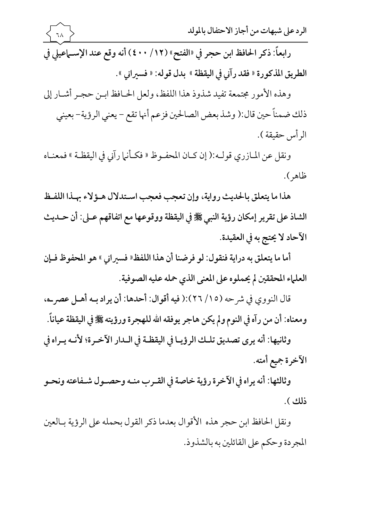وهذه الأمور مجتمعة تفيد شذوذ هذا اللفظ، ولعل الحـافظ ابـن حجـر أشـار إلى ذلك ضمناً حين قال:( وشذ بعض الصالحين فزعم أنها تقع – يعني الرؤية– بعيني الرأس حقيقة ).

ونقل عن المازري قولـه:( إن كـان المحفـوظ « فكـأنها رآني في اليقظـة » فمعنـاه ظاهر ).

هذا ما يتعلق بالحديث رواية، وإن تعجب فعجب اسـتدلال هـؤلاء بهـذا اللفـظ الشاذ على تقرير إمكان رؤية النبي ﷺ في اليقظة ووقوعها مع اتفاقهم عـلى: أن حـديث الآحاد لا يحتج به في العقيدة.

أما ما يتعلق به دراية فنقول: لو فرضنا أن هذا اللفظ « فسيراني » هو المحفوظ فـإن العلماء المحققين لم يحملوه على المعنى الذي حمله عليه الصوفية.

قال النووي في شرحه (١٥/ ٢٦):( فيه أقوال: أحدها: أن يراد بـه أهـل عصر\_ه، ومعناه: أن من رآه في النوم ولم يكن هاجر يوفقه الله للهجرة ورؤيته ﷺ في اليقظة عياناً.

وثانيها: أنه يرى تصديق تلـك الرؤيـا في اليقظـة في الـدار الآخـرة؛ لأنـه يـراه في الآخرة جميع أمته.

وثالثها: أنه يراه في الآخرة رؤية خاصة في القـرب منـه وحصـول شـفاعته ونحـو ذلك ).

ونقل الحافظ ابن حجر هذه الأقوال بعدما ذكر القول بحمله على الرؤية بـالعين المجردة وحكم على القائلين به بالشذوذ.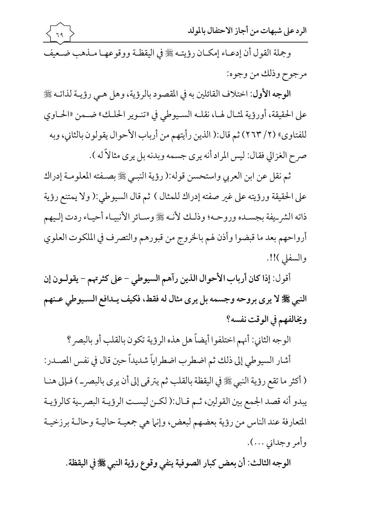

وجملة القول أن إدعـاء إمكـان رؤيتـه ﷺ في اليقظـة ووقوعهـا مـذهب ضـعيف مرجوح وذلك من وجوه:

الوجه الأول: اختلاف القائلين به في المقصود بالرؤية، وهل هـي رؤيـة لذاتـه ﷺ على الحقيقة، أورؤية لمثـال لهـا، نقلـه السـيوطي في «تنـوير الحلـك» ضـمن «الحـاوي للفتاوي» (٢/ ٢٣) ثم قال:( الذين رأيتهم من أرباب الأحوال يقولون بالثاني، وبه صرح الغزالي فقال: ليس المراد أنه يري جسمه وبدنه بل يرى مثالاً له ).

ثم نقل عن ابن العربي واستحسن قوله:( رؤية النبـي ﷺ بصـفته المعلومـة إدراك على الحقيقة ورؤيته على غير صفته إدراك للمثال ) ثم قال السيوطي:( ولا يمتنع رؤية ذاته الشر\_يفة بجسـده وروحـه؛ وذلـك لأنـه ﷺ وسـائر الأنبيـاء أحيـاء ردت إلـيهم أرواحهم بعد ما قبضوا وأذن لهم بالخروج من قبورهم والتصرف في الملكوت العلوي والسفلي )!!.

أقول: إذا كان أرباب الأحوال الذين رآهم السيوطي - على كثرتهم - يقولـون إن النبي ﷺ لا يرى بروحه وجسمه بل يرى مثال له فقط، فكيف يـدافع السـيوطي عـنهم ويخالفهم في الوقت نفسه؟

الوجه الثاني: أنهم اختلفوا أيضاً هل هذه الرؤية تكون بالقلب أو بالبصر ؟

أشار السيوطي إلى ذلك ثم اضطرب اضطراياً شديداً حين قال في نفس المصـدر: ( أكثر ما تقع رؤية النبي ﷺ في اليقظة بالقلب ثم يترقى إلى أن يرى بالبصر \_ ) فـإلى هنــا يبدو أنه قصد الجمع بين القولين، ثـم قـال:( لكـن ليسـت الرؤيـة البصرية كالرؤيـة المتعارفة عند الناس من رؤية بعضهم لبعض، وإنها هي جمعيـة حاليـة وحالـة برزخيـة وأمر وجداني …).

الوجه الثالث: أن بعض كبار الصوفية ينفي وقوع رؤية النبي ﷺ في اليقظة.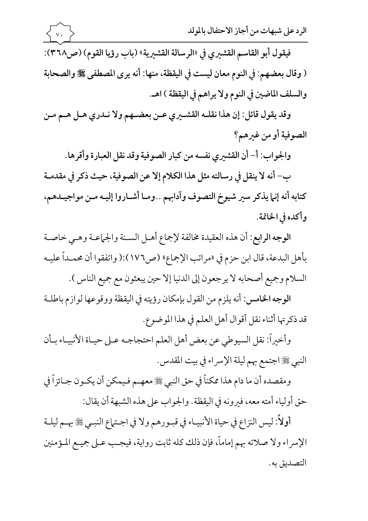فيقول أبو القاسم القشيري في «الرسالة القشيرية» (باب رؤيا القوم) (ص٣٦٨): ( وقال بعضهم: في النوم معان ليست في اليقظة، منها: أنه يرى المصطفى ﷺ والصحابة والسلف الماضين في النوم ولا يراهم في اليقظة ) اهـ.

وقد يقول قائل: إن هذا نقلــه القشــيري عــن بعضــهم ولا نــدري هــل هــم مــن الصوفية أو من غيرهم؟

والجواب: أ- أن القشيري نفسه من كبار الصوفية وقد نقل العبارة وأقرها.

ب– أنه لا ينقل في رسالته مثل هذا الكلام إلا عن الصوفية، حيث ذكر في مقدمــة كتابه أنه إنها يذكر سير شيوخ التصوف وآدابهم . .ومـا أشـاروا إليـه مـن مواجيـدهم، وأكده في الخاتمة.

الوجه الرابع: أن هذه العقيدة مخالفة لإجماع أهـل السـنة والجماعـة وهـي خاصـة بأهل البدعة، قال ابن حزم في «مراتب الإجماع» (ص١٧٦):( واتفقوا أن محمـداً عليـه السلام وجميع أصحابه لا يرجعون إلى الدنيا إلا حين يبعثون مع جميع الناس ).

الوجه الخامس: أنه يلزم من القول بإمكان رؤيته في اليقظة ووقوعها لوازم باطلـة قد ذكرتها أثناء نقل أقوال أهل العلم في هذا الموضوع.

وأخيراً: نقل السيوطي عن بعض أهل العلم احتجاجـه عـلى حيـاة الأنبيـاء بـأن النبي ﷺ اجتمع بهم ليلة الإسراء في بيت المقدس.

ومقصده أن ما دام هذا ممكناً في حق النبي ﷺ معهـم فـيمكن أن يكـون جـائزاً في حق أولياء أمته معه، فيرونه في اليقظة. والجواب على هذه الشبهة أن يقال:

أولاً: ليس النزاع في حياة الأنبيـاء في قبـورهم ولا في اجـتماع النبـي ﷺ بهـم ليلـة الإسراء ولا صلاته بهم إماماً، فإن ذلك كله ثابت رواية، فيجـب عـلى جميـع المـؤمنين التصديق به.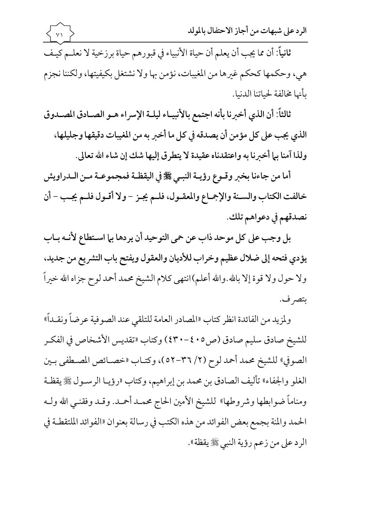ثانياً: أن مما يجب أن يعلم أن حياة الأنبياء في قبورهم حياة برزخية لا نعلـم كيـف هي، وحكمها كحكم غيرها من المغيبات، نؤمن بها ولا نشتغل بكيفيتها، ولكننا نجزم بأنها مخالفة لحياتنا الدنيا.

الرد على شبهات من أجاز الاحتفال بالمولد

ثالثاً: أن الذي أخبرنا بأنه اجتمع بالأنبيـاء ليلـة الإسراء هـو الصـادق المصـدوق الذي يجب على كل مؤمن أن يصدقه في كل ما أخبر به من المغيبات دقيقها وجليلها، ولذا آمنا بها أخبرنا به واعتقدناه عقيدة لا يتطرق إليها شك إن شاء الله تعالى.

أما من جاءنا بخبر وقـوع رؤيـة النبـي ﷺ في اليقظـة فمجموعـة مـن الـدراويش خالفت الكتاب والسـنة والإجماع والمعقـول، فلـم يجـز - ولا أقـول فلـم يجـب - أن نصدقهم في دعواهم تلك.

بل وجب على كل موحد ذاب عن حمى التوحيد أن يردها بما استطاع لأنه باب يؤدي فتحه إلى ضلال عظيم وخراب للأديان والعقول ويفتح باب التشريع من جديد، ولا حول ولا قوة إلا بالله.والله أعلم)انتهى كلام الشيخ محمد أحمد لوح جزاه الله خيراً بتصر ف.

ولمزيد من الفائدة انظر كتاب «المصادر العامة للتلقى عند الصوفية عرضاً ونقـداً» للشيخ صادق سليم صادق (ص٥ • ٤٠-٤٣٠) وكتاب «تقديس الأشخاص في الفكـر الصوفي» للشيخ محمد أحمد لوح (٢/ ٣٦-٥٢)، وكتـاب «خصــائص المصــطفي بـين الغلو والجفاء» تأليف الصادق بن محمد بن إبراهيم، وكتاب «رؤيـا الرسـول ﷺ يقظـة ومناماً ضوابطها وشروطها» للشيخ الأمين الحاج محمـد أحمـد. وقـد وفقنـي الله ولـه الحمد والمنة بجمع بعض الفوائد من هذه الكتب في رسالة بعنوان «الفوائد الملتقطـة في الرد على من زعم رؤية النبي ﷺ يقظة».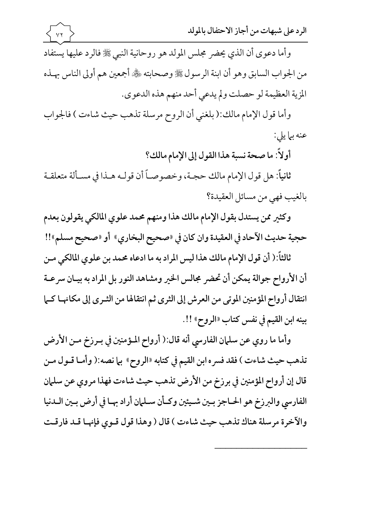وأما دعوى أن الذي يحضر مجلس المولد هو روحانية النبي ﷺ فالرد عليها يستفاد من الجواب السابق وهو أن ابنة الرسول ﷺ وصحابته ﷺ أجمعين هم أولى الناس بهـذه المزية العظيمة لو حصلت ولم يدعى أحد منهم هذه الدعوى.

وأما قول الإمام مالك:( بلغني أن الروح مرسلة تذهب حيث شاءت ) فالجواب عنه بها يلي:

أولاً: ما صحة نسبة هذا القول إلى الإمام مالك؟

ثانياً: هل قول الإمام مالك حجـة، وخصوصـاً أن قولـه هـذا في مسـألة متعلقـة بالغيب فهي من مسائل العقيدة؟

وكثير ممن يستدل بقول الإمام مالك هذا ومنهم محمد علوي المالكي يقولون بعدم حجية حديث الآحاد في العقيدة وان كان في «صحيح البخاري» أو «صحيح مسلم»!!

ثالثاً:( أن قول الإمام مالك هذا ليس المراد به ما ادعاه محمد بن علوى المالكي مـن أن الأرواح جوالة يمكن أن تحضر مجالس الخير ومشاهد النور بل المراد به بيـان سرعـة انتقال أرواح المؤمنين الموتى من العرش إلى الثرى ثم انتقالها من الثـرى إلى مكانهـا كـما بينه ابن القيم في نفس كتاب «الروح» !!.

وأما ما روى عن سلمان الفارسي أنه قال:( أرواح المؤمنين في بـرزخ مـن الأرض تذهب حيث شاءت ) فقد فسره ابن القيم في كتابه «الروح» بما نصه:( وأمـا قـول مـن قال إن أرواح المؤمنين في برزخ من الأرض تذهب حيث شاءت فهذا مروى عن سلمان الفارسي والبرزخ هو الحـاجز بـين شـيئين وكـأن سـلمان أراد بهـا في أرض بـين الـدنيا والآخرة مرسلة هناك تذهب حيث شاءت ) قال ( وهذا قول قـوى فإنهـا قـد فارقـت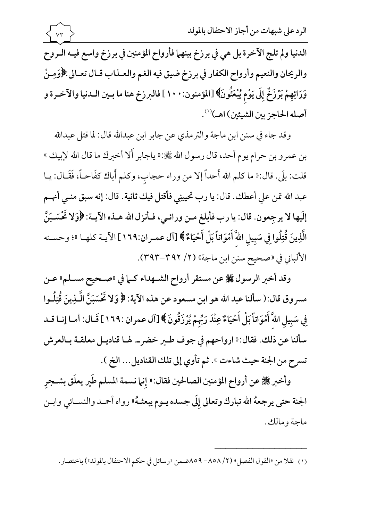الدنيا ولم تلج الآخرة بل هي في برزخ بينهما فأرواح المؤمنين في برزخ واسع فيـه الـروح والريحان والنعيم وأرواح الكفار في برزخ ضيق فيه الغم والعـذاب قـال تعـالي:﴿وَمِـنْ وَرَائِهِمْ بَرْزَخٌ إِلَى يَوْمٍ يُبْعَثُونَ﴾ [المؤمنون: ١٠٠] فالبرزخ هنا ما بـين الـدنيا والآخـرة و أصله الحاجز بين الشيئين) اهـ)'''.

 $Y\tau$ 

وقد جاء في سنن ابن ماجة والترمذي عن جابر ابن عبدالله قال: لما قتل عبدالله بن عمرو بن حرام يوم أحد، قال رسول الله ﷺ:« ياجابر أَلا أخبرك ما قال الله لإبيك » قلت: بلَى. قال:« ما كلم الله أَحداً إلا من وراء حجاب، وكلم أَباك كفَاحـاً، فَقَـال: يـا عبد الله تمن على أعطك. قال: يا رب تحيينِي فأقتل فيك ثانية. قال: إنه سبق منـي أنهـم إلَيها لا يرجِعون. قال: يا رب فأبلغ مـن ورائـي، فـأنزل الله هــذه الآيــة: ﴿وَلا تَحْسَـبَنَّ الَّذِينَ قُتِلُوا فِي سَبِيلِ اللَّهَ أَمْوَاتاً بَلْ أَحْيَاءٌ ﴾ [آل عمـران:١٦٩] الآيــة كلهــا »؛ وحسـنه الألباني في «صحيح سنن ابن ماجة» (٢/ ٣٩٢-٣٩٣).

وقد أخبر الرسول ﷺ عن مستقر أرواح الشــهداء كــما في «صــحيح مســلم» عــن مسروق قال:( سألنا عبد الله هو ابن مسعود عن هذه الآية: ﴿ وَلا تَحْسَبَنَّ الَّـذِينَ قُتِلُـوا فِي سَبِيلِ اللَّهَ أَمْوَاتاً بَلْ أَحْيَاءٌ عِنْدَ رَبِّهِمْ يُرْزَقُونَ ﴾ [آل عمران :١٦٩] قَـال: أمـا إنـا قـد سألنا عن ذلك. فقال:« ارواحهم في جوف طير خضر\_. لهـا قناديـل معلقـة بـالعرش تسرح من الجنة حيث شاءت ». ثم تأوي إلى تلك القناديل... الخ ).

وأخبر ﷺ عن أرواح المؤمنين الصالحين فقال: « إنما نسمة المسلم طَير يعلَق بشــجر الجنة حتى يرجعهُ الله تبارك وتعالى إلَى جسده يـوم يبعثـهُ» رواه أحمـد والنســائي وابــن ماجة ومالك.

(١) نقلا من «القول الفصل» (٢/ ٨٥٨– ٨٥٩ضمن «رسائل في حكم الاحتفال بالمولد») باختصار.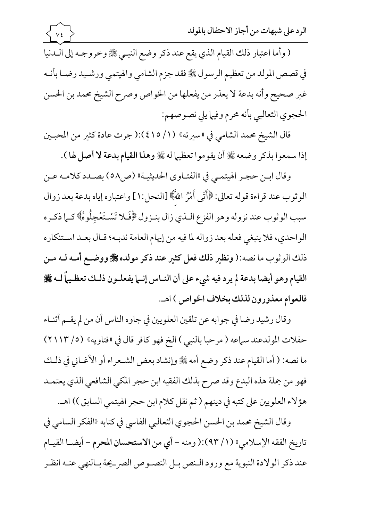( وأما اعتبار ذلك القيام الذي يقع عند ذكر وضع النبـي ﷺ وخروجـه إلى الـدنيا في قصص المولد من تعظيم الرسول ﷺ فقد جزم الشامي والهيتمي ورشـيد رضـا بأنــه غير صحيح وأنه بدعة لا يعذر من يفعلها من الخواص وصرح الشيخ محمد بن الحسن الحجوي الثعالبي بأنه محرم وفيها يلي نصوصهم:

 $\sqrt{\xi}$ 

قال الشيخ محمد الشامي في «سيرته» (١/ ٤١٥):( جرت عادة كثير من المحبـين إذا سمعوا بذكر وضعه ﷺ أن يقوموا تعظيما له ﷺ وهذا القيام بدعة لا أصل لها ).

وقال ابـن حجـر الهيتمـي في «الفتـاوي الحديثيـة» (ص٥٨) بصـدد كلامـه عـن الوثوب عند قراءة قوله تعالى: ﴿أَتَى أَمْرُ اللَّهَ﴾ [النحل:١] واعتباره إياه بدعة بعد زوال سبب الوثوب عند نزوله وهو الفزع الـذي زال بنـزول ﴿فَلا تَسْـتَعْجِلُوهُ﴾ كـما ذكـره الواحدي، فلا ينبغي فعله بعد زواله لما فيه من إيهام العامة ندبـه؛ قـال بعـد اسـتنكاره ذلك الوثوب ما نصه:( ونظير ذلك فعل كثير عند ذكر مولده ﷺ ووضع أمـه لـه مـن القيام وهو أيضا بدعة لم يرد فيه شيء على أن النـاس إنـما يفعلـون ذلـك تعظـيماً لــه ﷺ فالعوام معذورون لذلك بخلاف الخواص ) اهـ.

وقال رشيد رضا في جوابه عن تلقين العلويين في جاوه الناس أن من لم يقم أثنـاء حفلات المولدعند سماعه ( مرحبا بالنبي ) الخ فهو كافر قال في «فتاويه» (٥/ ٢١١٣) ما نصه: ( أما القيام عند ذكر وضع أمه ﷺ وإنشاد بعض الشـعراء أو الأغـاني في ذلـك فهو من جملة هذه البدع وقد صرح بذلك الفقيه ابن حجر المكي الشافعي الذي يعتمـد هؤلاء العلويين على كتبه في دينهم ( ثم نقل كلام ابن حجر الهيتمي السابق )) اهـ.

وقال الشيخ محمد بن الحسن الحجوي الثعالبي الفاسي في كتابه «الفكر السامي في تاريخ الفقه الإسلامي» (١/ ٩٣):( ومنه - أي من الاستحسان المحرم - أيضـا القيـام عند ذكر الولادة النبوية مع ورود الـنص بـل النصـوص الصر\_يحة بـالنهي عنـه انظـر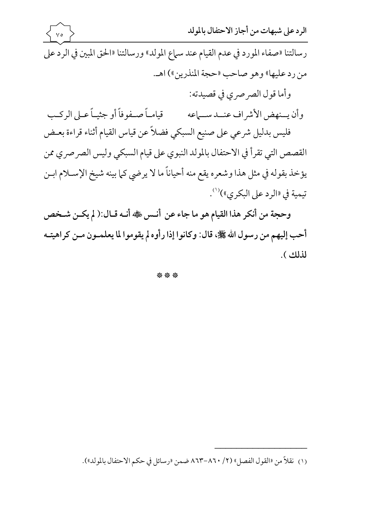الرد على شبهات من أجاز الاحتفال بالمولد  $\vee \circ$ رسالتنا «صفاء المورد في عدم القيام عند سماع المولد» ورسالتنا «الحق المبين في الرد على من رد عليها» وهو صاحب «حجة المنذرين») اهـ. وأما قول الصرصري في قصيدته: وأن يسنهض الأشراف عنسد سسهاعه مسسم قيامياً صيفوفاً أو جثيباً عـلى الركـب فليس بدليل شرعي على صنيع السبكي فضلاً عن قياس القيام أثناء قراءة بعـض القصص التي تقرأ في الاحتفال بالمولد النبوي على قيام السبكي وليس الصرصري ممن يؤخذ بقوله في مثل هذا وشعره يقع منه أحياناً ما لا يرضي كما بينه شيخ الإســلام ابــن

تيمية في «الرد على البكري»)<sup>(١)</sup>. وحجة من أنكر هذا القيام هو ما جاء عن أنـس ﷺ أنـه قـال:( لم يكـن شـخص أحب إليهم من رسول الله ﷺ، قال: وكانوا إذا رأوه لم يقوموا لما يعلمـون مـن كراهيتـه لذلك ).

\* \* \*

(١) نقلاً من «القو ل الفصل» (٢/ ٨٦٠-٨٦٣ ضمن «رسائل في حكم الاحتفال بالمولد»).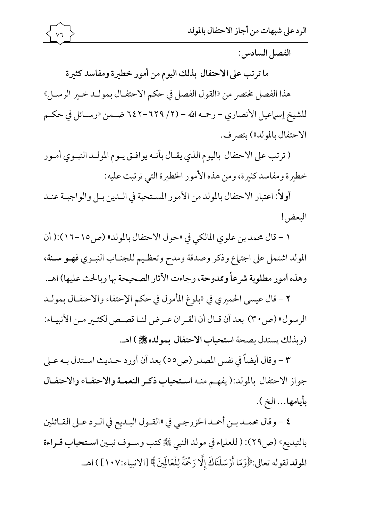

الفصل السادس:

ما ترتب على الاحتفال بذلك اليوم من أمور خطيرة ومفاسد كثيرة

هذا الفصل مختصر من «القول الفصل في حكم الاحتفـال بمولـد خـير الرسـل» للشيخ إسماعيل الأنصاري – رحمه الله – (٢/ ٦٢٩-٦٤٢ ضــمن «رسـائل في حكــم الاحتفال بالمولد») بتصرف.

( ترتب على الاحتفال باليوم الذي يقـال بأنــه يوافــق يــوم المولــد النبــوي أمــور خطيرة ومفاسد كثيرة، ومن هذه الأمور الخطيرة التي ترتبت عليه:

أولاً: اعتبار الاحتفال بالمولد من الأمور المستحبة في اللدين بـل والواجبـة عنـد البعض!

١ - قال محمد بن علوي المالكي في «حول الاحتفال بالمولد» (ص٥ ١ -١٦):( أن المولد اشتمل على اجتماع وذكر وصدقة ومدح وتعظيم للجنـاب النبـوي فهـو سـنة، وهذه أمور مطلوبة شرعاً وممدوحة، وجاءت الآثار الصحيحة بها وبالحث عليها) اهـ.

٢ - قال عيسى الحميري في «بلوغ المأمول في حكم الإحتفاء والاحتفـال بمولــد الرسول» (ص٣٠) بعد أن قـال أن القـران عـرض لنـا قصـص لكثـير مـن الأنبيـاء: (وبذلك يستدل بصحة استحباب الاحتفال بمولده ﷺ ) اهـ.

٣ - وقال أيضاً في نفس المصدر (ص٥٥) بعد أن أورد حـديث اسـتدل بـه عـلى جواز الاحتفال بالمولد:(يفهم منه استحباب ذكر النعمـة والاحتفـاء والاحتفـال بأيامها... الخ ).

٤ - وقال محمـد بـن أحمـد الخزرجـي في «القـول البـديع في الـرد عـلى القـائلين بالتبديع» (ص٢٩): ( للعلماء في مولد النبي ﷺ كتب وسـوف نبـين اسـتحباب قـراءة المولد لقوله تعالى:﴿وَمَا أَرْسَلْنَاكَ إِلَّا رَحْمَةً لِلْعَالَمِينَ ﴾ [الانبياء:١٠٧] ) اهـ.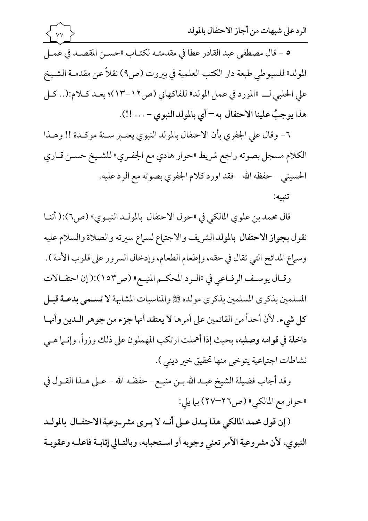

المولد» للسيوطي طبعة دار الكتب العلمية في بيروت (ص٩) نقلاً عن مقدمـة الشـيخ على الحلبي لـ «المورد في عمل المولد» للفاكهاني (ص١٢-١٣)؛ بعـد كـلام:(.. كـل هذا يوجبُ علينا الاحتفال به – أي بالمولد النبوي - ... !!).

 $\vee\vee$ 

٦- وقال على الجفري بأن الاحتفال بالمولد النبوي يعتـبر سـنة موكـدة !! وهـذا الكلام مسجل بصوته راجع شريط «حوار هادي مع الجفـري» للشـيخ حسـن قـاري الحسيني – حفظه الله – فقد اورد كلام الجفري بصوته مع الرد عليه. تنىيە:

قال محمد بن علوي المالكي في «حول الاحتفال بالمولـد النبـوي» (ص٢):( أننـا نقول بجواز الاحتفال بالمولد الشريف والاجتماع لسماع سيرته والصلاة والسلام عليه وسماع المدائح التي تقال في حقه، وإطعام الطعام، وإدخال السرور على قلوب الأمة ).

وقـال يوسـف الرفـاعي في «الـرد المحكـم المنيـع» (ص١٥٣):( إن احتفـالات المسلمين بذكري المسلمين بذكري مولده ﷺ والمناسبات المشابهة لاتسمي بدعـة قبـل كل شيء. لأن أحداً من القائمين على أمرها لا يعتقد أنها جزء من جوهر المدين وأنهـا داخلة في قوامه وصلبه، بحيث إذا أهملت ارتكب المهملون على ذلك وزراً. وإنـما هـي نشاطات اجتماعية يتوخى منها تحقيق خير ديني ).

وقد أجاب فضيلة الشيخ عبـد الله بـن منيـع – حفظـه الله – عـلى هـذا القـول في «حوار مع المالكي» (ص٢٦-٢٧) بيا يلي:

(إن قول محمد المالكي هذا يـدل عـلى أنـه لا يـرى مشر وعية الاحتفـال بالمولـد النبوي، لأن مشر وعية الأمر تعني وجوبه أو استحبابه، وبالتـالي إثابـة فاعلـه وعقوبـة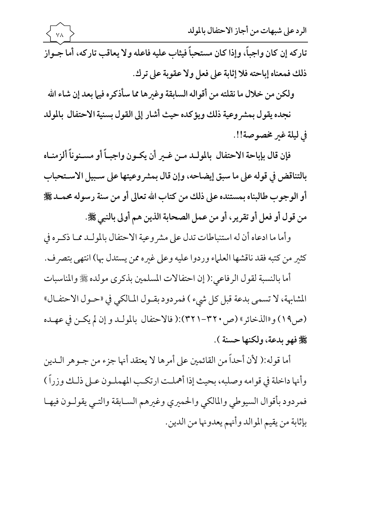الرد على شبهات من أجاز الاحتفال بالمولد تاركه إن كان واجباً، وإذا كان مستحباً فيثاب عليه فاعله ولا يعاقب تاركه، أما جـواز ذلك فمعناه إباحته فلا إثابة على فعل ولا عقوبة على ترك.

ولكن من خلال ما نقلته من أقواله السابقة وغيرها مما سأذكره فيها بعد إن شاء الله

نجده يقول بمشر وعية ذلك ويؤكده حيث أشار إلى القول بسنية الاحتفال بالمولد في ليلة غير مخصوصة!!.

فإن قال بإباحة الاحتفال بالمولـد مـن غـير أن يكـون واجبـاً أو مسـنوناً ألزمنـاه بالتناقض في قوله على ما سبق إيضاحه، وإن قال بمشر وعيتها على سـبيل الاسـتحباب أو الوجوب طالبناه بمستنده على ذلك من كتاب الله تعالى أو من سنة رسوله محمـد ﷺ من قول أو فعل أو تقرير، أو من عمل الصحابة الذين هم أولى بالنبي ﷺ.

وأما ما ادعاه أن له استنباطات تدل على مشروعية الاحتفال بالمولـد ممـا ذكـره في كثير من كتبه فقد ناقشها العلماء وردوا عليه وعلى غيره ممن يستدل بها) انتهى بتصرف.

أما بالنسبة لقول الرفاعي:( إن احتفالات المسلمين بذكري مولده ﷺ والمناسبات المشابهة، لا تسمى بدعة قبل كل شيء ) فمردود بقـول المـالكي في «حـول الاحتفـال» (ص١٩) و«الذخائر» (ص ٣٢٠-٣٢١):( فالاحتفال بالمولـد و إن لم يكـن في عهـده يُجْ فِهُوَ بِدَعَةٍ، وَلَكَنَّهَا حَسَنَةً ).

أما قوله:( لأن أحداً من القائمين على أمرها لا يعتقد أنها جزء من جـوهر الــدين وأنها داخلة في قوامه وصلبه، بحيث إذا أهملت ارتكب المهملـون عـلى ذلـك وزراً ) فمردود بأقوال السيوطي والمالكي والحميري وغيرهم السـابقة والتـي يقولـون فيهـا بإثابة من يقيم الموالد وأنهم يعدونها من الدين.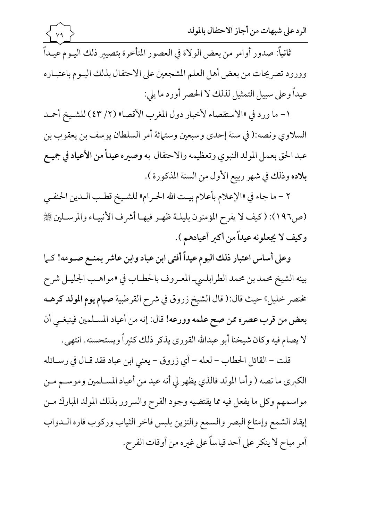ثانيا: صدور أوامر من بعض الولاة في العصور المتأخرة بتصيير ذلك اليـوم عيـدا وورود تصريحات من بعض أهل العلم المشجعين على الاحتفال بذلك اليـوم باعتبـاره عيداً وعلى سبيل التمثيل لذلك لا الحصر أورد ما يلي:

1 – ما ورد في «الاستقصاء لاخبار دول المغرب الاقصا» (٢/ ٤٣) للشـيخ احمـد لسلاوي ونصه:( في سنة إحدى وسبعين وستمائة أمر السلطان يوسف بن يعقوب بن  $\vert$ عبد الحق بعمل المولد النبوي وتعظيمه والاحتفال به وصيره عيداً من الأعياد في جميـع بلاده وذلك في شهر ربيع الاول من السنة المذكورة ).

٢ – ما جاء في «الإعلام باعلام بيت الله الحـرام» للشـيخ قطـب الـدين الحنفـي (ص١٩٦): ( كيف لا يفرح المؤمنون بليلـة ظهـر فيهـا أشرف الأنبيـاء والمرسـلين ﷺ وكيف لا يجعلونه عيدا من أكبر أعيادهم ).

وعلى أساس اعتبار ذلك اليوم عيدا أفتى ابن عباد وابن عاشر بمنـع صـومه! كـما بينه الشيخ محمد بن محمد الطرابلسي\_ المعـروف بالحطـاب في «مواهـب الجليـل شرح مختصر خليل» حيث قال:( قال الشيخ زروق في شرح القرطبية صيام يوم المولد كرهـه بعض من قرب عصره ممن صح علمه وورعه! قال: إنه من أعياد المسلمين فينبغـي أن لا يصام فيه وكان شيخنا أبو عبدالله القوري يذكر ذلك كثيرا ويستحسنه. انتهى.

قلت – القائل الحطاب – لعله – أي زروق – يعني ابن عباد فقد قـال في رســائله لكبرى ما نصه ( وأما المولد فالذي يظهر لي أنه عيد من أعياد المسـلمين وموســم مــن  $\vert$ مواسمهم وكل ما يفعل فيه مما يقتضيه وجود الفرح والسرور بذلك المولد المبارك مـن إيقاد الشمع وإمتاع البصر والسمع والتزين بلبس فاخر الثياب وركوب فاره المدواب أمر مباح لا ينكر على أحد قياساً على غيره من أوقات الفرح.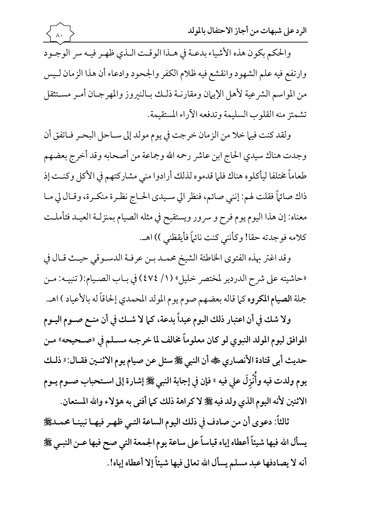والحكم بكون هذه الأشياء بدعـة في هـذا الوقـت الـذي ظهـر فيـه سر الوجـود وارتفع فيه علم الشهود وانقشع فيه ظلام الكفر والجحود وادعاء أن هذا الزمان لـيس من المواسم الشرعية لأهل الإيهان ومقارنية ذليك ببالنيروز والمهرجيان أمير مستثقل تشمئز منه القلوب السليمة وتدفعه الآراء المستقيمة.

ولقد كنت فيها خلا من الزمان خرجت في يوم مولد إلى سـاحل البحـر فـاتفق أن وجدت هناك سيدي الحاج ابن عاشر رحمه الله وجماعة من أصحابه وقد أخرج بعضهم طعاماً مختلفا ليأكلوه هناك فلما قدموه لذلك أرادوا منى مشاركتهم في الأكل وكنـت إذ ذاك صائهاً فقلت لهم: إنني صائم، فنظر الي سـيدي الحـاج نظـرة منكـرة، وقـال لي مـا معناه: إن هذا اليوم يوم فرح و سرور ويستقبح في مثله الصيام بمنزلـة العيـد فتأملـت كلامه فوجدته حقا! وكأنني كنت نائماً فأيقظني )) اهـ.

وقد اغتر بهذه الفتوى الخاطئة الشيخ محمـد بـن عرفـة الدسـوقي حيـث قـال في «حاشيته على شرح الدردير لمختصر خليل» (١/ ٤٧٤) في بـاب الصـيام:( تنبيـه: مـن جملة الصيام المكروه كما قاله بعضهم صوم يوم المولد المحمدي إلحاقاً له بالأعياد ) اهـ.

ولا شك في أن اعتبار ذلك اليوم عيداً بدعة، كما لا شـك في أن منـع صـوم اليـوم الموافق ليوم المولد النبوي لو كان معلوماً مخالف لما خرجـه مسـلم في «صـحيحه» مـن حديث أبي قتادة الأنصاري ﷺ أن النبي ﷺ سئل عن صيام يوم الاثنـين فقـال: « ذلـك يوم ولدت فيه وأَنْزِلَ على فيه » فإن في إجابة النبي ﷺ إشارة إلى اسـتحباب صـوم يـوم الاثنين لأنه اليوم الذي ولد فيه ﷺ لا كراهة ذلك كما أفتى به هؤلاء والله المستعان.

ثالثاً: دعوى أن من صادف في ذلك اليوم الساعة التـي ظهـر فيهـا نبينـا محمـدﷺ يسأل الله فيها شيئاً أعطاه إياه قياساً على ساعة يوم الجمعة التي صح فيها عـن النبـي ﷺ أنه لا يصادفها عبد مسلم يسأل الله تعالى فيها شيئاً إلا أعطاه إياه!.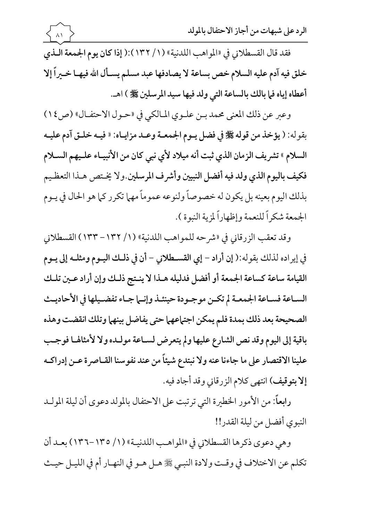فقد قال القسطلاني في «المواهب اللدنية» (١/ ١٣٢):( إذا كان يوم الجمعة اللذي خلق فيه آدم عليه السلام خص بساعة لا يصادفها عبد مسلم يسـأل الله فيهـا خــبراً إلا أعطاه إياه في بالك بالساعة التي ولد فيها سيد المرسلين ﷺ ) اهـ.

وعبر عن ذلك المعنى محمد بـن علـوي المـالكي في «حـول الاحتفـال» (ص ١٤) بقوله: ( يؤخذ من قوله ﷺ في فضل يـوم الجمعـة وعـد مزايـاه: « فيـه خلـق آدم عليـه السلام » تشريف الزمان الذي ثبت أنه ميلاد لأي نبي كان من الأنبيـاء علـيهم الســلام فكيف باليوم الذي ولد فيه أفضل النبيين وأشرف المرسلين ولا يختص هـذا التعظـيم بذلك اليوم بعينه بل يكون له خصوصاً ولنوعه عموماً مهما تكرر كما هو الحال في يــوم الجمعة شكراً للنعمة وإظهاراً لمزية النبوة ).

وقد تعقب الزرقاني في «شرحه للمواهب اللدنية» (١/ ١٣٢ – ١٣٣) القسطلاني في إيراده لذلك بقوله:( إن أراد – إي القسطلاني – أن في ذلك اليـوم ومثلـه إلى يـوم القيامة ساعة كساعة الجمعة أو أفضل فدليله هـذا لا ينـتج ذلـك وإن أراد عـين تلـك السـاعة فسـاعة الجمعـة لم تكـن موجـودة حينئـذ وإنـما جـاء تفضـيلها في الأحاديـث الصحيحة بعد ذلك بمدة فلم يمكن اجتهاعهما حتى يفاضل بينهما وتلك انقضت وهذه باقية إلى اليوم وقد نص الشارع عليها ولم يتعرض لسـاعة مولـده ولا لأمثالها فوجـب علينا الاقتصار على ما جاءنا عنه ولا نبتدع شيئاً من عند نفوسنا القـاصرة عـن إدراكـه إلا بتوقيف) انتهى كلام الزرقاني وقد أجاد فيه.

رابعاً: من الأمور الخطيرة التي ترتبت على الاحتفال بالمولد دعوى أن ليلة المولـد النبوي أفضل من ليلة القدر!!

وهي دعوى ذكرها القسطلاني في «المواهب اللدنيـة» (١/ ١٣٥-١٣٦) بعـد أن تكلم عن الاختلاف في وقت ولادة النبيي ﷺ هـل هـو في النهـار أم في الليـل حيـث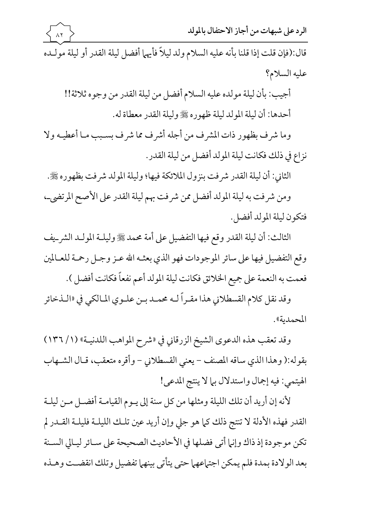قال:(فإن قلت إذا قلنا بأنه عليه السلام ولد ليلا فأيهما أفضل ليلة القدر أو ليلة مولـده عليه السلام؟

أجيب: بأن ليلة مولده عليه السلام أفضل من ليلة القدر من وجوه ثلاثة!! أحدها: أن ليلة المولد ليلة ظهوره ﷺ وليلة القدر معطاة له.

وما شرف بظهور ذات المشرف من أجله أشرف مما شرف بسـبب مـا أعطيــه ولا نزاع في ذلك فكانت ليلة المولد أفضل من ليلة القدر .

لثاني: أن ليلة القدر شرفت بنزول الملائكة فيها؛ وليلة المولد شرفت بظهوره ﷺ.  $\vert$ 

ومن شرفت به ليلة المولد أفضل ممن شرفت بهم ليلة القدر على الأصح المرتضى\_، فتكون ليلة المولد أفضل.

لثالث: أن ليلة القدر وقع فيها التفضيل على أمة محمد ﷺ وليلـة المولـد الشر\_يف  $\vert$ وقع التفضيل فيها على سائر الموجودات فهو الذي بعثـه الله عـز وجـل رحمـة للعـالمين فعمت به النعمة على جميع الخلائق فكانت ليلة المولد أعم نفعا فكانت أفضل ).

وقد نقل كلام القسطلاني هذا مقـراً لــه محمـد بــن علــوي المـالكي في «الــذخائر المحمدية».

وقد تعقب هذه الدعوى الشيخ الزرقاني في «شرح المواهب اللدنيـة» (١/ ١٣٦) بقوله:( وهذا الذي ساقه المصنف – يعني القسطلاني – وأقره متعقب، قـال الشــهاب الهيتمي: فيه إجمال واستدلال بيا لا ينتج المدعى!

لانه إن أريد أن تلك الليلة ومثلها من كل سنة إلى يـوم القيامـة أفضــل مــن ليلــة لقدر فهذه الأدلة لا تنتج ذلك كما هو جلي وإن أريد عين تلك الليلـة فليلـة القــدر لم  $\vert$ تكن موجودة إذ ذاك وإنها أتى فضلها في الأحاديث الصحيحة على سـائر ليـالي السـنة بعد الولادة بمدة فلم يمكن اجتماعهما حتى يتاتى بينهما تفضيل وتلك انقضــت وهـذه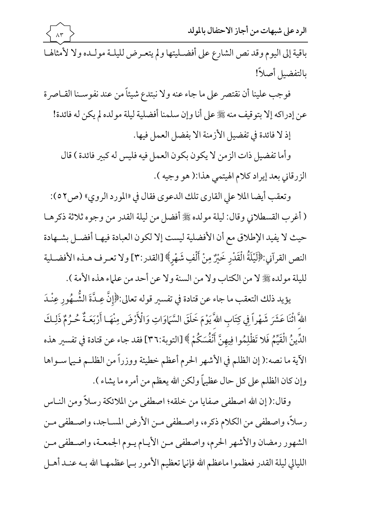باقية إلى اليوم وقد نص الشارع على أفضـليتها ولم يتعـرض لليلـة مولـده ولا لأمثالهـا بالتفضيل أصلاً!

فوجب علينا أن نقتصر على ما جاء عنه ولا نبتدع شيئاً من عند نفوسـنا القـاصرة عن إدراكه إلا بتوقيف منه ﷺ على أنا وإن سلمنا أفضلية ليلة مولده لم يكن له فائدة!

إذ لا فائدة في تفضيل الأزمنة الا بفضل العمل فيها.

وأما تفضيل ذات الزمن لا يكون بكون العمل فيه فليس له كبير فائدة ) قال الزرقاني بعد إيراد كلام الهيتمي هذا:( هو وجيه ).

وتعقب أيضا الملا على القاري تلك الدعوي فقال في «المورد الروي» (ص٢٥٢): ( أغرب القسطلاني وقال: ليلة مولده ﷺ أفضل من ليلة القدر من وجوه ثلاثة ذكرهـا حيث لا يفيد الإطلاق مع أن الأفضلية ليست إلا لكون العبادة فيهـا أفضـل بشـهادة النص القرآني:﴿لَيْلَةُ الْقَدْرِ خَيْرٌ مِنْ أَلْفِ شَهْرٍ﴾ [القدر:٣] ولا تعـرف هـذه الأفضـلية لليلة مولده ﷺ لا من الكتاب ولا من السنة ولا عن أحد من علماء هذه الأمة ).

يؤيد ذلك التعقب ما جاء عن قتادة في تفسير قوله تعالى:﴿إِنَّ عِـدَّةَ الشُّــهُورِ عِنْـدَ اللهَّ أثْنَا عَشَرَ شَهْراً فِي كِتَابِ اللهَّ يَوْمَ خَلَقَ السَّمَاوَاتِ وَالْأَرْضَ مِنْهَـا أَرْبَعَـةٌ حُـرُمٌ ذَلِـكَ الدِّينُ الْقَيِّمُ فَلا تَظْلِمُوا فِيهنَّ أَنْفُسَكُمْ ﴾ [التوبة:٣٦] فقد جاء عن قتادة في تفسير هذه الآية ما نصه:( إن الظلم في الأشهر الحرم أعظم خطيئة ووزراً من الظلـم فـيها سـواها وإن كان الظلم على كل حال عظيماً ولكن الله يعظم من أمره ما يشاء ).

وقال:( إن الله اصطفى صفايا من خلقه؛ اصطفى من الملائكة رسلاً ومن النـاس رسلاً، واصطفى من الكلام ذكره، واصطفى مـن الأرض المسـاجد، واصـطفى مـن الشهور رمضان والأشهر الحرم، واصطفى مـن الأيـام يـوم الجمعـة، واصـطفى مـن الليالي ليلة القدر فعظموا ماعظم الله فإنها تعظيم الأمور بسا عظمهـا الله بــه عنــد أهــل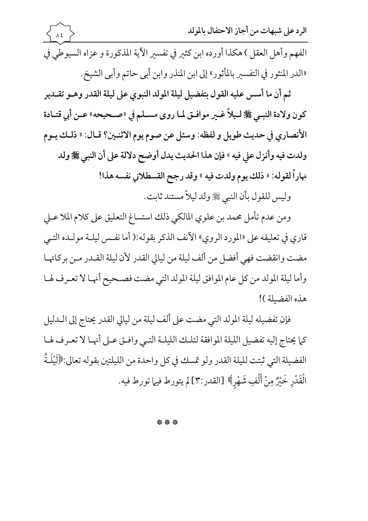الرد على شبهات من أجاز الاحتفال بالمولد  $\Lambda$  { الفهم وأهل العقل ) هكذا أورده ابن كثير في تفسير الآية المذكورة و عزاه السيوطي في «الدر المنثور في التفسير بالمأثور» إلى ابن المنذر وابن أبي حاتم وأبي الشيخ. ثم أن ما أسس عليه القول بتفضيل ليلة المولد النبوي على ليلة القدر وهـو تقـدير كون ولادة النبـي ﷺ لـيلاً غـير موافـق لمـا روى مسـلم في «صـحيحه» عـن أبي قتـادة الأنصاري في حديث طويل و لفظه: وسئل عن صوم يوم الاثنـين؟ قـال: « ذلـك يـوم

ولدت فيه وأنزل على فيه » فإن هذا الحديث يدل أوضح دلالة على أن النبي ﷺ ولد نهاراً لقوله: « ذلك يوم ولدت فيه » وقد رجح القسطلاني نفسه هذا!

وليس للقول بأن النبي ﷺ ولد ليلاً مستند ثابت.

ومن عدم تأمل محمد بن علوي المالكي ذلك استساغ التعليق على كلام الملا عـلي قاري في تعليقه على «المورد الروي» الآنف الذكر بقوله:( أما نفس ليلـة مولـده التـى مضت وانقضت فهي أفضل من ألف ليلة من ليالي القدر لأن ليلة القـدر مـن بركاتهـا وأما ليلة المولد من كل عام الموافق ليلة المولد التي مضت فصـحيح أنهـا لا تعـرف لهـا هذه الفضيلة )!

فإن تفضيله ليلة المولد التي مضت على ألف ليلة من ليالي القدر يحتاج إلى الــدليل كما يحتاج إليه تفضيل الليلة الموافقة لتلك الليلة التبي وافتق عـلى أنهـا لا تعـرف لهـا الفضيلة التي ثبتت لليلة القدر ولو تمسك في كل واحدة من الليلتين بقوله تعالى:﴿لَيْلَـةُ الْقَدْرِ خَيْرٌ مِنْ أَلْفِ شَهْرٍ﴾ [القدر:٣] لم يتورط فيها تورط فيه.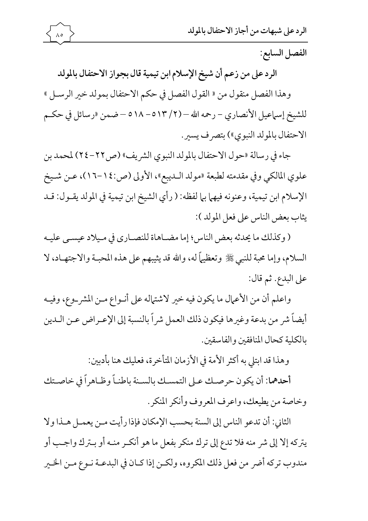الفصل السابع:

الرد على من زعم أن شيخ الإسلام ابن تيمية قال بجواز الاحتفال بالمولد وهذا الفصل منقول من « القول الفصل في حكم الاحتفال بمولد خير الرسـل »

 $\wedge \circ$ 

للشيخ إسماعيل الأنصاري – رحمه الله – (٢/ ٥١٣ ه – ١٨ه – ضمن «رسائل في حكــم الاحتفال بالمولد النبوي») بتصرف يسير.

جاء في رسالة «حول الاحتفال بالمولد النبوي الشريف» (ص٢٢-٢٤) لمحمد بن علوي المالكي وفي مقدمته لطبعة «مولد الـديبع»، الأولى (ص:١٤-١٦)، عـن شـيخ الإسلام ابن تيمية، وعنونه فيهما بما لفظه: ( رأي الشيخ ابن تيمية في المولد يقـول: قـد يثاب بعض الناس على فعل المولد ):

( وكذلك ما يحدثه بعض الناس؛ إما مضـاهاة للنصـاري في مـيلاد عيسـى عليـه السلام، وإما محبة للنبي ﷺ وتعظيهاً له، والله قد يثيبهم على هذه المحبـة والاجتهـاد، لا على البدع. ثم قال:

واعلم أن من الأعمال ما يكون فيه خير لاشتهاله على أنـواع مـن المشر\_وع، وفيـه أيضاً شر من بدعة وغيرها فيكون ذلك العمل شراً بالنسبة إلى الإعـراض عـن الــدين بالكلية كحال المنافقين والفاسقين.

وهذا قد ابتلى به أكثر الأمة في الأزمان المتأخرة، فعليك هنا بأدبين:

أحدهما: أن يكون حرصك عـلى التمسـك بالسـنة باطنـاً وظـاهراً في خاصـتك وخاصة من يطيعك، واعرف المعروف وأنكر المنكر.

الثاني: أن تدعو الناس إلى السنة بحسب الإمكان فإذا رأيت مـن يعمـل هـذا ولا يتركه إلا إلى شر منه فلا تدع إلى ترك منكر بفعل ما هو أنكـر منـه أو بـترك واجـب أو مندوب تركه أضر من فعل ذلك المكروه، ولكـن إذا كـان في البدعـة نـوع مـن الخـير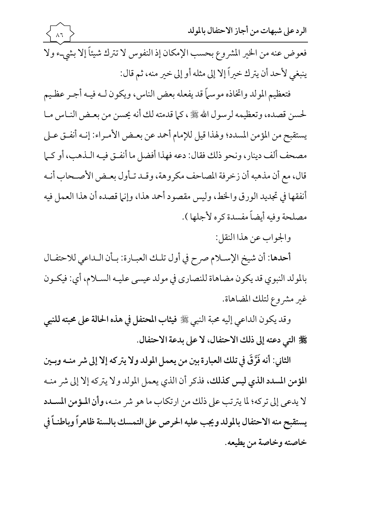الرد على شبهات من أجاز الاحتفال بالمولد فعوض عنه من الخير المشروع بحسب الإمكان إذ النفوس لا تترك شيئاً إلا بشيء ولا ينبغي لأحد أن يترك خيراً إلا إلى مثله أو إلى خير منه، ثم قال:

فتعظيم المولد واتخاذه موسماً قد يفعله بعض الناس، ويكون لـه فيـه أجـر عظـيم لحسن قصده، وتعظيمه لرسول الله ﷺ ، كما قدمته لك أنه يحسن من بعـض النـاس مـا يستقبح من المؤمن المسدد؛ ولهذا قيل للإمام أحمد عن بعـض الأمـراء: إنـه أنفـق عـلى مصحف ألف دينار، ونحو ذلك فقال: دعه فهذا أفضل ما أنفـق فيـه الـذهب، أو كـما قال، مع أن مذهبه أن زخرفة المصاحف مكروهة، وقـد تـأول بعـض الأصـحاب أنـه أنفقها في تجديد الورق والخط، وليس مقصود أحمد هذا، وإنها قصده أن هذا العمل فيه مصلحة وفيه أيضاً مفسدة كره لأجلها ).

والجواب عن هذا النقل:

أحدها: أن شيخ الإسـلام صرح في أول تلـك العبـارة: بـأن الـداعي للاحتفـال بالمولد النبوي قد يكون مضاهاة للنصاري في مولد عيسى عليـه السـلام، أي: فيكـون غير مشروع لتلك المضاهاة.

وقد يكون الداعي إليه محبة النبي ﷺ فيثاب المحتفل في هذه الحالة على محبته للنبي ﷺ التي دعته إلى ذلك الاحتفال، لا على بدعة الاحتفال.

الثاني: أنه فَرَّقَ في تلك العبارة بين من يعمل المولد ولا يتركه إلا إلى شر منـه وبـين المؤمن المسدد الذي ليس كذلك، فذكر أن الذي يعمل المولد ولا يتركه إلا إلى شر منـه لا يدعى إلى تركه؛ لما يترتب على ذلك من ارتكاب ما هو شر منـه، وأن المـؤمن المسـدد يستقبح منه الاحتفال بالمولد ويجب عليه الحرص على التمسك بالسنة ظاهراً وباطنـاً في خاصته وخاصة من بطبعه.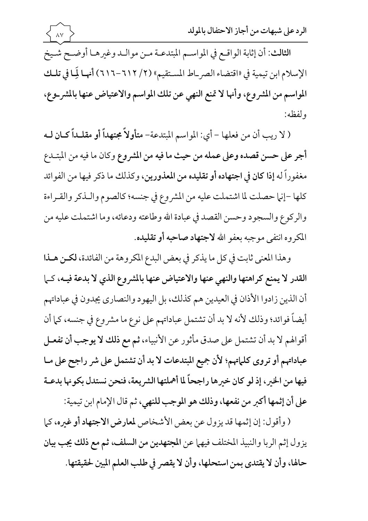الرد على شبهات من أجاز الاحتفال بالمولد

الثالث: أن إثابة الواقع في المواسم المبتدعـة مـن موالـد وغيرهـا أوضـح شـيخ الإسلام ابن تيمية في «اقتضاء الصر\_اط المستقيم» (٢/ ٦١٢-٦١٦) أنهـا لَمِـا في تلـك المواسم من المشروع، وأنها لا تمنع النهي عن تلك المواسم والاعتياض عنها بالمشر\_وع، ولفظه:

 $\lambda\bar{\nu}$ 

( لا ريب أن من فعلها - أي: المواسم المبتدعة- متأولاً مجتهداً أو مقلـداً كـان لـه أجر على حسن قصده وعلى عمله من حيث ما فيه من المشروع وكان ما فيه من المبتـدع مغفوراً له إذا كان في اجتهاده أو تقليده من المعذورين، وكذلك ما ذكر فيها من الفوائد كلها -إنها حصلت لما اشتملت عليه من المشروع في جنسه؛ كالصوم والـذكر والقـراءة والركوع والسجود وحسن القصد في عبادة الله وطاعته ودعائه، وما اشتملت عليه من المكروه انتفى موجبه بعفو الله لاجتهاد صاحبه أو تقليده.

وهذا المعنى ثابت في كل ما يذكر في بعض البدع المكروهة من الفائدة، لكن هـذا القدر لا يمنع كراهتها والنهى عنها والاعتياض عنها بالمشروع الذي لا بدعة فيه، كها أن الذين زادوا الأذان في العيدين هم كذلك، بل اليهود والنصاري يجدون في عباداتهم أيضاً فوائد؛ وذلك لأنه لا بد أن تشتمل عباداتهم على نوع ما مشروع في جنسه، كما أن أقوالهم لا بد أن تشتمل على صدق مأثور عن الأنبياء، ثم مع ذلك لا يوجب أن تفعـل عباداتهم أو تروى كلماتهم؛ لأن جميع المبتدعات لا بد أن تشتمل على شر راجح على مـا فيها من الخبر، إذ لو كان خبرها راجحاً لما أهملتها الشر يعة، فنحن نستدل بكونها بدعـة على أن إثمها أكبر من نفعها، وذلك هو الموجب للنهي، ثم قال الإمام ابن تيمية:

(وأقول: إن إثمها قد يزول عن بعض الأشخاص لمعارض الاجتهاد أو غيره، كما يزول إثم الربا والنبيذ المختلف فيهما عن المجتهدين من السلف، ثم مع ذلك يجب بيان حالها، وأن لا يقتدى بمن استحلها، وأن لا يقصر في طلب العلم المبين لحقيقتها.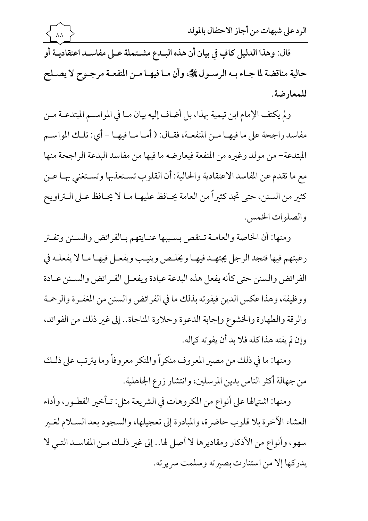

قال: وهذا الدليل كافٍ في بيان أن هذه البـدع مشـتملة عـلى مفاسـد اعتقاديـة أو حالية مناقضة لما جـاء بـه الرسـول ﷺ، وأن مـا فيهـا مـن المنفعـة مرجـوح لا يصـلح للمعارضة.

ولم يكتف الإمام ابن تيمية بهذا، بل أضاف إليه بيان مـا في المواسـم المبتدعـة مـن مفاسد راجحة على ما فيهـا مـن المنفعـة، فقـال: ( أمـا مـا فيهـا – أي: تلـك المواسـم المبتدعة– من مولد وغيره من المنفعة فيعارضه ما فيها من مفاسد البدعة الراجحة منها مع ما تقدم عن المفاسد الاعتقادية والحالية: أن القلوب تسـتعذبها وتسـتغنى بهـا عـن كثير من السنن، حتى تجد كثيراً من العامة يحـافظ عليهـا مـا لا يحـافظ عـلى الــتراويح والصلوات الخمس.

ومنها: أن الخاصة والعامـة تـنقص بسـببها عنـايتهم بـالفرائض والسـنن وتفـتر رغبتهم فيها فتجد الرجل يجتهـد فيهـا ويخلـص وينيـب ويفعـل فيهـا مـا لا يفعلـه في الفرائض والسنن حتى كأنه يفعل هذه البدعة عبادة ويفعـل الفـرائض والسـنن عـادة ووظيفة، وهذا عكس الدين فيفوته بذلك ما في الفرائض والسنن من المغفرة والرحمة والرقة والطهارة والخشوع وإجابة الدعوة وحلاوة المناجاة.. إلى غير ذلك من الفوائد، وإن لم يفته هذا كله فلا بد أن يفو ته كماله.

ومنها: ما في ذلك من مصير المعروف منكراً والمنكر معروفاً وما يترتب على ذلـك من جهالة أكثر الناس بدين المرسلين، وانتشار زرع الجاهلية.

ومنها: اشتهالها على أنواع من المكروهات في الشريعة مثل: تـأخير الفطـور، وأداء العشاء الآخرة بلا قلوب حاضرة، والمبادرة إلى تعجيلها، والسجود بعد السـلام لغـبر سهو، وأنواع من الأذكار ومقاديرها لا أصل لها.. إلى غير ذلك مـن المفاسـد التـى لا يدركها إلا من استنارت بصيرته وسلمت سريرته.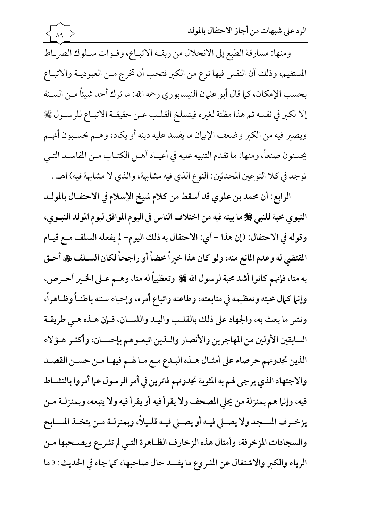ومنها: مسارقة الطبع إلى الانحلال من ربقـة الاتبـاع، وفـوات سـلوك الصربـاط المستقيم، وذلك أن النفس فيها نوع من الكبر فتحب أن تخرج مـن العبوديـة والاتبـاع بحسب الإمكان، كما قال أبو عثمان النيسابوري رحمه الله: ما ترك أحد شيئاً مـن السـنة إلا لكبر في نفسه ثم هذا مظنة لغيره فينسلخ القلب عـن حقيقـة الاتبـاع للرسـول ﷺ ويصير فيه من الكبر وضعف الإيهان ما يفسد عليه دينه أو يكاد، وهـم يحسـبون أنهـم يحسنون صنعاً، ومنها: ما تقدم التنبيه عليه في أعيـاد أهـل الكتـاب مـن المفاسـد التـي توجد في كلا النوعين المحدثين: النوع الذي فيه مشابهة، والذي لا مشابهة فيه) اهـ..

 $\lambda$ 9 >

الرابع: أن محمد بن علوى قد أسقط من كلام شيخ الإسلام في الاحتفـال بالمولـد النبوي محبة للنبي ﷺ ما بينه فيه من اختلاف الناس في اليوم الموافق ليوم المولد النبـوي، وقوله في الاحتفال: (إن هذا – أي: الاحتفال به ذلك اليوم– لم يفعله السلف مـع قيـام المقتضى له وعدم المانع منه، ولو كان هذا خيراً محضاً أو راجحاً لكان السـلف ﷺ أحـق به منا، فإنهم كانوا أشد محبة لرسول الله ڴ وتعظيماً له منا، وهـم عـلى الخـير أحـرص. وإنما كمال محبته وتعظيمه في متابعته، وطاعته واتباع أمره، وإحياء سنته باطنــاً وظــاهراً، ونشر ما بعث به، والجهاد على ذلك بالقلب واليه واللسـان، فـإن هـذه هـى طريقـة السابقين الأولين من المهاجرين والأنصار واللذين اتبعـوهم بإحسـان، وأكثـر هـؤلاء الذين تجدونهم حرصاء على أمثـال هـذه البـدع مـع مـا لهـم فيهـا مـن حسـن القصـد والاجتهاد الذي يرجى لهم به المثوبة تجدونهم فاترين في أمر الرسول عما أمروا بالنشــاط فيه، وإنها هم بمنزلة من يحلى المصحف ولا يقرأ فيه أو يقرأ فيه ولا يتبعه، وبمنزلـة مـن يزخـرف المسـجد ولا يصـلي فيـه أو يصـلي فيـه قلـيلاً، وبمنزلـة مـن يتخـذ المسـابح والسجادات المزخرفة، وأمثال هذه الزخارف الظاهرة التـي لم تشر-ع ويصـحبها مـن الرياء والكبر والاشتغال عن المشروع ما يفسد حال صاحبها، كما جاء في الحديث: « ما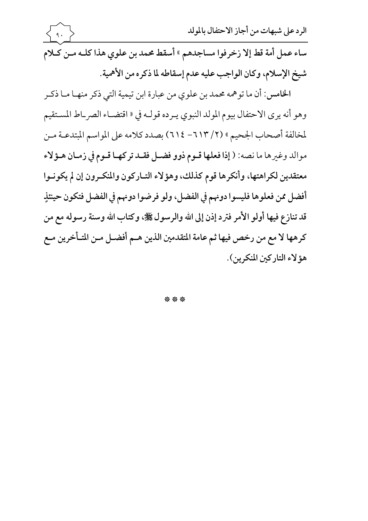| $\left\{\left(\begin{matrix} 1 \\ 1 \end{matrix}\right)\right\}$ | الرد على شبهات من أجاز الاحتفال بالمولد                                            |
|------------------------------------------------------------------|------------------------------------------------------------------------------------|
|                                                                  | ساء عمل أمة قط إلا زخرفوا مساجدهم » أسقط محمد بن علوي هذا كلـه مـن كَّلام          |
|                                                                  | شيخ الإسلام، وكان الواجب عليه عدم إسقاطه لما ذكره من الأهمية.                      |
|                                                                  | الخامس: أن ما توهمه محمد بن علوي من عبارة ابن تيمية التي ذكر منهـا مـا ذكـر        |
|                                                                  | وهو أنه يرى الاحتفال بيوم المولد النبوي يـرده قولـه في « اقتضـاء الصر_اط المسـتقيم |

لمخالفة أصحاب الجحيم » (٢/ ٦١٣- ٢١٤) بصدد كلامه على المواسم المبتدعـة مـن موالد وغيرها ما نصه: ( إذا فعلها قـوم ذوو فضـل فقـد تركهـا قـوم في زمـان هـؤلاء معتقدين لكراهتها، وأنكرها قوم كذلك، وهؤلاء التـاركون والمنكـرون إن لم يكونـوا أفضل ممن فعلوها فليسوا دونهم في الفضل، ولو فرضوا دونهم في الفضل فتكون حينئذٍ قد تنازع فيها أولو الأمر فترد إذن إلى الله والرسول ﷺ، وكتاب الله وسنة رسوله مع من كرهها لا مع من رخص فيها ثم عامة المتقدمين الذين هـم أفضـل مـن المتـأخرين مـع هؤ لاء التاركين المنكرين).

\*\*\*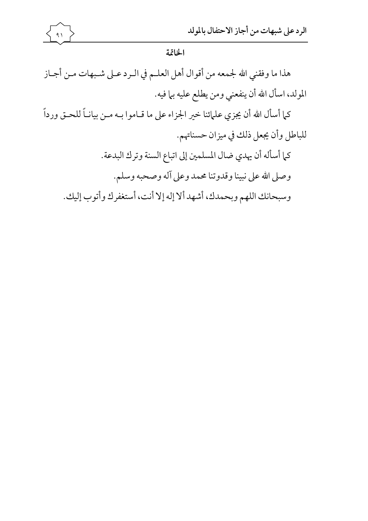

الخاتمة

هذا ما وفقني الله لجمعه من أقوال أهل العلـم في الـرد عـلى شـبهات مـن أجـاز المولد، اسأل الله أن ينفعني ومن يطلع عليه بما فيه. كما أسأل الله أن يجزي علمائنا خير الجزاء على ما قـاموا بـه مـن بيانـاً للحـق ورداً للباطل وأن يجعل ذلك في ميزان حسناتهم. كما أسأله أن يهدي ضال المسلمين إلى اتباع السنة وترك البدعة. وصلى الله على نبينا وقدوتنا محمد وعلى آله وصحبه وسلم. وسبحانك اللهم وبحمدك، أشهد ألا إله إلا أنت، أستغفرك وأتوب إليك.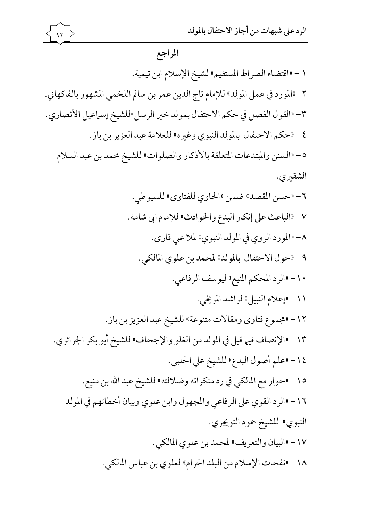## المراجع

 $97$ 

١ - «اقتضاء الصراط المستقيم» لشيخ الإسلام ابن تيمية. ٢-«المورد في عمل المولد» للإمام تاج الدين عمر بن سالم اللخمي المشهور بالفاكهاني. ٣- «القول الفصل في حكم الاحتفال بمولد خير الرسل»للشيخ إسماعيل الأنصاري. ٤- «حكم الاحتفال بالمولد النبوي وغيره» للعلامة عبد العزيز بن باز. ٥- «السنن والمبتدعات المتعلقة بالأذكار والصلوات» للشيخ محمد بن عبد السلام الشقيري. ٦- «حسن المقصد» ضمن «الحاوي للفتاوي» للسيوطي. ٧- «الباعث على إنكار البدع والحوادث» للإمام ابي شامة. ٨- «المورد الروي في المولد النبوي» لملا على قارى. ٩- «حول الاحتفال بالمولد» لمحمد بن علوي المالكي. ١٠- «الرد المحكم المنيع» ليوسف الرفاعي. ١١- «إعلام النبيل» لراشد المريخي. ١٢- «مجموع فتاوى ومقالات متنوعة» للشيخ عبد العزيز بن باز. ١٣ - «الإنصاف فيها قيل في المولد من الغلو والإجحاف» للشيخ أبو بكر الجزائري. ١٤- «علم أصول البدع» للشيخ على الحلبي. ٥١- «حوار مع المالكي في رد منكراته وضلالته» للشيخ عبد الله بن منيع. ١٦ - «الرد القوي على الرفاعي والمجهول وابن علوي وبيان أخطائهم في المولد النبوي» للشيخ حمود التويجري. ١٧- «البيان والتعريف» لمحمد بن علوى المالكي. ١٨ - «نفحات الإسلام من البلد الحرام» لعلوى بن عباس المالكي.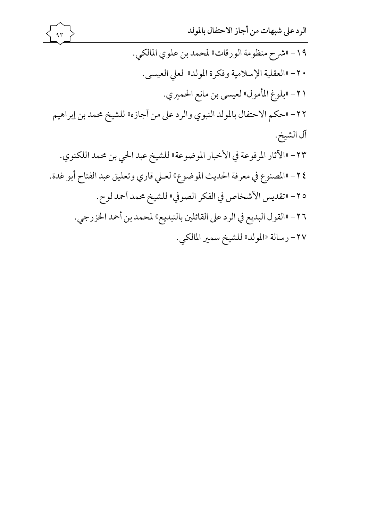

١٩- «شرح منظومة الورقات» لمحمد بن علوى المالكي. · ٢- «العقلية الإسلامية وفكرة المولد» لعلى العيسى. ٢١- «بلوغ المأمول» لعيسى بن مانع الحميري. ٢٢- «حكم الاحتفال بالمولد النبوي والرد على من أجازه» للشيخ محمد بن إبراهيم آل الشيخ. ٢٣- «الآثار المرفوعة في الأخبار الموضوعة» للشيخ عبد الحي بن محمد اللكنوي. ٢٤- «المصنوع في معرفة الحديث الموضوع» لعـلى قاري وتعليق عبد الفتاح أبو غدة. ٢٥- «تقديس الأشخاص في الفكر الصوفي» للشيخ محمد أحمد لوح. ٢٦- «القول البديع في الرد على القائلين بالتبديع» لمحمد بن أحمد الخزرجي. ٢٧- رسالة «المولد» للشيخ سمير المالكي.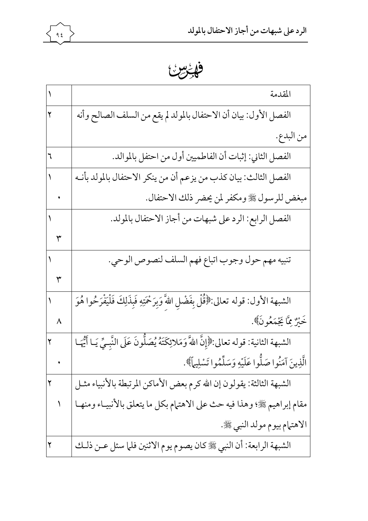

فهرس

|                          | المقدمة                                                                                              |
|--------------------------|------------------------------------------------------------------------------------------------------|
| ٢                        | الفصل الأول: بيان أن الاحتفال بالمولد لم يقع من السلف الصالح وأنه                                    |
|                          | من البدع.                                                                                            |
| ٦                        | الفصل الثاني: إثبات أن الفاطميين أول من احتفل بالموالد.                                              |
|                          | الفصل الثالث: بيان كذب من يزعم أن من ينكر الاحتفال بالمولد بأنـه                                     |
|                          | مبغض للرسول ﷺ ومكفر لمن يحضر ذلك الاحتفال.                                                           |
|                          | الفصل الرابع: الرد على شبهات من أجاز الاحتفال بالمولد.                                               |
| $\mathbf{r}$             |                                                                                                      |
|                          | تنبيه مهم حول وجوب اتباع فهم السلف لنصوص الوحي.                                                      |
|                          |                                                                                                      |
| $\overline{\phantom{0}}$ | الشبهة الأول: قوله تعالى:﴿قُلْ بِفَضْلِ اللَّهَ وَبِرَحْمَتِهِ فَبِذَلِكَ فَلْيَفْرَحُوا هُوَ        |
|                          | خَيْرٌ مِمَّا يَجْمَعُونَ﴾.                                                                          |
| ٢                        | الشبهة الثانية: قوله تعالى:﴿إِنَّ اللَّهَ وَمَلائِكَتَهُ يُصَلُّونَ عَلَى النَّبِـيِّ يَـا أَيُّهَـا |
|                          | الَّذِينَ آمَنُوا صَلُّوا عَلَيْهِ وَسَلِّمُوا تَسْلِيهاً﴾.                                          |
|                          | الشبهة الثالثة: يقولون إن الله كرم بعض الأماكن المرتبطة بالأنبياء مثـل                               |
|                          | مقام إبراهيم ﷺ؛ وهذا فيه حث على الاهتمام بكل ما يتعلق بالأنبيــاء ومنهــا                            |
|                          | الاهتمام بيوم مولد النبي ﷺ.                                                                          |
|                          | الشبهة الرابعة: أن النبي ﷺ كان يصوم يوم الاثنين فلما سئل عـن ذلـك                                    |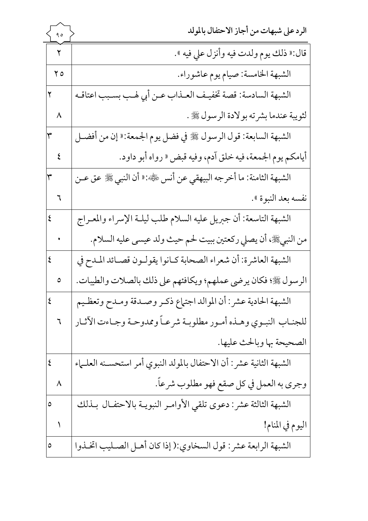| ۹٥                      | الرد على شبهات من أجاز الاحتفال بالمولد                                |
|-------------------------|------------------------------------------------------------------------|
| $\overline{\mathsf{r}}$ | قال:« ذلك يوم ولدت فيه وأنزل علي فيه ».                                |
| $\mathbf{y}$            | الشبهة الخامسة: صيام يوم عاشوراء.                                      |
| ٢                       | الشبهة السادسة: قصة تخفيـف العـذاب عـن أبي لهـب بسـبب اعتاقـه          |
| $\lambda$               | لثويبة عندما بشرته بولادة الرسول ﷺ .                                   |
| ٣                       | الشبهة السابعة: قول الرسول ﷺ في فضل يوم الجمعة:« إن من أفضـل           |
| $\boldsymbol{\xi}$      | أيامكم يوم الجمعة، فيه خلق آدم، وفيه قبض « رواه أبو داود.              |
| ٣                       | الشبهة الثامنة: ما أخرجه البيهقي عن أنس ﷺ: ﴿ أَنِ النَّبِي ﷺ عَقَّ عـن |
|                         | نفسه بعد النبوة ».                                                     |
| $\overline{\xi}$        | الشبهة التاسعة: أن جبريل عليه السلام طلب ليلـة الإسراء والمعـراج       |
|                         | من النبيﷺ، أن يصلي ركعتين ببيت لحم حيث ولد عيسى عليه السلام.           |
| $\overline{\xi}$        | الشبهة العاشرة: أن شعراء الصحابة كـانوا يقولـون قصـائد المـدح في       |
| $\circ$                 | الرسول ﷺ؛ فكان يرضى عملهم؛ ويكافئهم على ذلك بالصلات والطيبات.          |
|                         | الشبهة الحادية عشر: أن الموالد اجتهاع ذكـر وصـدقة ومـدح وتعظـيم        |
| ٦                       | للجنـاب النبـوي وهــذه أمـور مطلوبــة شرعــاً وممدوحـة وجـاءت الآثـار  |
|                         | الصحيحة بها وبالحث عليها.                                              |
| ٤                       | الشبهة الثانية عشر: أن الاحتفال بالمولد النبوي أمر استحسـنه العلـماء   |
| ٨                       | وجري به العمل في كل صقع فهو مطلوب شرعاً.                               |
| ٥                       | الشبهة الثالثة عشر: دعوى تلقي الأوامـر النبويـة بالاحتفـال بـذلك       |
|                         | اليوم في المنام!                                                       |
| ٥                       | الشبهة الرابعة عشر: قول السخاوي:( إذا كان أهـل الصـليب اتخـذوا         |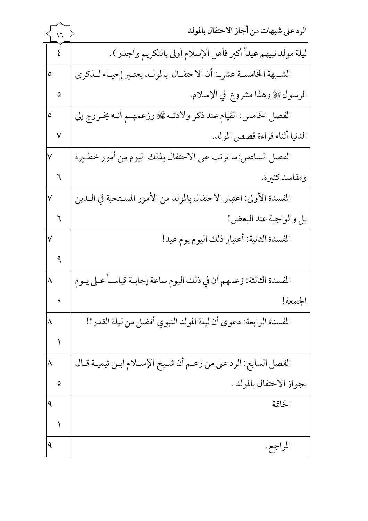|                         | ۹٦            | الرد على شبهات من أجاز الاحتفال بالمولد                              |
|-------------------------|---------------|----------------------------------------------------------------------|
|                         | ٤             | ليلة مولد نبيهم عيداً أكبر فأهل الإسلام أولى بالتكريم وأجدر ).       |
| ٥                       |               | الشـبهة الخامسـة عشرــ: أن الاحتفـال بالمولـد يعتـبر إحيـاء لـذكرى   |
|                         | ٥             | الرسول ﷺ وهذا مشروع في الإسلام.                                      |
| ٥                       |               | الفصل الخامس: القيام عند ذكر ولادتـه ﷺ وزعمهـم أنـه يخـروج إلى       |
|                         | $\checkmark$  | الدنيا أثناء قراءة قصص المولد.                                       |
| V                       |               | الفصل السادس:ما ترتب على الاحتفال بذلك اليوم من أمور خطـيرة          |
|                         |               | ومفاسد كثيرة.                                                        |
| $\overline{\mathsf{v}}$ |               | المفسدة الأولى: اعتبار الاحتفال بالمولد من الأمور المستحبة في الـدين |
|                         | $\mathcal{I}$ | بل والواجبة عند البعض!                                               |
| V                       |               | المفسدة الثانية: أعتبار ذلك اليوم يوم عيد!                           |
|                         | ٩             |                                                                      |
| $\lambda$               |               | المفسدة الثالثة: زعمهم أن في ذلك اليوم ساعة إجابـة قياسـاً عـلى يـوم |
|                         |               | الجمعة!                                                              |
|                         |               | المفسدة الرابعة: دعوى أن ليلة المولد النبوي أفضل من ليلة القدر!!     |
|                         |               |                                                                      |
| ٨                       |               | الفصل السابع: الرد على من زعـم أن شـيخ الإسـلام ابـن تيميـة قـال     |
|                         | ٥             | بجواز الاحتفال بالمولد .                                             |
| ٩                       |               | الخاتمة                                                              |
|                         |               |                                                                      |
| ٩                       |               | المراجع.                                                             |